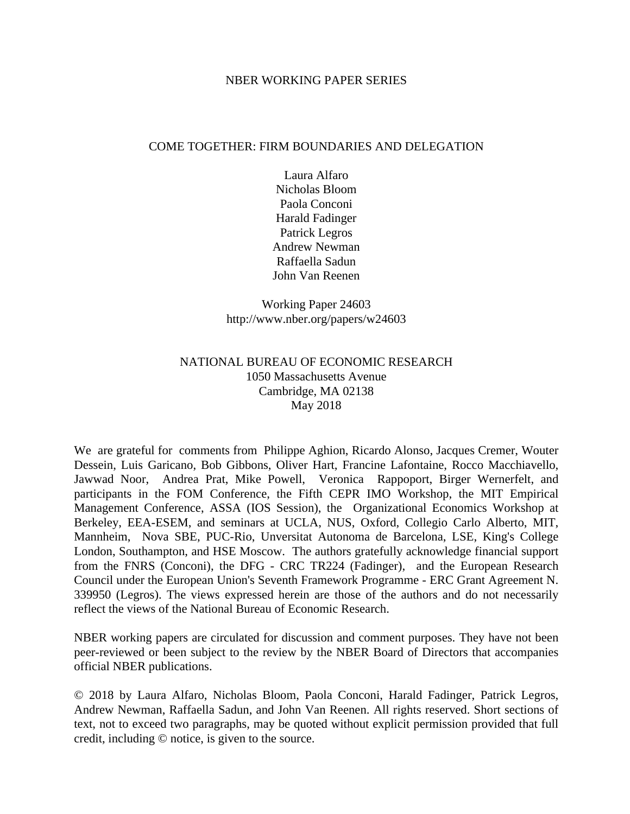#### NBER WORKING PAPER SERIES

#### COME TOGETHER: FIRM BOUNDARIES AND DELEGATION

Laura Alfaro Nicholas Bloom Paola Conconi Harald Fadinger Patrick Legros Andrew Newman Raffaella Sadun John Van Reenen

Working Paper 24603 http://www.nber.org/papers/w24603

## NATIONAL BUREAU OF ECONOMIC RESEARCH 1050 Massachusetts Avenue Cambridge, MA 02138 May 2018

We are grateful for comments from Philippe Aghion, Ricardo Alonso, Jacques Cremer, Wouter Dessein, Luis Garicano, Bob Gibbons, Oliver Hart, Francine Lafontaine, Rocco Macchiavello, Jawwad Noor, Andrea Prat, Mike Powell, Veronica Rappoport, Birger Wernerfelt, and participants in the FOM Conference, the Fifth CEPR IMO Workshop, the MIT Empirical Management Conference, ASSA (IOS Session), the Organizational Economics Workshop at Berkeley, EEA-ESEM, and seminars at UCLA, NUS, Oxford, Collegio Carlo Alberto, MIT, Mannheim, Nova SBE, PUC-Rio, Unversitat Autonoma de Barcelona, LSE, King's College London, Southampton, and HSE Moscow. The authors gratefully acknowledge financial support from the FNRS (Conconi), the DFG - CRC TR224 (Fadinger), and the European Research Council under the European Union's Seventh Framework Programme - ERC Grant Agreement N. 339950 (Legros). The views expressed herein are those of the authors and do not necessarily reflect the views of the National Bureau of Economic Research.

NBER working papers are circulated for discussion and comment purposes. They have not been peer-reviewed or been subject to the review by the NBER Board of Directors that accompanies official NBER publications.

© 2018 by Laura Alfaro, Nicholas Bloom, Paola Conconi, Harald Fadinger, Patrick Legros, Andrew Newman, Raffaella Sadun, and John Van Reenen. All rights reserved. Short sections of text, not to exceed two paragraphs, may be quoted without explicit permission provided that full credit, including © notice, is given to the source.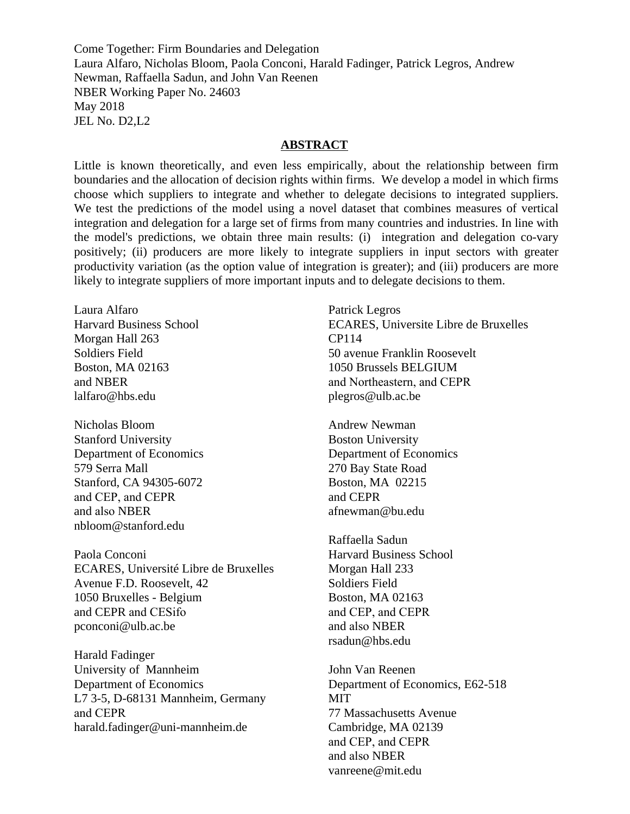Come Together: Firm Boundaries and Delegation Laura Alfaro, Nicholas Bloom, Paola Conconi, Harald Fadinger, Patrick Legros, Andrew Newman, Raffaella Sadun, and John Van Reenen NBER Working Paper No. 24603 May 2018 JEL No. D2,L2

#### **ABSTRACT**

Little is known theoretically, and even less empirically, about the relationship between firm boundaries and the allocation of decision rights within firms. We develop a model in which firms choose which suppliers to integrate and whether to delegate decisions to integrated suppliers. We test the predictions of the model using a novel dataset that combines measures of vertical integration and delegation for a large set of firms from many countries and industries. In line with the model's predictions, we obtain three main results: (i) integration and delegation co-vary positively; (ii) producers are more likely to integrate suppliers in input sectors with greater productivity variation (as the option value of integration is greater); and (iii) producers are more likely to integrate suppliers of more important inputs and to delegate decisions to them.

Laura Alfaro Harvard Business School Morgan Hall 263 Soldiers Field Boston, MA 02163 and NBER lalfaro@hbs.edu

Nicholas Bloom Stanford University Department of Economics 579 Serra Mall Stanford, CA 94305-6072 and CEP, and CEPR and also NBER nbloom@stanford.edu

Paola Conconi ECARES, Université Libre de Bruxelles Avenue F.D. Roosevelt, 42 1050 Bruxelles - Belgium and CEPR and CESifo pconconi@ulb.ac.be

Harald Fadinger University of Mannheim Department of Economics L7 3-5, D-68131 Mannheim, Germany and CEPR harald.fadinger@uni-mannheim.de

Patrick Legros ECARES, Universite Libre de Bruxelles CP114 50 avenue Franklin Roosevelt 1050 Brussels BELGIUM and Northeastern, and CEPR plegros@ulb.ac.be

Andrew Newman Boston University Department of Economics 270 Bay State Road Boston, MA 02215 and CEPR afnewman@bu.edu

Raffaella Sadun Harvard Business School Morgan Hall 233 Soldiers Field Boston, MA 02163 and CEP, and CEPR and also NBER rsadun@hbs.edu

John Van Reenen Department of Economics, E62-518 **MIT** 77 Massachusetts Avenue Cambridge, MA 02139 and CEP, and CEPR and also NBER vanreene@mit.edu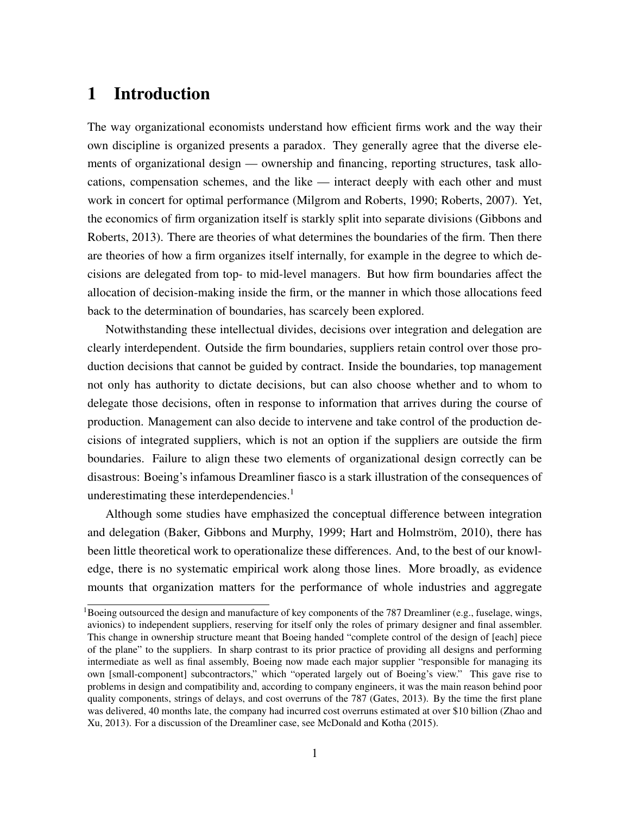# 1 Introduction

The way organizational economists understand how efficient firms work and the way their own discipline is organized presents a paradox. They generally agree that the diverse elements of organizational design — ownership and financing, reporting structures, task allocations, compensation schemes, and the like — interact deeply with each other and must work in concert for optimal performance (Milgrom and Roberts, 1990; Roberts, 2007). Yet, the economics of firm organization itself is starkly split into separate divisions (Gibbons and Roberts, 2013). There are theories of what determines the boundaries of the firm. Then there are theories of how a firm organizes itself internally, for example in the degree to which decisions are delegated from top- to mid-level managers. But how firm boundaries affect the allocation of decision-making inside the firm, or the manner in which those allocations feed back to the determination of boundaries, has scarcely been explored.

Notwithstanding these intellectual divides, decisions over integration and delegation are clearly interdependent. Outside the firm boundaries, suppliers retain control over those production decisions that cannot be guided by contract. Inside the boundaries, top management not only has authority to dictate decisions, but can also choose whether and to whom to delegate those decisions, often in response to information that arrives during the course of production. Management can also decide to intervene and take control of the production decisions of integrated suppliers, which is not an option if the suppliers are outside the firm boundaries. Failure to align these two elements of organizational design correctly can be disastrous: Boeing's infamous Dreamliner fiasco is a stark illustration of the consequences of underestimating these interdependencies.<sup>[1](#page--1-0)</sup>

Although some studies have emphasized the conceptual difference between integration and delegation (Baker, Gibbons and Murphy, 1999; Hart and Holmström, 2010), there has been little theoretical work to operationalize these differences. And, to the best of our knowledge, there is no systematic empirical work along those lines. More broadly, as evidence mounts that organization matters for the performance of whole industries and aggregate

<sup>&</sup>lt;sup>1</sup>Boeing outsourced the design and manufacture of key components of the 787 Dreamliner (e.g., fuselage, wings, avionics) to independent suppliers, reserving for itself only the roles of primary designer and final assembler. This change in ownership structure meant that Boeing handed "complete control of the design of [each] piece of the plane" to the suppliers. In sharp contrast to its prior practice of providing all designs and performing intermediate as well as final assembly, Boeing now made each major supplier "responsible for managing its own [small-component] subcontractors," which "operated largely out of Boeing's view." This gave rise to problems in design and compatibility and, according to company engineers, it was the main reason behind poor quality components, strings of delays, and cost overruns of the 787 (Gates, 2013). By the time the first plane was delivered, 40 months late, the company had incurred cost overruns estimated at over \$10 billion (Zhao and Xu, 2013). For a discussion of the Dreamliner case, see McDonald and Kotha (2015).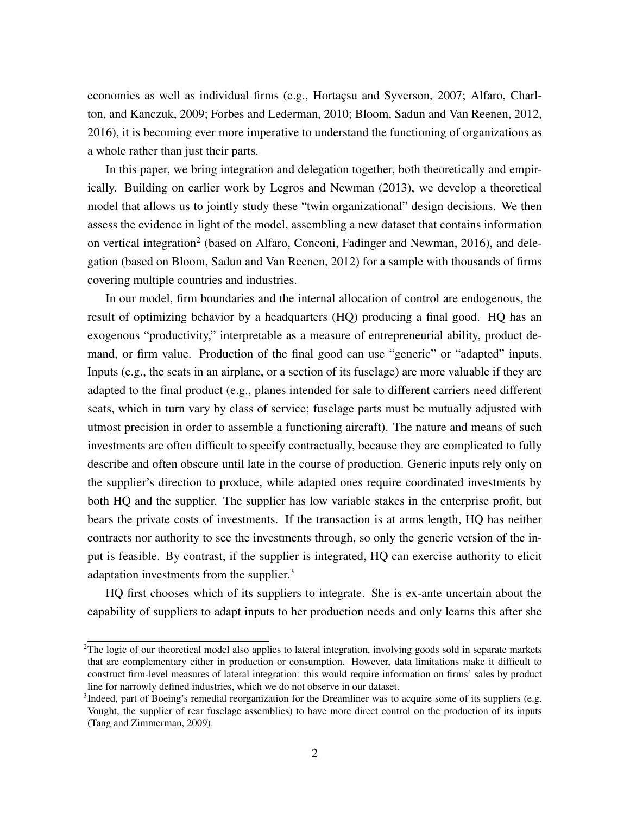economies as well as individual firms (e.g., Hortaçsu and Syverson, 2007; Alfaro, Charlton, and Kanczuk, 2009; Forbes and Lederman, 2010; Bloom, Sadun and Van Reenen, 2012, 2016), it is becoming ever more imperative to understand the functioning of organizations as a whole rather than just their parts.

In this paper, we bring integration and delegation together, both theoretically and empirically. Building on earlier work by Legros and Newman (2013), we develop a theoretical model that allows us to jointly study these "twin organizational" design decisions. We then assess the evidence in light of the model, assembling a new dataset that contains information on vertical integration<sup>[2](#page--1-0)</sup> (based on Alfaro, Conconi, Fadinger and Newman, 2016), and delegation (based on Bloom, Sadun and Van Reenen, 2012) for a sample with thousands of firms covering multiple countries and industries.

In our model, firm boundaries and the internal allocation of control are endogenous, the result of optimizing behavior by a headquarters (HQ) producing a final good. HQ has an exogenous "productivity," interpretable as a measure of entrepreneurial ability, product demand, or firm value. Production of the final good can use "generic" or "adapted" inputs. Inputs (e.g., the seats in an airplane, or a section of its fuselage) are more valuable if they are adapted to the final product (e.g., planes intended for sale to different carriers need different seats, which in turn vary by class of service; fuselage parts must be mutually adjusted with utmost precision in order to assemble a functioning aircraft). The nature and means of such investments are often difficult to specify contractually, because they are complicated to fully describe and often obscure until late in the course of production. Generic inputs rely only on the supplier's direction to produce, while adapted ones require coordinated investments by both HQ and the supplier. The supplier has low variable stakes in the enterprise profit, but bears the private costs of investments. If the transaction is at arms length, HQ has neither contracts nor authority to see the investments through, so only the generic version of the input is feasible. By contrast, if the supplier is integrated, HQ can exercise authority to elicit adaptation investments from the supplier.<sup>[3](#page--1-0)</sup>

HQ first chooses which of its suppliers to integrate. She is ex-ante uncertain about the capability of suppliers to adapt inputs to her production needs and only learns this after she

 $2$ The logic of our theoretical model also applies to lateral integration, involving goods sold in separate markets that are complementary either in production or consumption. However, data limitations make it difficult to construct firm-level measures of lateral integration: this would require information on firms' sales by product line for narrowly defined industries, which we do not observe in our dataset.

<sup>&</sup>lt;sup>3</sup>Indeed, part of Boeing's remedial reorganization for the Dreamliner was to acquire some of its suppliers (e.g. Vought, the supplier of rear fuselage assemblies) to have more direct control on the production of its inputs (Tang and Zimmerman, 2009).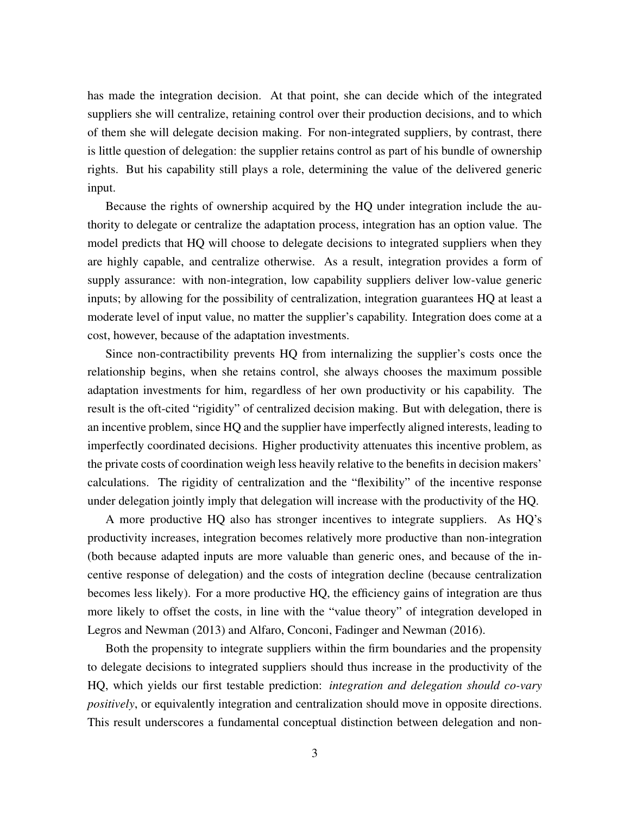has made the integration decision. At that point, she can decide which of the integrated suppliers she will centralize, retaining control over their production decisions, and to which of them she will delegate decision making. For non-integrated suppliers, by contrast, there is little question of delegation: the supplier retains control as part of his bundle of ownership rights. But his capability still plays a role, determining the value of the delivered generic input.

Because the rights of ownership acquired by the HQ under integration include the authority to delegate or centralize the adaptation process, integration has an option value. The model predicts that HQ will choose to delegate decisions to integrated suppliers when they are highly capable, and centralize otherwise. As a result, integration provides a form of supply assurance: with non-integration, low capability suppliers deliver low-value generic inputs; by allowing for the possibility of centralization, integration guarantees HQ at least a moderate level of input value, no matter the supplier's capability. Integration does come at a cost, however, because of the adaptation investments.

Since non-contractibility prevents HQ from internalizing the supplier's costs once the relationship begins, when she retains control, she always chooses the maximum possible adaptation investments for him, regardless of her own productivity or his capability. The result is the oft-cited "rigidity" of centralized decision making. But with delegation, there is an incentive problem, since HQ and the supplier have imperfectly aligned interests, leading to imperfectly coordinated decisions. Higher productivity attenuates this incentive problem, as the private costs of coordination weigh less heavily relative to the benefits in decision makers' calculations. The rigidity of centralization and the "flexibility" of the incentive response under delegation jointly imply that delegation will increase with the productivity of the HQ.

A more productive HQ also has stronger incentives to integrate suppliers. As HQ's productivity increases, integration becomes relatively more productive than non-integration (both because adapted inputs are more valuable than generic ones, and because of the incentive response of delegation) and the costs of integration decline (because centralization becomes less likely). For a more productive HQ, the efficiency gains of integration are thus more likely to offset the costs, in line with the "value theory" of integration developed in Legros and Newman (2013) and Alfaro, Conconi, Fadinger and Newman (2016).

Both the propensity to integrate suppliers within the firm boundaries and the propensity to delegate decisions to integrated suppliers should thus increase in the productivity of the HQ, which yields our first testable prediction: *integration and delegation should co-vary positively*, or equivalently integration and centralization should move in opposite directions. This result underscores a fundamental conceptual distinction between delegation and non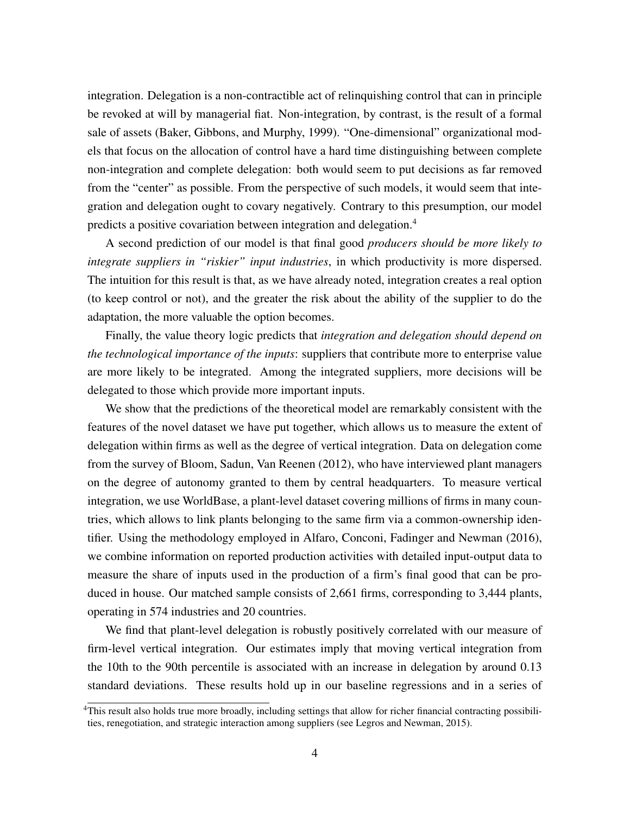integration. Delegation is a non-contractible act of relinquishing control that can in principle be revoked at will by managerial fiat. Non-integration, by contrast, is the result of a formal sale of assets (Baker, Gibbons, and Murphy, 1999). "One-dimensional" organizational models that focus on the allocation of control have a hard time distinguishing between complete non-integration and complete delegation: both would seem to put decisions as far removed from the "center" as possible. From the perspective of such models, it would seem that integration and delegation ought to covary negatively. Contrary to this presumption, our model predicts a positive covariation between integration and delegation.[4](#page--1-0)

A second prediction of our model is that final good *producers should be more likely to integrate suppliers in "riskier" input industries*, in which productivity is more dispersed. The intuition for this result is that, as we have already noted, integration creates a real option (to keep control or not), and the greater the risk about the ability of the supplier to do the adaptation, the more valuable the option becomes.

Finally, the value theory logic predicts that *integration and delegation should depend on the technological importance of the inputs*: suppliers that contribute more to enterprise value are more likely to be integrated. Among the integrated suppliers, more decisions will be delegated to those which provide more important inputs.

We show that the predictions of the theoretical model are remarkably consistent with the features of the novel dataset we have put together, which allows us to measure the extent of delegation within firms as well as the degree of vertical integration. Data on delegation come from the survey of Bloom, Sadun, Van Reenen (2012), who have interviewed plant managers on the degree of autonomy granted to them by central headquarters. To measure vertical integration, we use WorldBase, a plant-level dataset covering millions of firms in many countries, which allows to link plants belonging to the same firm via a common-ownership identifier. Using the methodology employed in Alfaro, Conconi, Fadinger and Newman (2016), we combine information on reported production activities with detailed input-output data to measure the share of inputs used in the production of a firm's final good that can be produced in house. Our matched sample consists of 2,661 firms, corresponding to 3,444 plants, operating in 574 industries and 20 countries.

We find that plant-level delegation is robustly positively correlated with our measure of firm-level vertical integration. Our estimates imply that moving vertical integration from the 10th to the 90th percentile is associated with an increase in delegation by around 0.13 standard deviations. These results hold up in our baseline regressions and in a series of

<sup>4</sup>This result also holds true more broadly, including settings that allow for richer financial contracting possibilities, renegotiation, and strategic interaction among suppliers (see Legros and Newman, 2015).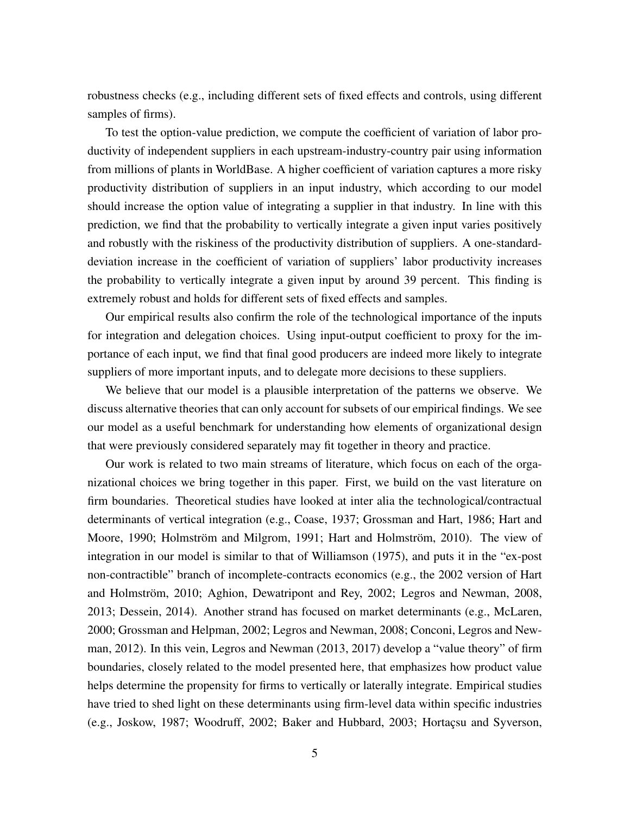robustness checks (e.g., including different sets of fixed effects and controls, using different samples of firms).

To test the option-value prediction, we compute the coefficient of variation of labor productivity of independent suppliers in each upstream-industry-country pair using information from millions of plants in WorldBase. A higher coefficient of variation captures a more risky productivity distribution of suppliers in an input industry, which according to our model should increase the option value of integrating a supplier in that industry. In line with this prediction, we find that the probability to vertically integrate a given input varies positively and robustly with the riskiness of the productivity distribution of suppliers. A one-standarddeviation increase in the coefficient of variation of suppliers' labor productivity increases the probability to vertically integrate a given input by around 39 percent. This finding is extremely robust and holds for different sets of fixed effects and samples.

Our empirical results also confirm the role of the technological importance of the inputs for integration and delegation choices. Using input-output coefficient to proxy for the importance of each input, we find that final good producers are indeed more likely to integrate suppliers of more important inputs, and to delegate more decisions to these suppliers.

We believe that our model is a plausible interpretation of the patterns we observe. We discuss alternative theories that can only account for subsets of our empirical findings. We see our model as a useful benchmark for understanding how elements of organizational design that were previously considered separately may fit together in theory and practice.

Our work is related to two main streams of literature, which focus on each of the organizational choices we bring together in this paper. First, we build on the vast literature on firm boundaries. Theoretical studies have looked at inter alia the technological/contractual determinants of vertical integration (e.g., Coase, 1937; Grossman and Hart, 1986; Hart and Moore, 1990; Holmström and Milgrom, 1991; Hart and Holmström, 2010). The view of integration in our model is similar to that of Williamson (1975), and puts it in the "ex-post non-contractible" branch of incomplete-contracts economics (e.g., the 2002 version of Hart and Holmström, 2010; Aghion, Dewatripont and Rey, 2002; Legros and Newman, 2008, 2013; Dessein, 2014). Another strand has focused on market determinants (e.g., McLaren, 2000; Grossman and Helpman, 2002; Legros and Newman, 2008; Conconi, Legros and Newman, 2012). In this vein, Legros and Newman (2013, 2017) develop a "value theory" of firm boundaries, closely related to the model presented here, that emphasizes how product value helps determine the propensity for firms to vertically or laterally integrate. Empirical studies have tried to shed light on these determinants using firm-level data within specific industries (e.g., Joskow, 1987; Woodruff, 2002; Baker and Hubbard, 2003; Hortaçsu and Syverson,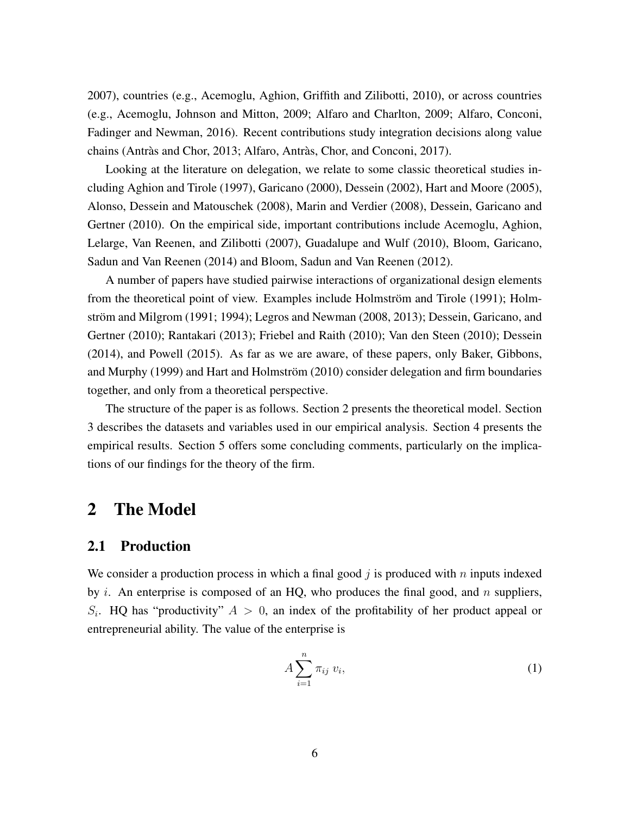2007), countries (e.g., Acemoglu, Aghion, Griffith and Zilibotti, 2010), or across countries (e.g., Acemoglu, Johnson and Mitton, 2009; Alfaro and Charlton, 2009; Alfaro, Conconi, Fadinger and Newman, 2016). Recent contributions study integration decisions along value chains (Antràs and Chor, 2013; Alfaro, Antràs, Chor, and Conconi, 2017).

Looking at the literature on delegation, we relate to some classic theoretical studies including Aghion and Tirole (1997), Garicano (2000), Dessein (2002), Hart and Moore (2005), Alonso, Dessein and Matouschek (2008), Marin and Verdier (2008), Dessein, Garicano and Gertner (2010). On the empirical side, important contributions include Acemoglu, Aghion, Lelarge, Van Reenen, and Zilibotti (2007), Guadalupe and Wulf (2010), Bloom, Garicano, Sadun and Van Reenen (2014) and Bloom, Sadun and Van Reenen (2012).

A number of papers have studied pairwise interactions of organizational design elements from the theoretical point of view. Examples include Holmström and Tirole (1991); Holmström and Milgrom (1991; 1994); Legros and Newman (2008, 2013); Dessein, Garicano, and Gertner (2010); Rantakari (2013); Friebel and Raith (2010); Van den Steen (2010); Dessein (2014), and Powell (2015). As far as we are aware, of these papers, only Baker, Gibbons, and Murphy (1999) and Hart and Holmström (2010) consider delegation and firm boundaries together, and only from a theoretical perspective.

The structure of the paper is as follows. Section 2 presents the theoretical model. Section 3 describes the datasets and variables used in our empirical analysis. Section 4 presents the empirical results. Section 5 offers some concluding comments, particularly on the implications of our findings for the theory of the firm.

# 2 The Model

## 2.1 Production

We consider a production process in which a final good  $j$  is produced with  $n$  inputs indexed by  $i$ . An enterprise is composed of an HQ, who produces the final good, and  $n$  suppliers,  $S_i$ . HQ has "productivity"  $A > 0$ , an index of the profitability of her product appeal or entrepreneurial ability. The value of the enterprise is

$$
A\sum_{i=1}^{n}\pi_{ij}v_i,
$$
\n(1)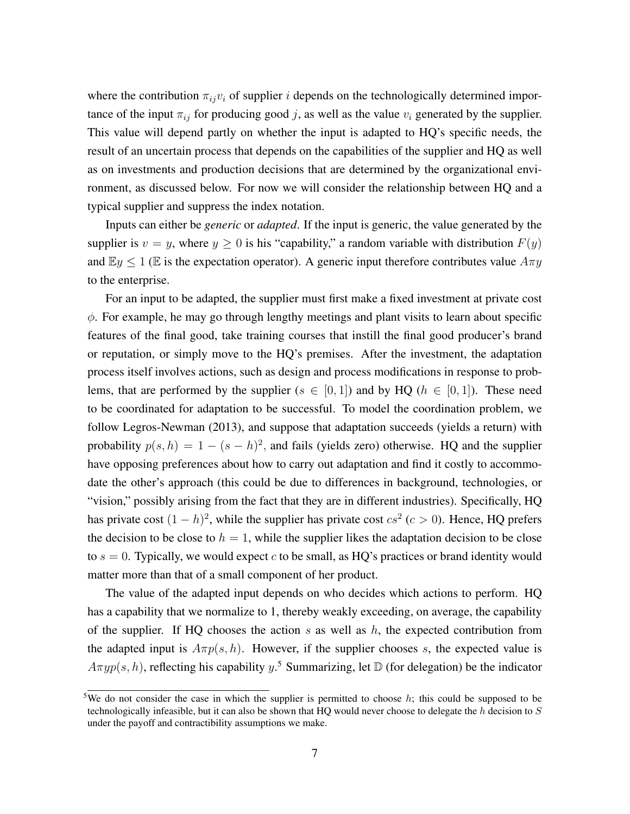where the contribution  $\pi_{ij}v_i$  of supplier i depends on the technologically determined importance of the input  $\pi_{ij}$  for producing good j, as well as the value  $v_i$  generated by the supplier. This value will depend partly on whether the input is adapted to HQ's specific needs, the result of an uncertain process that depends on the capabilities of the supplier and HQ as well as on investments and production decisions that are determined by the organizational environment, as discussed below. For now we will consider the relationship between HQ and a typical supplier and suppress the index notation.

Inputs can either be *generic* or *adapted*. If the input is generic, the value generated by the supplier is  $v = y$ , where  $y \ge 0$  is his "capability," a random variable with distribution  $F(y)$ and  $\mathbb{E}y \leq 1$  ( $\mathbb{E}$  is the expectation operator). A generic input therefore contributes value  $A\pi y$ to the enterprise.

For an input to be adapted, the supplier must first make a fixed investment at private cost  $\phi$ . For example, he may go through lengthy meetings and plant visits to learn about specific features of the final good, take training courses that instill the final good producer's brand or reputation, or simply move to the HQ's premises. After the investment, the adaptation process itself involves actions, such as design and process modifications in response to problems, that are performed by the supplier ( $s \in [0,1]$ ) and by HQ ( $h \in [0,1]$ ). These need to be coordinated for adaptation to be successful. To model the coordination problem, we follow Legros-Newman (2013), and suppose that adaptation succeeds (yields a return) with probability  $p(s, h) = 1 - (s - h)^2$ , and fails (yields zero) otherwise. HQ and the supplier have opposing preferences about how to carry out adaptation and find it costly to accommodate the other's approach (this could be due to differences in background, technologies, or "vision," possibly arising from the fact that they are in different industries). Specifically, HQ has private cost  $(1-h)^2$ , while the supplier has private cost  $cs^2$  ( $c > 0$ ). Hence, HQ prefers the decision to be close to  $h = 1$ , while the supplier likes the adaptation decision to be close to  $s = 0$ . Typically, we would expect c to be small, as HQ's practices or brand identity would matter more than that of a small component of her product.

The value of the adapted input depends on who decides which actions to perform. HQ has a capability that we normalize to 1, thereby weakly exceeding, on average, the capability of the supplier. If HQ chooses the action  $s$  as well as  $h$ , the expected contribution from the adapted input is  $A\pi p(s, h)$ . However, if the supplier chooses s, the expected value is  $A\pi y p(s, h)$ , reflecting his capability y.<sup>[5](#page--1-0)</sup> Summarizing, let  $\mathbb D$  (for delegation) be the indicator

<sup>&</sup>lt;sup>5</sup>We do not consider the case in which the supplier is permitted to choose h; this could be supposed to be technologically infeasible, but it can also be shown that HQ would never choose to delegate the  $h$  decision to  $S$ under the payoff and contractibility assumptions we make.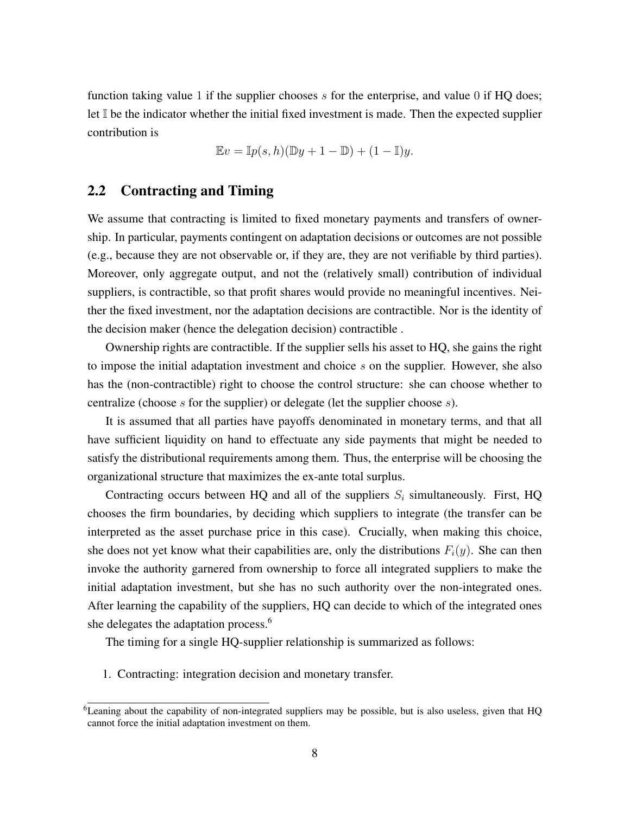function taking value 1 if the supplier chooses  $s$  for the enterprise, and value 0 if HQ does; let I be the indicator whether the initial fixed investment is made. Then the expected supplier contribution is

$$
\mathbb{E}v = \mathbb{I}p(s,h)(\mathbb{D}y + 1 - \mathbb{D}) + (1 - \mathbb{I})y.
$$

## 2.2 Contracting and Timing

We assume that contracting is limited to fixed monetary payments and transfers of ownership. In particular, payments contingent on adaptation decisions or outcomes are not possible (e.g., because they are not observable or, if they are, they are not verifiable by third parties). Moreover, only aggregate output, and not the (relatively small) contribution of individual suppliers, is contractible, so that profit shares would provide no meaningful incentives. Neither the fixed investment, nor the adaptation decisions are contractible. Nor is the identity of the decision maker (hence the delegation decision) contractible .

Ownership rights are contractible. If the supplier sells his asset to HQ, she gains the right to impose the initial adaptation investment and choice s on the supplier. However, she also has the (non-contractible) right to choose the control structure: she can choose whether to centralize (choose s for the supplier) or delegate (let the supplier choose s).

It is assumed that all parties have payoffs denominated in monetary terms, and that all have sufficient liquidity on hand to effectuate any side payments that might be needed to satisfy the distributional requirements among them. Thus, the enterprise will be choosing the organizational structure that maximizes the ex-ante total surplus.

Contracting occurs between HQ and all of the suppliers  $S_i$  simultaneously. First, HQ chooses the firm boundaries, by deciding which suppliers to integrate (the transfer can be interpreted as the asset purchase price in this case). Crucially, when making this choice, she does not yet know what their capabilities are, only the distributions  $F_i(y)$ . She can then invoke the authority garnered from ownership to force all integrated suppliers to make the initial adaptation investment, but she has no such authority over the non-integrated ones. After learning the capability of the suppliers, HQ can decide to which of the integrated ones she delegates the adaptation process.<sup>[6](#page--1-0)</sup>

The timing for a single HQ-supplier relationship is summarized as follows:

1. Contracting: integration decision and monetary transfer.

<sup>&</sup>lt;sup>6</sup>Leaning about the capability of non-integrated suppliers may be possible, but is also useless, given that HQ cannot force the initial adaptation investment on them.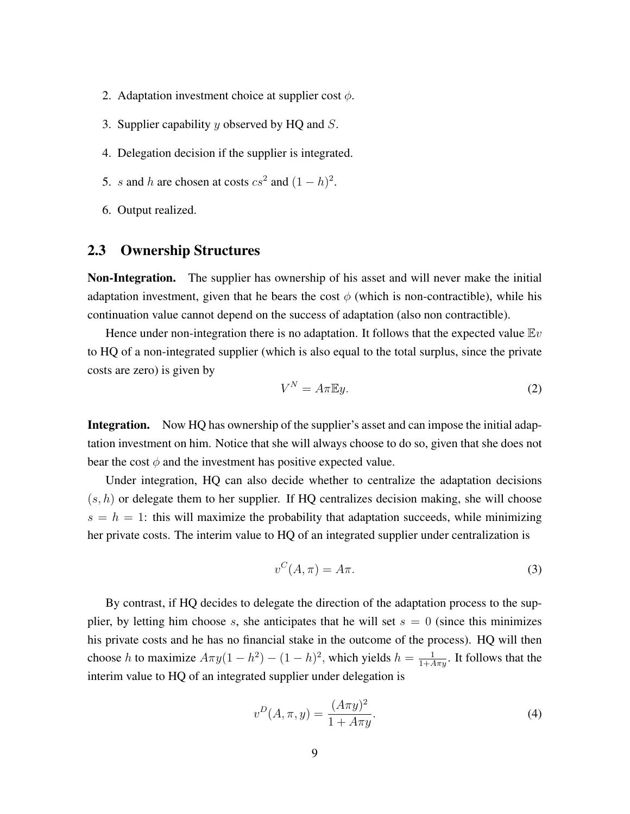- 2. Adaptation investment choice at supplier cost  $\phi$ .
- 3. Supplier capability  $y$  observed by HQ and  $S$ .
- 4. Delegation decision if the supplier is integrated.
- 5. s and h are chosen at costs  $cs^2$  and  $(1-h)^2$ .
- 6. Output realized.

## 2.3 Ownership Structures

Non-Integration. The supplier has ownership of his asset and will never make the initial adaptation investment, given that he bears the cost  $\phi$  (which is non-contractible), while his continuation value cannot depend on the success of adaptation (also non contractible).

Hence under non-integration there is no adaptation. It follows that the expected value  $Ev$ to HQ of a non-integrated supplier (which is also equal to the total surplus, since the private costs are zero) is given by

<span id="page-10-2"></span>
$$
V^N = A\pi \mathbb{E}y.
$$
 (2)

Integration. Now HQ has ownership of the supplier's asset and can impose the initial adaptation investment on him. Notice that she will always choose to do so, given that she does not bear the cost  $\phi$  and the investment has positive expected value.

Under integration, HQ can also decide whether to centralize the adaptation decisions  $(s, h)$  or delegate them to her supplier. If HQ centralizes decision making, she will choose  $s = h = 1$ : this will maximize the probability that adaptation succeeds, while minimizing her private costs. The interim value to HQ of an integrated supplier under centralization is

<span id="page-10-0"></span>
$$
v^C(A,\pi) = A\pi.
$$
 (3)

By contrast, if HQ decides to delegate the direction of the adaptation process to the supplier, by letting him choose s, she anticipates that he will set  $s = 0$  (since this minimizes his private costs and he has no financial stake in the outcome of the process). HQ will then choose h to maximize  $A\pi y(1-h^2) - (1-h)^2$ , which yields  $h = \frac{1}{1+A\pi y}$ . It follows that the interim value to HQ of an integrated supplier under delegation is

<span id="page-10-1"></span>
$$
v^{D}(A, \pi, y) = \frac{(A\pi y)^{2}}{1 + A\pi y}.
$$
\n(4)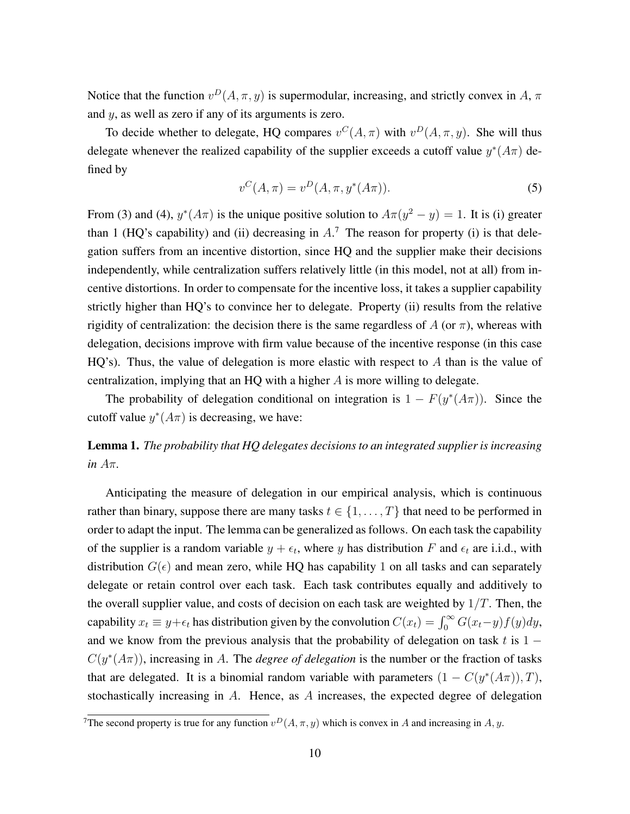Notice that the function  $v^D(A, \pi, y)$  is supermodular, increasing, and strictly convex in A,  $\pi$ and y, as well as zero if any of its arguments is zero.

To decide whether to delegate, HQ compares  $v^C(A, \pi)$  with  $v^D(A, \pi, y)$ . She will thus delegate whenever the realized capability of the supplier exceeds a cutoff value  $y^*(A\pi)$  defined by

$$
v^{C}(A,\pi) = v^{D}(A,\pi,y^{*}(A\pi)).
$$
\n(5)

From [\(3\)](#page-10-0) and [\(4\)](#page-10-1),  $y^*(A\pi)$  is the unique positive solution to  $A\pi(y^2 - y) = 1$ . It is (i) greater than 1 (HQ's capability) and (ii) decreasing in  $A$ <sup>[7](#page--1-0)</sup>. The reason for property (i) is that delegation suffers from an incentive distortion, since HQ and the supplier make their decisions independently, while centralization suffers relatively little (in this model, not at all) from incentive distortions. In order to compensate for the incentive loss, it takes a supplier capability strictly higher than HQ's to convince her to delegate. Property (ii) results from the relative rigidity of centralization: the decision there is the same regardless of A (or  $\pi$ ), whereas with delegation, decisions improve with firm value because of the incentive response (in this case  $HQ's)$ . Thus, the value of delegation is more elastic with respect to A than is the value of centralization, implying that an HQ with a higher A is more willing to delegate.

The probability of delegation conditional on integration is  $1 - F(y^*(A\pi))$ . Since the cutoff value  $y^*(A\pi)$  is decreasing, we have:

<span id="page-11-0"></span>Lemma 1. *The probability that HQ delegates decisions to an integrated supplier is increasing in* Aπ*.*

Anticipating the measure of delegation in our empirical analysis, which is continuous rather than binary, suppose there are many tasks  $t \in \{1, \ldots, T\}$  that need to be performed in order to adapt the input. The lemma can be generalized as follows. On each task the capability of the supplier is a random variable  $y + \epsilon_t$ , where y has distribution F and  $\epsilon_t$  are i.i.d., with distribution  $G(\epsilon)$  and mean zero, while HQ has capability 1 on all tasks and can separately delegate or retain control over each task. Each task contributes equally and additively to the overall supplier value, and costs of decision on each task are weighted by  $1/T$ . Then, the capability  $x_t \equiv y + \epsilon_t$  has distribution given by the convolution  $C(x_t) = \int_0^\infty G(x_t - y) f(y) dy$ , and we know from the previous analysis that the probability of delegation on task t is  $1 C(y^*(A\pi))$ , increasing in A. The *degree of delegation* is the number or the fraction of tasks that are delegated. It is a binomial random variable with parameters  $(1 - C(y^*(A\pi)), T)$ , stochastically increasing in A. Hence, as A increases, the expected degree of delegation

<sup>&</sup>lt;sup>7</sup>The second property is true for any function  $v^D(A, \pi, y)$  which is convex in A and increasing in A, y.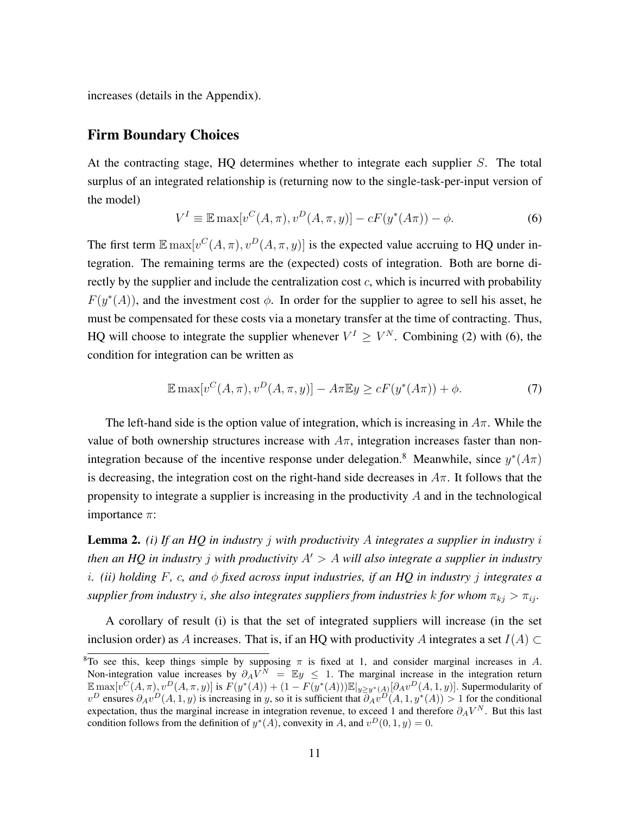increases (details in the Appendix).

## Firm Boundary Choices

At the contracting stage, HQ determines whether to integrate each supplier S. The total surplus of an integrated relationship is (returning now to the single-task-per-input version of the model)

<span id="page-12-0"></span>
$$
V^{I} \equiv \mathbb{E} \max[v^{C}(A,\pi), v^{D}(A,\pi,y)] - cF(y^{*}(A\pi)) - \phi.
$$
 (6)

The first term  $\mathbb{E} \max[v^C(A, \pi), v^D(A, \pi, y)]$  is the expected value accruing to HQ under integration. The remaining terms are the (expected) costs of integration. Both are borne directly by the supplier and include the centralization cost  $c$ , which is incurred with probability  $F(y^*(A))$ , and the investment cost  $\phi$ . In order for the supplier to agree to sell his asset, he must be compensated for these costs via a monetary transfer at the time of contracting. Thus, HQ will choose to integrate the supplier whenever  $V^I \geq V^N$ . Combining [\(2\)](#page-10-2) with [\(6\)](#page-12-0), the condition for integration can be written as

<span id="page-12-2"></span>
$$
\mathbb{E}\max[v^{C}(A,\pi),v^{D}(A,\pi,y)] - A\pi\mathbb{E}y \ge cF(y^{*}(A\pi)) + \phi.
$$
\n(7)

The left-hand side is the option value of integration, which is increasing in  $A\pi$ . While the value of both ownership structures increase with  $A\pi$ , integration increases faster than non-integration because of the incentive response under delegation.<sup>[8](#page--1-0)</sup> Meanwhile, since  $y^*(A\pi)$ is decreasing, the integration cost on the right-hand side decreases in  $A\pi$ . It follows that the propensity to integrate a supplier is increasing in the productivity A and in the technological importance  $\pi$ :

<span id="page-12-1"></span>Lemma 2. *(i) If an HQ in industry* j *with productivity* A *integrates a supplier in industry* i *then an HQ in industry j with productivity*  $A' > A$  *will also integrate a supplier in industry* i*. (ii) holding* F*,* c*, and* φ *fixed across input industries, if an HQ in industry* j *integrates a supplier from industry i, she also integrates suppliers from industries* k *for whom*  $\pi_{kj} > \pi_{ij}$ *.* 

A corollary of result (i) is that the set of integrated suppliers will increase (in the set inclusion order) as A increases. That is, if an HQ with productivity A integrates a set  $I(A) \subset$ 

<sup>&</sup>lt;sup>8</sup>To see this, keep things simple by supposing  $\pi$  is fixed at 1, and consider marginal increases in A. Non-integration value increases by  $\partial_A V^N = \mathbb{E}y \leq 1$ . The marginal increase in the integration return  $\mathbb{E} \max[v^{\tilde{C}}(A,\pi), v^D(A,\pi,y)]$  is  $F(y^*(A)) + (1 - F(y^*(A))) \mathbb{E}|_{y \geq y^*(A)} [\partial_A v^D(A,1,y)]$ . Supermodularity of  $v^D$  ensures  $\partial_A v^D(A,1,y)$  is increasing in y, so it is sufficient that  $\partial_A v^D(A,1,y^*(A)) > 1$  for the conditional expectation, thus the marginal increase in integration revenue, to exceed 1 and therefore  $\partial_A V^N$ . But this last condition follows from the definition of  $y^*(A)$ , convexity in A, and  $v^D(0, 1, y) = 0$ .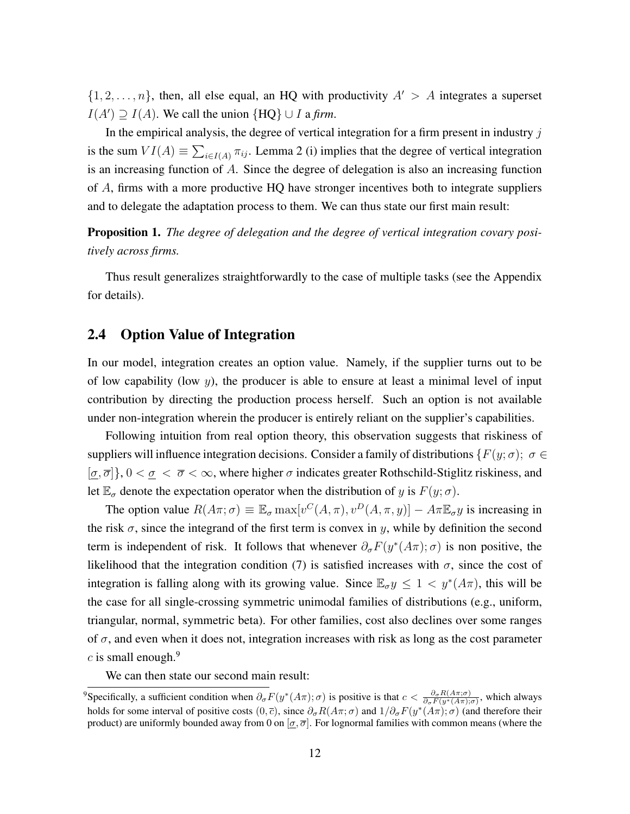$\{1, 2, \ldots, n\}$ , then, all else equal, an HQ with productivity  $A' > A$  integrates a superset  $I(A') \supseteq I(A)$ . We call the union  ${HQ} \cup I$  a *firm*.

In the empirical analysis, the degree of vertical integration for a firm present in industry  $j$ is the sum  $VI(A) \equiv \sum_{i \in I(A)} \pi_{ij}$ . Lemma [2](#page-12-1) (i) implies that the degree of vertical integration is an increasing function of A. Since the degree of delegation is also an increasing function of A, firms with a more productive HQ have stronger incentives both to integrate suppliers and to delegate the adaptation process to them. We can thus state our first main result:

<span id="page-13-0"></span>Proposition 1. *The degree of delegation and the degree of vertical integration covary positively across firms.*

Thus result generalizes straightforwardly to the case of multiple tasks (see the Appendix for details).

## <span id="page-13-1"></span>2.4 Option Value of Integration

In our model, integration creates an option value. Namely, if the supplier turns out to be of low capability (low  $y$ ), the producer is able to ensure at least a minimal level of input contribution by directing the production process herself. Such an option is not available under non-integration wherein the producer is entirely reliant on the supplier's capabilities.

Following intuition from real option theory, this observation suggests that riskiness of suppliers will influence integration decisions. Consider a family of distributions  $\{F(y; \sigma)\colon \sigma \in$  $[\sigma, \overline{\sigma}]$ ,  $0 < \sigma < \overline{\sigma} < \infty$ , where higher  $\sigma$  indicates greater Rothschild-Stiglitz riskiness, and let  $\mathbb{E}_{\sigma}$  denote the expectation operator when the distribution of y is  $F(y; \sigma)$ .

The option value  $R(A\pi;\sigma) \equiv \mathbb{E}_{\sigma} \max[v^C(A,\pi), v^D(A,\pi,y)] - A\pi \mathbb{E}_{\sigma} y$  is increasing in the risk  $\sigma$ , since the integrand of the first term is convex in y, while by definition the second term is independent of risk. It follows that whenever  $\partial_{\sigma} F(y^*(A\pi); \sigma)$  is non positive, the likelihood that the integration condition [\(7\)](#page-12-2) is satisfied increases with  $\sigma$ , since the cost of integration is falling along with its growing value. Since  $\mathbb{E}_{\sigma} y \le 1 < y^*(A\pi)$ , this will be the case for all single-crossing symmetric unimodal families of distributions (e.g., uniform, triangular, normal, symmetric beta). For other families, cost also declines over some ranges of  $\sigma$ , and even when it does not, integration increases with risk as long as the cost parameter c is small enough. $9$ 

We can then state our second main result:

<sup>&</sup>lt;sup>9</sup>Specifically, a sufficient condition when  $\partial_{\sigma} F(y^*(A\pi); \sigma)$  is positive is that  $c < \frac{\partial_{\sigma} R(A\pi; \sigma)}{\partial_{\sigma} F(y^*(A\pi); \sigma)}$ , which always holds for some interval of positive costs  $(0, \overline{c})$ , since  $\partial_{\sigma}R(A\pi; \sigma)$  and  $1/\partial_{\sigma}F(y^*(A\pi); \sigma)$  (and therefore their product) are uniformly bounded away from 0 on  $[\sigma, \overline{\sigma}]$ . For lognormal families with common means (where the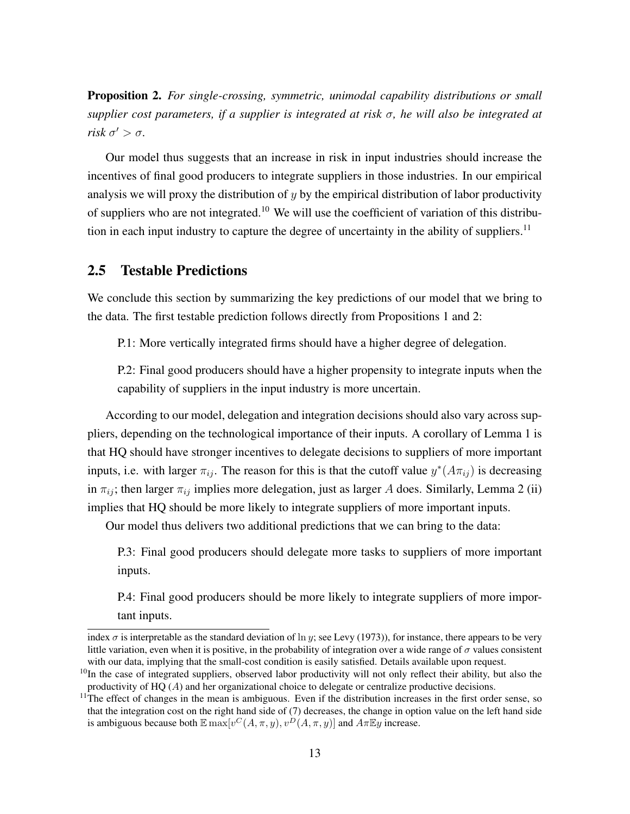<span id="page-14-0"></span>Proposition 2. *For single-crossing, symmetric, unimodal capability distributions or small supplier cost parameters, if a supplier is integrated at risk* σ*, he will also be integrated at risk*  $\sigma' > \sigma$ .

Our model thus suggests that an increase in risk in input industries should increase the incentives of final good producers to integrate suppliers in those industries. In our empirical analysis we will proxy the distribution of  $y$  by the empirical distribution of labor productivity of suppliers who are not integrated.[10](#page--1-0) We will use the coefficient of variation of this distribu-tion in each input industry to capture the degree of uncertainty in the ability of suppliers.<sup>[11](#page--1-0)</sup>

## 2.5 Testable Predictions

We conclude this section by summarizing the key predictions of our model that we bring to the data. The first testable prediction follows directly from Propositions [1](#page-13-0) and [2:](#page-14-0)

P.1: More vertically integrated firms should have a higher degree of delegation.

P.2: Final good producers should have a higher propensity to integrate inputs when the capability of suppliers in the input industry is more uncertain.

According to our model, delegation and integration decisions should also vary across suppliers, depending on the technological importance of their inputs. A corollary of Lemma [1](#page-11-0) is that HQ should have stronger incentives to delegate decisions to suppliers of more important inputs, i.e. with larger  $\pi_{ij}$ . The reason for this is that the cutoff value  $y^*(A\pi_{ij})$  is decreasing in  $\pi_{ij}$ ; then larger  $\pi_{ij}$  implies more delegation, just as larger A does. Similarly, Lemma [2](#page-12-1) (ii) implies that HQ should be more likely to integrate suppliers of more important inputs.

Our model thus delivers two additional predictions that we can bring to the data:

P.3: Final good producers should delegate more tasks to suppliers of more important inputs.

P.4: Final good producers should be more likely to integrate suppliers of more important inputs.

index  $\sigma$  is interpretable as the standard deviation of  $\ln y$ ; see Levy (1973)), for instance, there appears to be very little variation, even when it is positive, in the probability of integration over a wide range of  $\sigma$  values consistent with our data, implying that the small-cost condition is easily satisfied. Details available upon request.

<sup>&</sup>lt;sup>10</sup>In the case of integrated suppliers, observed labor productivity will not only reflect their ability, but also the productivity of  $HQ(A)$  and her organizational choice to delegate or centralize productive decisions.

 $11$ The effect of changes in the mean is ambiguous. Even if the distribution increases in the first order sense, so that the integration cost on the right hand side of [\(7\)](#page-12-2) decreases, the change in option value on the left hand side is ambiguous because both  $\mathbb{E} \max[v^C(A, \pi, y), v^D(A, \pi, y)]$  and  $A \pi \mathbb{E} y$  increase.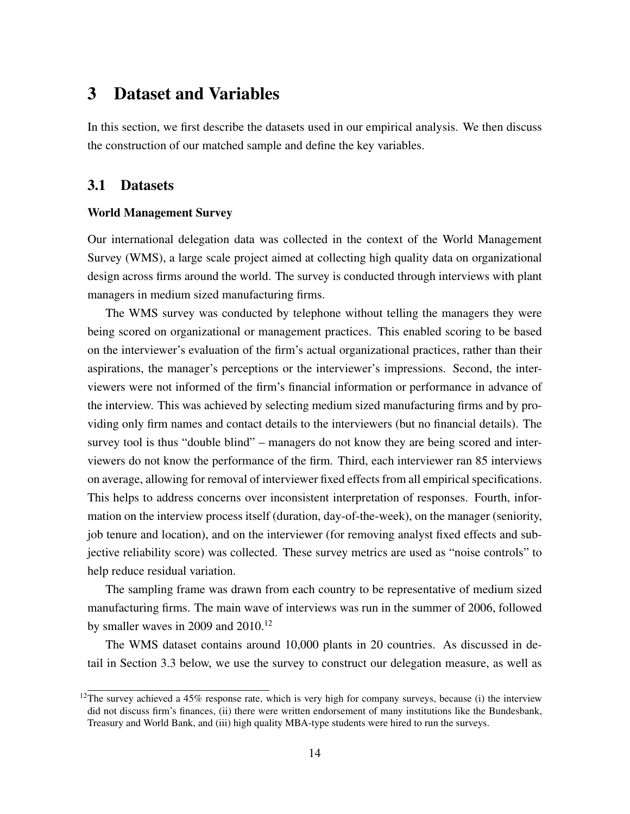## 3 Dataset and Variables

In this section, we first describe the datasets used in our empirical analysis. We then discuss the construction of our matched sample and define the key variables.

## 3.1 Datasets

#### World Management Survey

Our international delegation data was collected in the context of the World Management Survey (WMS), a large scale project aimed at collecting high quality data on organizational design across firms around the world. The survey is conducted through interviews with plant managers in medium sized manufacturing firms.

The WMS survey was conducted by telephone without telling the managers they were being scored on organizational or management practices. This enabled scoring to be based on the interviewer's evaluation of the firm's actual organizational practices, rather than their aspirations, the manager's perceptions or the interviewer's impressions. Second, the interviewers were not informed of the firm's financial information or performance in advance of the interview. This was achieved by selecting medium sized manufacturing firms and by providing only firm names and contact details to the interviewers (but no financial details). The survey tool is thus "double blind" – managers do not know they are being scored and interviewers do not know the performance of the firm. Third, each interviewer ran 85 interviews on average, allowing for removal of interviewer fixed effects from all empirical specifications. This helps to address concerns over inconsistent interpretation of responses. Fourth, information on the interview process itself (duration, day-of-the-week), on the manager (seniority, job tenure and location), and on the interviewer (for removing analyst fixed effects and subjective reliability score) was collected. These survey metrics are used as "noise controls" to help reduce residual variation.

The sampling frame was drawn from each country to be representative of medium sized manufacturing firms. The main wave of interviews was run in the summer of 2006, followed by smaller waves in 2009 and  $2010$ .<sup>[12](#page--1-0)</sup>

The WMS dataset contains around 10,000 plants in 20 countries. As discussed in detail in Section [3.3](#page-17-0) below, we use the survey to construct our delegation measure, as well as

 $12$ The survey achieved a 45% response rate, which is very high for company surveys, because (i) the interview did not discuss firm's finances, (ii) there were written endorsement of many institutions like the Bundesbank, Treasury and World Bank, and (iii) high quality MBA-type students were hired to run the surveys.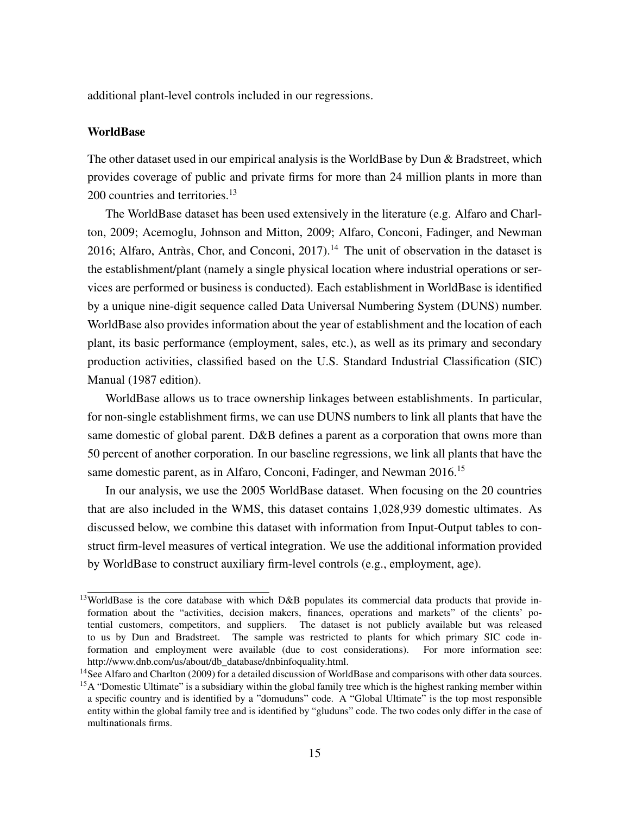additional plant-level controls included in our regressions.

#### **WorldBase**

The other dataset used in our empirical analysis is the WorldBase by Dun & Bradstreet, which provides coverage of public and private firms for more than 24 million plants in more than 200 countries and territories.<sup>[13](#page--1-0)</sup>

The WorldBase dataset has been used extensively in the literature (e.g. Alfaro and Charlton, 2009; Acemoglu, Johnson and Mitton, 2009; Alfaro, Conconi, Fadinger, and Newman 2016; Alfaro, Antràs, Chor, and Conconi,  $2017$ ).<sup>[14](#page--1-0)</sup> The unit of observation in the dataset is the establishment/plant (namely a single physical location where industrial operations or services are performed or business is conducted). Each establishment in WorldBase is identified by a unique nine-digit sequence called Data Universal Numbering System (DUNS) number. WorldBase also provides information about the year of establishment and the location of each plant, its basic performance (employment, sales, etc.), as well as its primary and secondary production activities, classified based on the U.S. Standard Industrial Classification (SIC) Manual (1987 edition).

WorldBase allows us to trace ownership linkages between establishments. In particular, for non-single establishment firms, we can use DUNS numbers to link all plants that have the same domestic of global parent. D&B defines a parent as a corporation that owns more than 50 percent of another corporation. In our baseline regressions, we link all plants that have the same domestic parent, as in Alfaro, Conconi, Fadinger, and Newman 2016.<sup>[15](#page--1-0)</sup>

In our analysis, we use the 2005 WorldBase dataset. When focusing on the 20 countries that are also included in the WMS, this dataset contains 1,028,939 domestic ultimates. As discussed below, we combine this dataset with information from Input-Output tables to construct firm-level measures of vertical integration. We use the additional information provided by WorldBase to construct auxiliary firm-level controls (e.g., employment, age).

<sup>&</sup>lt;sup>13</sup>WorldBase is the core database with which D&B populates its commercial data products that provide information about the "activities, decision makers, finances, operations and markets" of the clients' potential customers, competitors, and suppliers. The dataset is not publicly available but was released to us by Dun and Bradstreet. The sample was restricted to plants for which primary SIC code information and employment were available (due to cost considerations). For more information see: http://www.dnb.com/us/about/db\_database/dnbinfoquality.html.

<sup>&</sup>lt;sup>14</sup>See Alfaro and Charlton (2009) for a detailed discussion of WorldBase and comparisons with other data sources. <sup>15</sup>A "Domestic Ultimate" is a subsidiary within the global family tree which is the highest ranking member within a specific country and is identified by a "domuduns" code. A "Global Ultimate" is the top most responsible entity within the global family tree and is identified by "gluduns" code. The two codes only differ in the case of multinationals firms.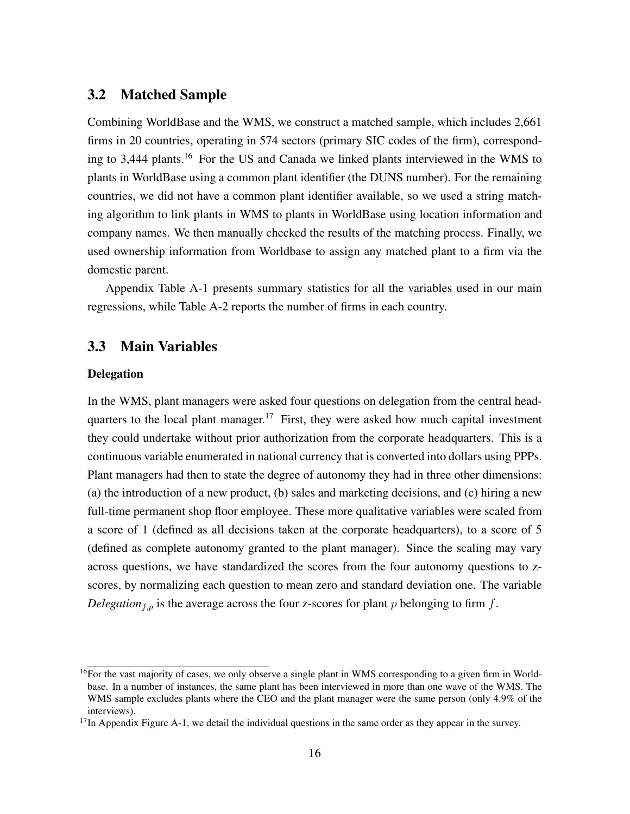## 3.2 Matched Sample

Combining WorldBase and the WMS, we construct a matched sample, which includes 2,661 firms in 20 countries, operating in 574 sectors (primary SIC codes of the firm), corresponding to 3,444 plants.[16](#page--1-0) For the US and Canada we linked plants interviewed in the WMS to plants in WorldBase using a common plant identifier (the DUNS number). For the remaining countries, we did not have a common plant identifier available, so we used a string matching algorithm to link plants in WMS to plants in WorldBase using location information and company names. We then manually checked the results of the matching process. Finally, we used ownership information from Worldbase to assign any matched plant to a firm via the domestic parent.

Appendix Table [A-1](#page-42-0) presents summary statistics for all the variables used in our main regressions, while Table [A-2](#page-43-0) reports the number of firms in each country.

## <span id="page-17-0"></span>3.3 Main Variables

#### Delegation

In the WMS, plant managers were asked four questions on delegation from the central head-quarters to the local plant manager.<sup>[17](#page--1-0)</sup> First, they were asked how much capital investment they could undertake without prior authorization from the corporate headquarters. This is a continuous variable enumerated in national currency that is converted into dollars using PPPs. Plant managers had then to state the degree of autonomy they had in three other dimensions: (a) the introduction of a new product, (b) sales and marketing decisions, and (c) hiring a new full-time permanent shop floor employee. These more qualitative variables were scaled from a score of 1 (defined as all decisions taken at the corporate headquarters), to a score of 5 (defined as complete autonomy granted to the plant manager). Since the scaling may vary across questions, we have standardized the scores from the four autonomy questions to zscores, by normalizing each question to mean zero and standard deviation one. The variable *Delegation*<sub>f,p</sub> is the average across the four z-scores for plant p belonging to firm  $f$ .

 $16$ For the vast majority of cases, we only observe a single plant in WMS corresponding to a given firm in Worldbase. In a number of instances, the same plant has been interviewed in more than one wave of the WMS. The WMS sample excludes plants where the CEO and the plant manager were the same person (only 4.9% of the interviews).

 $17$ In Appendix Figure [A-1,](#page-44-0) we detail the individual questions in the same order as they appear in the survey.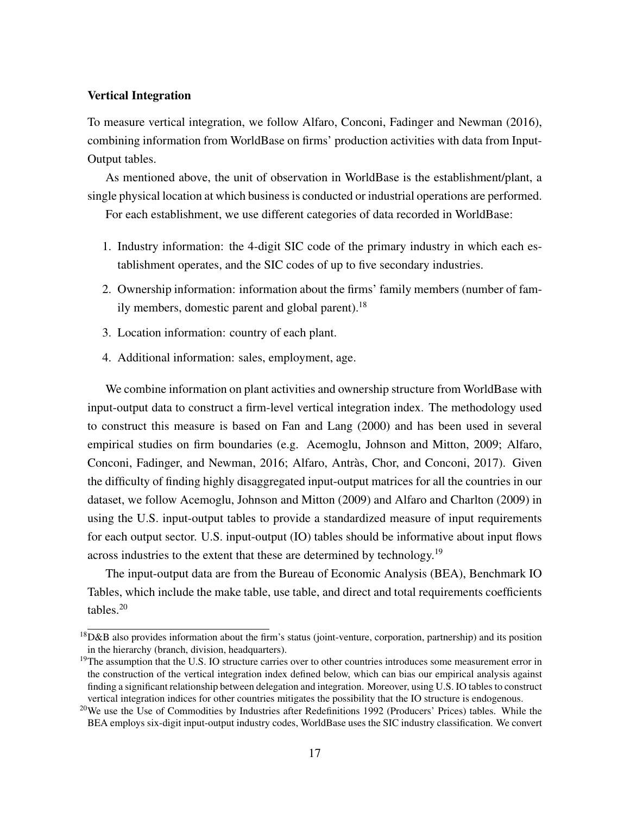#### Vertical Integration

To measure vertical integration, we follow Alfaro, Conconi, Fadinger and Newman (2016), combining information from WorldBase on firms' production activities with data from Input-Output tables.

As mentioned above, the unit of observation in WorldBase is the establishment/plant, a single physical location at which business is conducted or industrial operations are performed.

For each establishment, we use different categories of data recorded in WorldBase:

- 1. Industry information: the 4-digit SIC code of the primary industry in which each establishment operates, and the SIC codes of up to five secondary industries.
- 2. Ownership information: information about the firms' family members (number of fam-ily members, domestic parent and global parent).<sup>[18](#page--1-0)</sup>
- 3. Location information: country of each plant.
- 4. Additional information: sales, employment, age.

We combine information on plant activities and ownership structure from WorldBase with input-output data to construct a firm-level vertical integration index. The methodology used to construct this measure is based on Fan and Lang (2000) and has been used in several empirical studies on firm boundaries (e.g. Acemoglu, Johnson and Mitton, 2009; Alfaro, Conconi, Fadinger, and Newman, 2016; Alfaro, Antràs, Chor, and Conconi, 2017). Given the difficulty of finding highly disaggregated input-output matrices for all the countries in our dataset, we follow Acemoglu, Johnson and Mitton (2009) and Alfaro and Charlton (2009) in using the U.S. input-output tables to provide a standardized measure of input requirements for each output sector. U.S. input-output (IO) tables should be informative about input flows across industries to the extent that these are determined by technology.<sup>[19](#page--1-0)</sup>

The input-output data are from the Bureau of Economic Analysis (BEA), Benchmark IO Tables, which include the make table, use table, and direct and total requirements coefficients tables. $20$ 

 ${}^{18}D\&B$  also provides information about the firm's status (joint-venture, corporation, partnership) and its position in the hierarchy (branch, division, headquarters).

<sup>&</sup>lt;sup>19</sup>The assumption that the U.S. IO structure carries over to other countries introduces some measurement error in the construction of the vertical integration index defined below, which can bias our empirical analysis against finding a significant relationship between delegation and integration. Moreover, using U.S. IO tables to construct vertical integration indices for other countries mitigates the possibility that the IO structure is endogenous.

<sup>&</sup>lt;sup>20</sup>We use the Use of Commodities by Industries after Redefinitions 1992 (Producers' Prices) tables. While the BEA employs six-digit input-output industry codes, WorldBase uses the SIC industry classification. We convert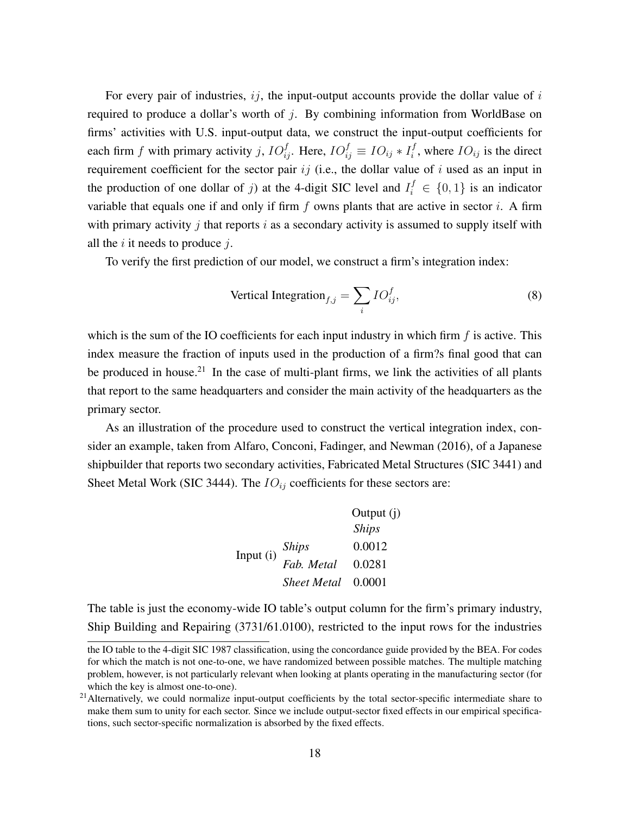For every pair of industries,  $i\dot{j}$ , the input-output accounts provide the dollar value of  $i$ required to produce a dollar's worth of  $j$ . By combining information from WorldBase on firms' activities with U.S. input-output data, we construct the input-output coefficients for each firm f with primary activity j,  $IO_{ij}^f$ . Here,  $IO_{ij}^f \equiv IO_{ij} * I_i^f$  $i<sup>j</sup>$ , where  $IO_{ij}$  is the direct requirement coefficient for the sector pair  $ij$  (i.e., the dollar value of i used as an input in the production of one dollar of j) at the 4-digit SIC level and  $I_i^f \in \{0, 1\}$  is an indicator variable that equals one if and only if firm  $f$  owns plants that are active in sector  $i$ . A firm with primary activity j that reports  $i$  as a secondary activity is assumed to supply itself with all the  $i$  it needs to produce  $j$ .

To verify the first prediction of our model, we construct a firm's integration index:

Vertical Integration<sub>f,j</sub> = 
$$
\sum_{i} IO_{ij}^f,
$$
 (8)

which is the sum of the IO coefficients for each input industry in which firm  $f$  is active. This index measure the fraction of inputs used in the production of a firm?s final good that can be produced in house.<sup>[21](#page--1-0)</sup> In the case of multi-plant firms, we link the activities of all plants that report to the same headquarters and consider the main activity of the headquarters as the primary sector.

As an illustration of the procedure used to construct the vertical integration index, consider an example, taken from Alfaro, Conconi, Fadinger, and Newman (2016), of a Japanese shipbuilder that reports two secondary activities, Fabricated Metal Structures (SIC 3441) and Sheet Metal Work (SIC 3444). The  $IO_{ij}$  coefficients for these sectors are:

|           |                    | Output $(i)$ |
|-----------|--------------------|--------------|
|           |                    | <b>Ships</b> |
| Input (i) | Ships              | 0.0012       |
|           | Fab. Metal         | 0.0281       |
|           | <b>Sheet Metal</b> | 0.0001       |

The table is just the economy-wide IO table's output column for the firm's primary industry, Ship Building and Repairing (3731/61.0100), restricted to the input rows for the industries

the IO table to the 4-digit SIC 1987 classification, using the concordance guide provided by the BEA. For codes for which the match is not one-to-one, we have randomized between possible matches. The multiple matching problem, however, is not particularly relevant when looking at plants operating in the manufacturing sector (for which the key is almost one-to-one).

<sup>&</sup>lt;sup>21</sup> Alternatively, we could normalize input-output coefficients by the total sector-specific intermediate share to make them sum to unity for each sector. Since we include output-sector fixed effects in our empirical specifications, such sector-specific normalization is absorbed by the fixed effects.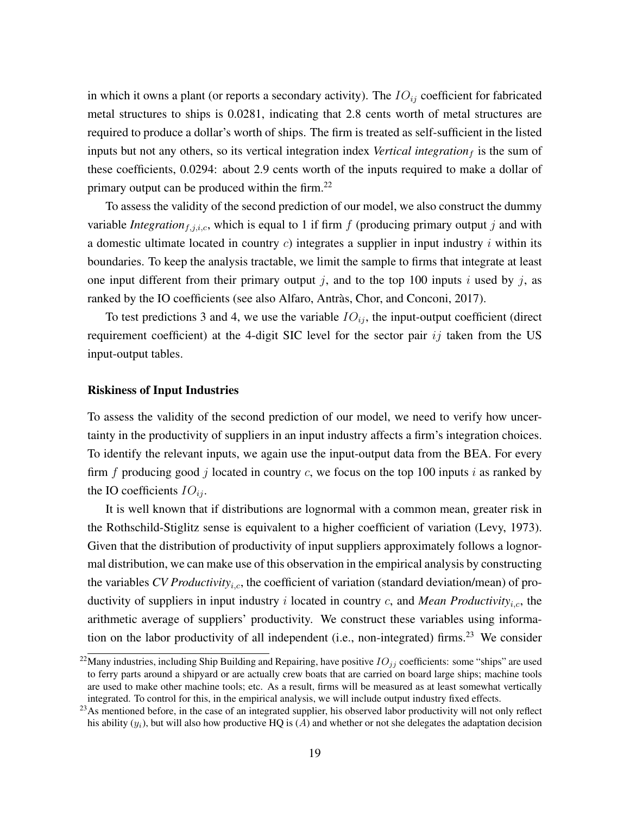in which it owns a plant (or reports a secondary activity). The  $IO_{ij}$  coefficient for fabricated metal structures to ships is 0.0281, indicating that 2.8 cents worth of metal structures are required to produce a dollar's worth of ships. The firm is treated as self-sufficient in the listed inputs but not any others, so its vertical integration index *Vertical integration*  $<sub>f</sub>$  is the sum of</sub> these coefficients, 0.0294: about 2.9 cents worth of the inputs required to make a dollar of primary output can be produced within the firm.<sup>[22](#page--1-0)</sup>

To assess the validity of the second prediction of our model, we also construct the dummy variable *Integration* $_{f,j,i,c}$ , which is equal to 1 if firm  $f$  (producing primary output  $j$  and with a domestic ultimate located in country  $c$ ) integrates a supplier in input industry i within its boundaries. To keep the analysis tractable, we limit the sample to firms that integrate at least one input different from their primary output j, and to the top 100 inputs i used by j, as ranked by the IO coefficients (see also Alfaro, Antràs, Chor, and Conconi, 2017).

To test predictions 3 and 4, we use the variable  $IO_{ij}$ , the input-output coefficient (direct requirement coefficient) at the 4-digit SIC level for the sector pair  $ij$  taken from the US input-output tables.

#### <span id="page-20-0"></span>Riskiness of Input Industries

To assess the validity of the second prediction of our model, we need to verify how uncertainty in the productivity of suppliers in an input industry affects a firm's integration choices. To identify the relevant inputs, we again use the input-output data from the BEA. For every firm f producing good j located in country c, we focus on the top 100 inputs i as ranked by the IO coefficients  $IO_{ij}$ .

It is well known that if distributions are lognormal with a common mean, greater risk in the Rothschild-Stiglitz sense is equivalent to a higher coefficient of variation (Levy, 1973). Given that the distribution of productivity of input suppliers approximately follows a lognormal distribution, we can make use of this observation in the empirical analysis by constructing the variables *CV Productivity<sub>i.c</sub>*, the coefficient of variation (standard deviation/mean) of productivity of suppliers in input industry  $i$  located in country  $c$ , and *Mean Productivity<sub>i.c</sub>*, the arithmetic average of suppliers' productivity. We construct these variables using informa-tion on the labor productivity of all independent (i.e., non-integrated) firms.<sup>[23](#page--1-0)</sup> We consider

<sup>&</sup>lt;sup>22</sup>Many industries, including Ship Building and Repairing, have positive  $IO_{jj}$  coefficients: some "ships" are used to ferry parts around a shipyard or are actually crew boats that are carried on board large ships; machine tools are used to make other machine tools; etc. As a result, firms will be measured as at least somewhat vertically integrated. To control for this, in the empirical analysis, we will include output industry fixed effects.

<sup>&</sup>lt;sup>23</sup>As mentioned before, in the case of an integrated supplier, his observed labor productivity will not only reflect his ability  $(y_i)$ , but will also how productive HQ is  $(A)$  and whether or not she delegates the adaptation decision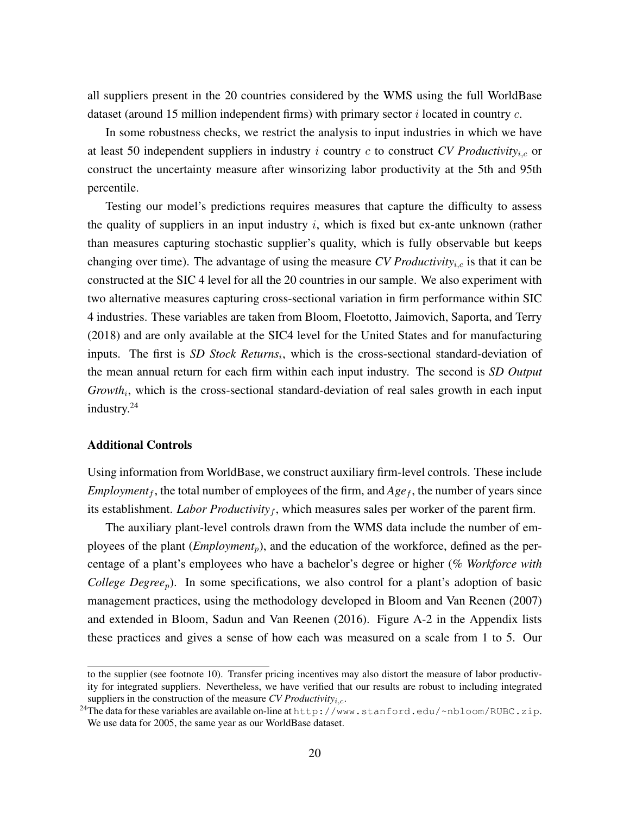all suppliers present in the 20 countries considered by the WMS using the full WorldBase dataset (around 15 million independent firms) with primary sector  $i$  located in country  $c$ .

In some robustness checks, we restrict the analysis to input industries in which we have at least 50 independent suppliers in industry  $i$  country  $c$  to construct *CV Productivity<sub>i,c</sub>* or construct the uncertainty measure after winsorizing labor productivity at the 5th and 95th percentile.

Testing our model's predictions requires measures that capture the difficulty to assess the quality of suppliers in an input industry  $i$ , which is fixed but ex-ante unknown (rather than measures capturing stochastic supplier's quality, which is fully observable but keeps changing over time). The advantage of using the measure *CV Productivity<sub>i,c</sub>* is that it can be constructed at the SIC 4 level for all the 20 countries in our sample. We also experiment with two alternative measures capturing cross-sectional variation in firm performance within SIC 4 industries. These variables are taken from Bloom, Floetotto, Jaimovich, Saporta, and Terry (2018) and are only available at the SIC4 level for the United States and for manufacturing inputs. The first is *SD Stock Returns<sub>i</sub>*, which is the cross-sectional standard-deviation of the mean annual return for each firm within each input industry. The second is *SD Output* Growth<sub>i</sub>, which is the cross-sectional standard-deviation of real sales growth in each input industry.[24](#page--1-0)

#### <span id="page-21-0"></span>Additional Controls

Using information from WorldBase, we construct auxiliary firm-level controls. These include *Employment*<sub>f</sub>, the total number of employees of the firm, and  $Age_f$ , the number of years since its establishment. *Labor Productivity<sub>f</sub>*, which measures sales per worker of the parent firm.

The auxiliary plant-level controls drawn from the WMS data include the number of employees of the plant (*Employment<sub>p</sub>*), and the education of the workforce, defined as the percentage of a plant's employees who have a bachelor's degree or higher (*% Workforce with College Degree<sub>p</sub>*). In some specifications, we also control for a plant's adoption of basic management practices, using the methodology developed in Bloom and Van Reenen (2007) and extended in Bloom, Sadun and Van Reenen (2016). Figure [A-2](#page-45-0) in the Appendix lists these practices and gives a sense of how each was measured on a scale from 1 to 5. Our

to the supplier (see footnote [10\)](#page-14-0). Transfer pricing incentives may also distort the measure of labor productivity for integrated suppliers. Nevertheless, we have verified that our results are robust to including integrated suppliers in the construction of the measure  $CV$  *Productivity<sub>i,c</sub>*.

<sup>&</sup>lt;sup>24</sup>The data for these variables are available on-line at  $http://www.stanford.edu/~nbloom/RUBC.zip.$  $http://www.stanford.edu/~nbloom/RUBC.zip.$ We use data for 2005, the same year as our WorldBase dataset.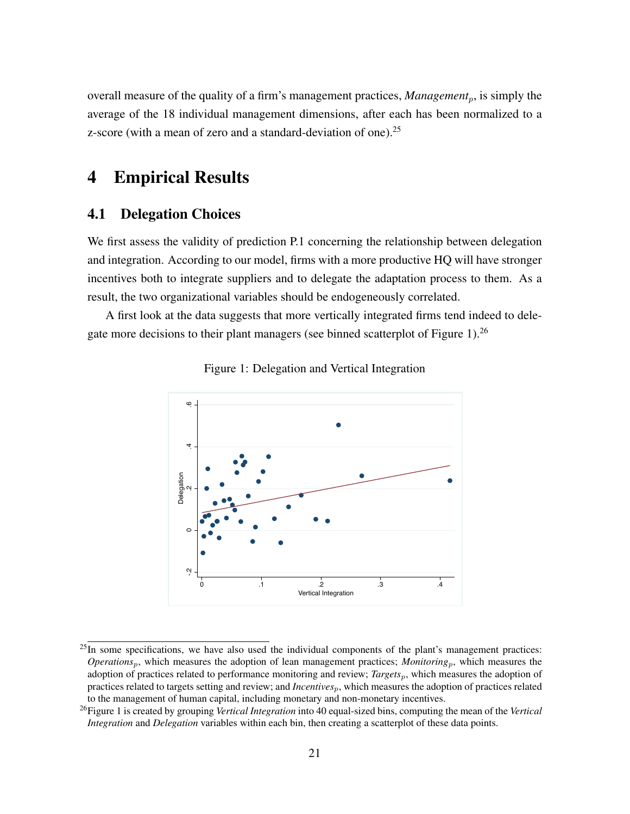overall measure of the quality of a firm's management practices, *Management<sub>p</sub>*, is simply the average of the 18 individual management dimensions, after each has been normalized to a z-score (with a mean of zero and a standard-deviation of one).<sup>[25](#page--1-0)</sup>

# 4 Empirical Results

## 4.1 Delegation Choices

We first assess the validity of prediction P.1 concerning the relationship between delegation and integration. According to our model, firms with a more productive HQ will have stronger incentives both to integrate suppliers and to delegate the adaptation process to them. As a result, the two organizational variables should be endogeneously correlated.

<span id="page-22-0"></span>A first look at the data suggests that more vertically integrated firms tend indeed to delegate more decisions to their plant managers (see binned scatterplot of Figure [1\)](#page-22-0).[26](#page--1-0)





 $25$ In some specifications, we have also used the individual components of the plant's management practices: *Operations<sub>p</sub>*, which measures the adoption of lean management practices; *Monitoring<sub>p</sub>*, which measures the adoption of practices related to performance monitoring and review; *Targets*p, which measures the adoption of practices related to targets setting and review; and *Incentives*p, which measures the adoption of practices related to the management of human capital, including monetary and non-monetary incentives.

<sup>26</sup>Figure [1](#page-22-0) is created by grouping *Vertical Integration* into 40 equal-sized bins, computing the mean of the *Vertical Integration* and *Delegation* variables within each bin, then creating a scatterplot of these data points.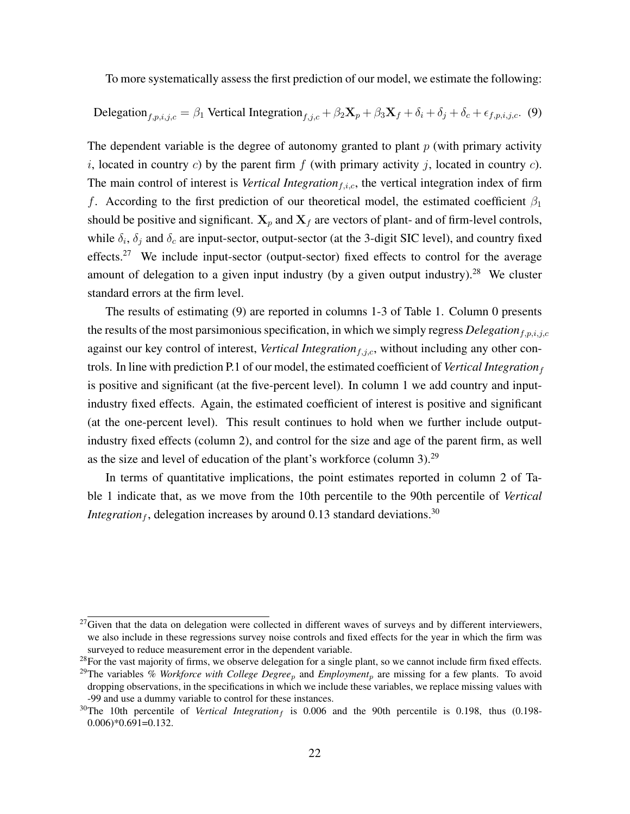To more systematically assess the first prediction of our model, we estimate the following:

<span id="page-23-0"></span>Delegation<sub>f,p,i,j,c</sub> = 
$$
\beta_1
$$
 Vertical Integration<sub>f,j,c</sub> +  $\beta_2$ **X**<sub>p</sub> +  $\beta_3$ **X**<sub>f</sub> +  $\delta_i$  +  $\delta_j$  +  $\delta_c$  +  $\epsilon_{f,p,i,j,c}$ . (9)

The dependent variable is the degree of autonomy granted to plant  $p$  (with primary activity i, located in country c) by the parent firm f (with primary activity j, located in country c). The main control of interest is *Vertical Integration<sub>f,i,c</sub>*, the vertical integration index of firm f. According to the first prediction of our theoretical model, the estimated coefficient  $\beta_1$ should be positive and significant.  $X_p$  and  $X_f$  are vectors of plant- and of firm-level controls, while  $\delta_i$ ,  $\delta_j$  and  $\delta_c$  are input-sector, output-sector (at the 3-digit SIC level), and country fixed effects.<sup>[27](#page--1-0)</sup> We include input-sector (output-sector) fixed effects to control for the average amount of delegation to a given input industry (by a given output industry).<sup>[28](#page--1-0)</sup> We cluster standard errors at the firm level.

The results of estimating [\(9\)](#page-23-0) are reported in columns 1-3 of Table [1.](#page-24-0) Column 0 presents the results of the most parsimonious specification, in which we simply regress *Delegation*<sub>f,p,i,j,c</sub> against our key control of interest, *Vertical Integration*<sub>f,j,c</sub>, without including any other controls. In line with prediction P.1 of our model, the estimated coefficient of *Vertical Integration*<sub>f</sub> is positive and significant (at the five-percent level). In column 1 we add country and inputindustry fixed effects. Again, the estimated coefficient of interest is positive and significant (at the one-percent level). This result continues to hold when we further include outputindustry fixed effects (column 2), and control for the size and age of the parent firm, as well as the size and level of education of the plant's workforce (column 3).[29](#page--1-0)

In terms of quantitative implications, the point estimates reported in column 2 of Table [1](#page-24-0) indicate that, as we move from the 10th percentile to the 90th percentile of *Vertical Integration*<sub>f</sub>, delegation increases by around 0.13 standard deviations.<sup>[30](#page--1-0)</sup>

 $27$ Given that the data on delegation were collected in different waves of surveys and by different interviewers, we also include in these regressions survey noise controls and fixed effects for the year in which the firm was surveyed to reduce measurement error in the dependent variable.

<sup>&</sup>lt;sup>28</sup>For the vast majority of firms, we observe delegation for a single plant, so we cannot include firm fixed effects.

<sup>&</sup>lt;sup>29</sup>The variables % *Workforce with College Degree<sub>p</sub>* and *Employment<sub>p</sub>* are missing for a few plants. To avoid dropping observations, in the specifications in which we include these variables, we replace missing values with -99 and use a dummy variable to control for these instances.

 $30$ The 10th percentile of *Vertical Integration<sub>f</sub>* is 0.006 and the 90th percentile is 0.198, thus (0.198-0.006)\*0.691=0.132.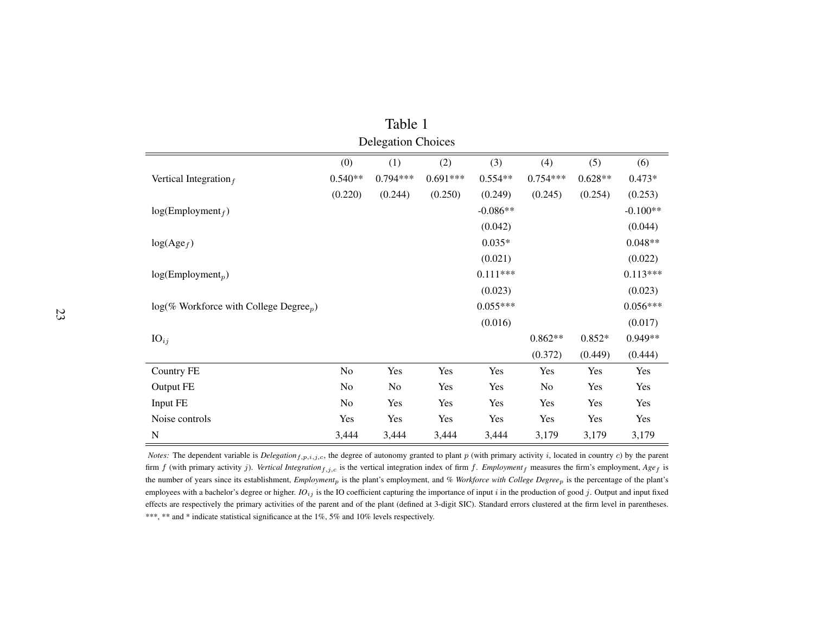| Table 1                                               |                |            |            |            |            |           |            |  |
|-------------------------------------------------------|----------------|------------|------------|------------|------------|-----------|------------|--|
| <b>Delegation Choices</b>                             |                |            |            |            |            |           |            |  |
| (0)<br>(1)<br>(2)<br>(3)<br>(4)<br>(5)<br>(6)         |                |            |            |            |            |           |            |  |
| Vertical Integration $_f$                             | $0.540**$      | $0.794***$ | $0.691***$ | $0.554**$  | $0.754***$ | $0.628**$ | $0.473*$   |  |
|                                                       | (0.220)        | (0.244)    | (0.250)    | (0.249)    | (0.245)    | (0.254)   | (0.253)    |  |
| log(Employment <sub>f</sub> )                         |                |            |            | $-0.086**$ |            |           | $-0.100**$ |  |
|                                                       |                |            |            | (0.042)    |            |           | (0.044)    |  |
| $log(Age_f)$                                          |                |            |            | $0.035*$   |            |           | $0.048**$  |  |
|                                                       |                |            |            | (0.021)    |            |           | (0.022)    |  |
| $log(Employment_p)$                                   |                |            |            | $0.111***$ |            |           | $0.113***$ |  |
|                                                       |                |            |            | (0.023)    |            |           | (0.023)    |  |
| $log(\%$ Workforce with College Degree <sub>n</sub> ) |                |            |            | $0.055***$ |            |           | $0.056***$ |  |
|                                                       |                |            |            | (0.016)    |            |           | (0.017)    |  |
| $IO_{ij}$                                             |                |            |            |            | $0.862**$  | $0.852*$  | 0.949**    |  |
|                                                       |                |            |            |            | (0.372)    | (0.449)   | (0.444)    |  |
| <b>Country FE</b>                                     | No             | Yes        | Yes        | Yes        | Yes        | Yes       | Yes        |  |
| Output FE                                             | N <sub>o</sub> | No         | Yes        | Yes        | No         | Yes       | Yes        |  |
| Input FE                                              | N <sub>0</sub> | Yes        | Yes        | Yes        | Yes        | Yes       | Yes        |  |
| Noise controls                                        | Yes            | Yes        | Yes        | Yes        | Yes        | Yes       | Yes        |  |
| $\mathbf N$                                           | 3,444          | 3,444      | 3,444      | 3,444      | 3,179      | 3,179     | 3,179      |  |

<span id="page-24-0"></span>*Notes:* The dependent variable is *Delegation*  $_{f,p,i,j,c}$ , the degree of autonomy granted to plant  $p$  (with primary activity  $i$ , located in country  $c$ ) by the parent firm  $f$  (with primary activity  $j$ ). *Vertical Integration*<sub>f,j,c</sub> is the vertical integration index of firm  $f$ . *Employment*<sub>f</sub> measures the firm's employment,  $Age_f$  is the number of years since its establishment, *Employment*<sup>p</sup> is the <sup>p</sup>lant's employment, and *% Workforce with College Degree*<sup>p</sup> is the percentage of the <sup>p</sup>lant's employees with <sup>a</sup> bachelor's degree or higher. *IO*ij is the IO coefficient capturing the importance of input <sup>i</sup> in the production of goo<sup>d</sup> j. Output and input fixed effects are respectively the primary activities of the paren<sup>t</sup> and of the plant (defined at 3-digit SIC). Standard errors clustered at the firm level in parentheses.\*\*\*, \*\* and \* indicate statistical significance at the 1%, 5% and 10% levels respectively.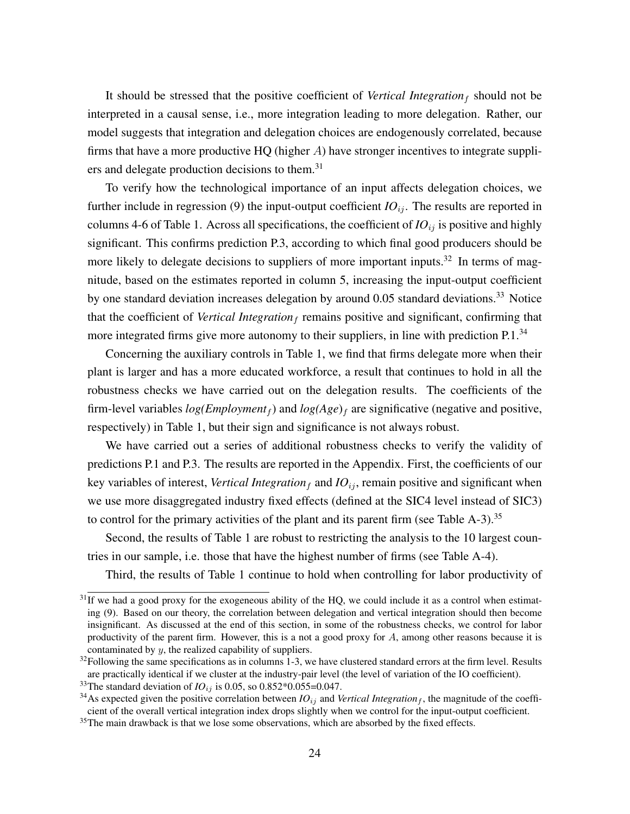It should be stressed that the positive coefficient of *Vertical Integration* $_f$  should not be interpreted in a causal sense, i.e., more integration leading to more delegation. Rather, our model suggests that integration and delegation choices are endogenously correlated, because firms that have a more productive  $HQ$  (higher  $A$ ) have stronger incentives to integrate suppli-ers and delegate production decisions to them.<sup>[31](#page--1-0)</sup>

To verify how the technological importance of an input affects delegation choices, we further include in regression [\(9\)](#page-23-0) the input-output coefficient  $IO_{ij}$ . The results are reported in columns 4-6 of Table [1.](#page-24-0) Across all specifications, the coefficient of  $IO_{ij}$  is positive and highly significant. This confirms prediction P.3, according to which final good producers should be more likely to delegate decisions to suppliers of more important inputs.<sup>[32](#page--1-0)</sup> In terms of magnitude, based on the estimates reported in column 5, increasing the input-output coefficient by one standard deviation increases delegation by around 0.05 standard deviations.<sup>[33](#page--1-0)</sup> Notice that the coefficient of *Vertical Integration*  $_f$  remains positive and significant, confirming that more integrated firms give more autonomy to their suppliers, in line with prediction P.1.<sup>[34](#page--1-0)</sup>

Concerning the auxiliary controls in Table [1,](#page-24-0) we find that firms delegate more when their plant is larger and has a more educated workforce, a result that continues to hold in all the robustness checks we have carried out on the delegation results. The coefficients of the firm-level variables  $log(Employment<sub>f</sub>)$  and  $log(Age)<sub>f</sub>$  are significative (negative and positive, respectively) in Table [1,](#page-24-0) but their sign and significance is not always robust.

We have carried out a series of additional robustness checks to verify the validity of predictions P.1 and P.3. The results are reported in the Appendix. First, the coefficients of our key variables of interest, *Vertical Integration*  $_f$  and  $IO_{ij}$ , remain positive and significant when we use more disaggregated industry fixed effects (defined at the SIC4 level instead of SIC3) to control for the primary activities of the plant and its parent firm (see Table  $A-3$ ).<sup>[35](#page--1-0)</sup>

Second, the results of Table [1](#page-24-0) are robust to restricting the analysis to the 10 largest countries in our sample, i.e. those that have the highest number of firms (see Table [A-4\)](#page-47-0).

Third, the results of Table [1](#page-24-0) continue to hold when controlling for labor productivity of

 $31$ If we had a good proxy for the exogeneous ability of the HQ, we could include it as a control when estimating [\(9\)](#page-23-0). Based on our theory, the correlation between delegation and vertical integration should then become insignificant. As discussed at the end of this section, in some of the robustness checks, we control for labor productivity of the parent firm. However, this is a not a good proxy for A, among other reasons because it is contaminated by y, the realized capability of suppliers.

 $32$ Following the same specifications as in columns 1-3, we have clustered standard errors at the firm level. Results are practically identical if we cluster at the industry-pair level (the level of variation of the IO coefficient).

<sup>&</sup>lt;sup>33</sup>The standard deviation of *IO*<sub>ij</sub> is 0.05, so 0.852\*0.055=0.047.

<sup>&</sup>lt;sup>34</sup>As expected given the positive correlation between  $IO_{ij}$  and *Vertical Integration<sub>f</sub>*, the magnitude of the coefficient of the overall vertical integration index drops slightly when we control for the input-output coefficient.

<sup>&</sup>lt;sup>35</sup>The main drawback is that we lose some observations, which are absorbed by the fixed effects.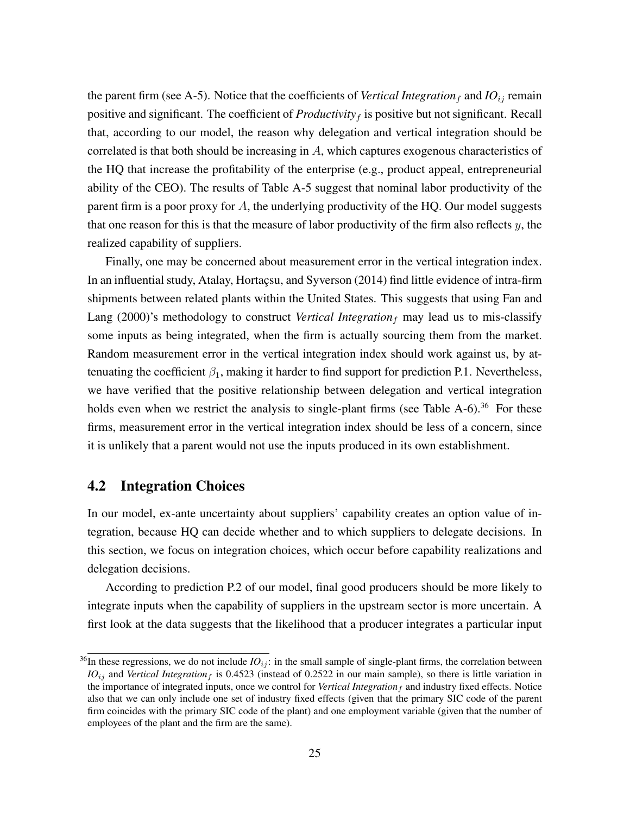the parent firm (see [A-5\)](#page-48-0). Notice that the coefficients of *Vertical Integration* f and  $IO_{ij}$  remain positive and significant. The coefficient of  $Productivity<sub>f</sub>$  is positive but not significant. Recall that, according to our model, the reason why delegation and vertical integration should be correlated is that both should be increasing in A, which captures exogenous characteristics of the HQ that increase the profitability of the enterprise (e.g., product appeal, entrepreneurial ability of the CEO). The results of Table [A-5](#page-48-0) suggest that nominal labor productivity of the parent firm is a poor proxy for A, the underlying productivity of the HQ. Our model suggests that one reason for this is that the measure of labor productivity of the firm also reflects  $y$ , the realized capability of suppliers.

Finally, one may be concerned about measurement error in the vertical integration index. In an influential study, Atalay, Hortaçsu, and Syverson (2014) find little evidence of intra-firm shipments between related plants within the United States. This suggests that using Fan and Lang (2000)'s methodology to construct *Vertical Integration*<sub>f</sub> may lead us to mis-classify some inputs as being integrated, when the firm is actually sourcing them from the market. Random measurement error in the vertical integration index should work against us, by attenuating the coefficient  $\beta_1$ , making it harder to find support for prediction P.1. Nevertheless, we have verified that the positive relationship between delegation and vertical integration holds even when we restrict the analysis to single-plant firms (see Table [A-6\)](#page-49-0).<sup>[36](#page--1-0)</sup> For these firms, measurement error in the vertical integration index should be less of a concern, since it is unlikely that a parent would not use the inputs produced in its own establishment.

## 4.2 Integration Choices

In our model, ex-ante uncertainty about suppliers' capability creates an option value of integration, because HQ can decide whether and to which suppliers to delegate decisions. In this section, we focus on integration choices, which occur before capability realizations and delegation decisions.

According to prediction P.2 of our model, final good producers should be more likely to integrate inputs when the capability of suppliers in the upstream sector is more uncertain. A first look at the data suggests that the likelihood that a producer integrates a particular input

 $36$ In these regressions, we do not include  $IO_{ij}$ : in the small sample of single-plant firms, the correlation between  $IO_{ij}$  and *Vertical Integration* f is 0.4523 (instead of 0.2522 in our main sample), so there is little variation in the importance of integrated inputs, once we control for *Vertical Integration* $_f$  and industry fixed effects. Notice also that we can only include one set of industry fixed effects (given that the primary SIC code of the parent firm coincides with the primary SIC code of the plant) and one employment variable (given that the number of employees of the plant and the firm are the same).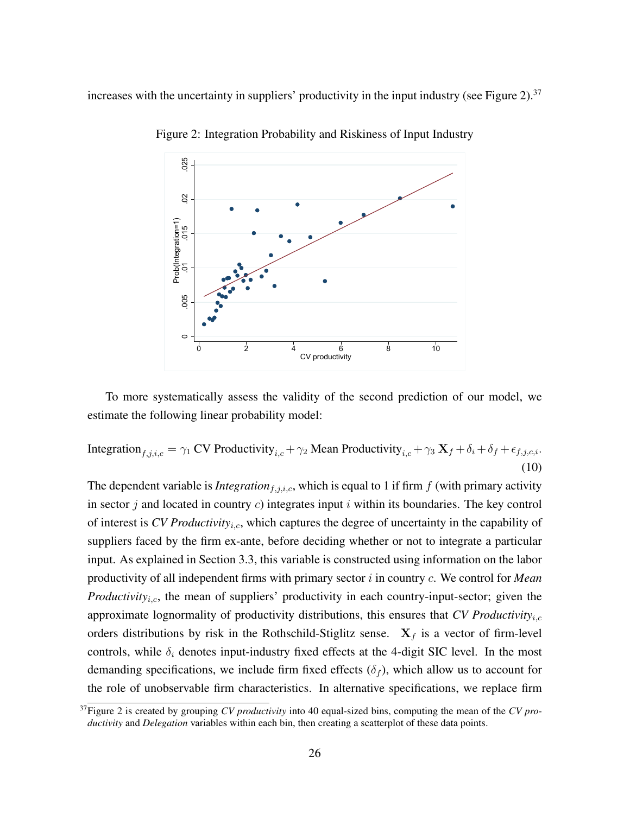<span id="page-27-0"></span>increases with the uncertainty in suppliers' productivity in the input industry (see Figure [2\)](#page-27-0).<sup>[37](#page--1-0)</sup>



Figure 2: Integration Probability and Riskiness of Input Industry

To more systematically assess the validity of the second prediction of our model, we estimate the following linear probability model:

<span id="page-27-1"></span>Integration<sub>f,j,i,c</sub> =  $\gamma_1$  CV Productivity<sub>i,c</sub> +  $\gamma_2$  Mean Productivity<sub>i,c</sub> +  $\gamma_3$  **X**<sub>f</sub> +  $\delta_i$  +  $\delta_f$  +  $\epsilon_{f,j,c,i}$ . (10)

The dependent variable is *Integration*<sub>f,j,i,c</sub>, which is equal to 1 if firm  $f$  (with primary activity in sector  $j$  and located in country  $c$ ) integrates input  $i$  within its boundaries. The key control of interest is *CV Productivity<sub>i.c</sub>*, which captures the degree of uncertainty in the capability of suppliers faced by the firm ex-ante, before deciding whether or not to integrate a particular input. As explained in Section [3.3,](#page-20-0) this variable is constructed using information on the labor productivity of all independent firms with primary sector i in country c. We control for *Mean Productivity<sub>i,c</sub>*, the mean of suppliers' productivity in each country-input-sector; given the approximate lognormality of productivity distributions, this ensures that *CV Productivity*i,c orders distributions by risk in the Rothschild-Stiglitz sense.  $X_f$  is a vector of firm-level controls, while  $\delta_i$  denotes input-industry fixed effects at the 4-digit SIC level. In the most demanding specifications, we include firm fixed effects  $(\delta_f)$ , which allow us to account for the role of unobservable firm characteristics. In alternative specifications, we replace firm

<sup>37</sup>Figure [2](#page-27-0) is created by grouping *CV productivity* into 40 equal-sized bins, computing the mean of the *CV productivity* and *Delegation* variables within each bin, then creating a scatterplot of these data points.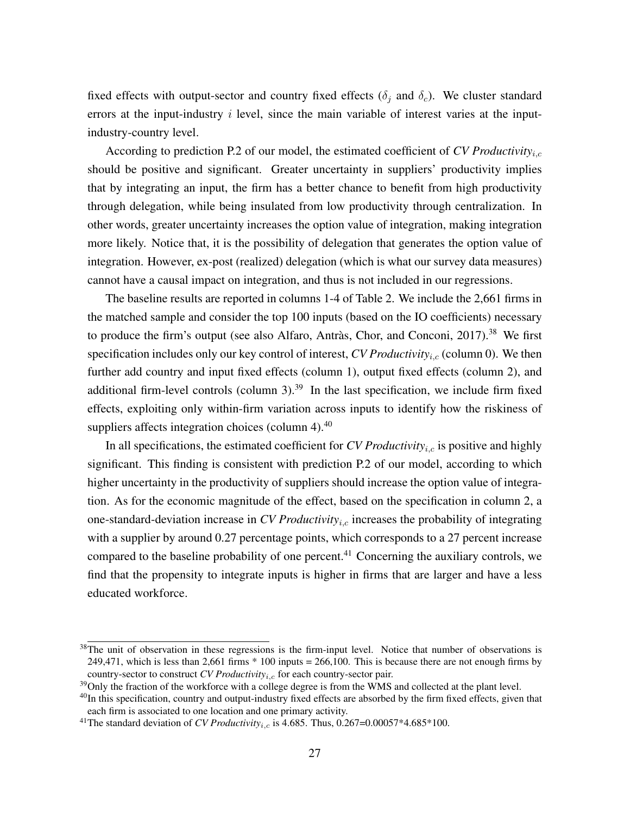fixed effects with output-sector and country fixed effects ( $\delta_i$  and  $\delta_c$ ). We cluster standard errors at the input-industry  $i$  level, since the main variable of interest varies at the inputindustry-country level.

According to prediction P.2 of our model, the estimated coefficient of *CV Productivity*i,c should be positive and significant. Greater uncertainty in suppliers' productivity implies that by integrating an input, the firm has a better chance to benefit from high productivity through delegation, while being insulated from low productivity through centralization. In other words, greater uncertainty increases the option value of integration, making integration more likely. Notice that, it is the possibility of delegation that generates the option value of integration. However, ex-post (realized) delegation (which is what our survey data measures) cannot have a causal impact on integration, and thus is not included in our regressions.

The baseline results are reported in columns 1-4 of Table [2.](#page-29-0) We include the 2,661 firms in the matched sample and consider the top 100 inputs (based on the IO coefficients) necessary to produce the firm's output (see also Alfaro, Antràs, Chor, and Conconi, 2017).<sup>[38](#page--1-0)</sup> We first specification includes only our key control of interest,  $CVProductivity_{i,c}$  (column 0). We then further add country and input fixed effects (column 1), output fixed effects (column 2), and additional firm-level controls (column  $3$ ).<sup>[39](#page--1-0)</sup> In the last specification, we include firm fixed effects, exploiting only within-firm variation across inputs to identify how the riskiness of suppliers affects integration choices (column  $4$ ).<sup>[40](#page--1-0)</sup>

In all specifications, the estimated coefficient for *CV Productivity<sub>i,c</sub>* is positive and highly significant. This finding is consistent with prediction P.2 of our model, according to which higher uncertainty in the productivity of suppliers should increase the option value of integration. As for the economic magnitude of the effect, based on the specification in column 2, a one-standard-deviation increase in *CV Productivity<sub>i,c</sub>* increases the probability of integrating with a supplier by around 0.27 percentage points, which corresponds to a 27 percent increase compared to the baseline probability of one percent.<sup>[41](#page--1-0)</sup> Concerning the auxiliary controls, we find that the propensity to integrate inputs is higher in firms that are larger and have a less educated workforce.

<sup>&</sup>lt;sup>38</sup>The unit of observation in these regressions is the firm-input level. Notice that number of observations is 249,471, which is less than 2,661 firms \* 100 inputs = 266,100. This is because there are not enough firms by country-sector to construct  $CV$  *Productivity<sub>i,c</sub>* for each country-sector pair.

<sup>&</sup>lt;sup>39</sup>Only the fraction of the workforce with a college degree is from the WMS and collected at the plant level.

<sup>&</sup>lt;sup>40</sup>In this specification, country and output-industry fixed effects are absorbed by the firm fixed effects, given that each firm is associated to one location and one primary activity.

<sup>&</sup>lt;sup>41</sup>The standard deviation of *CV Productivity<sub>ic</sub>* is 4.685. Thus, 0.267=0.00057\*4.685\*100.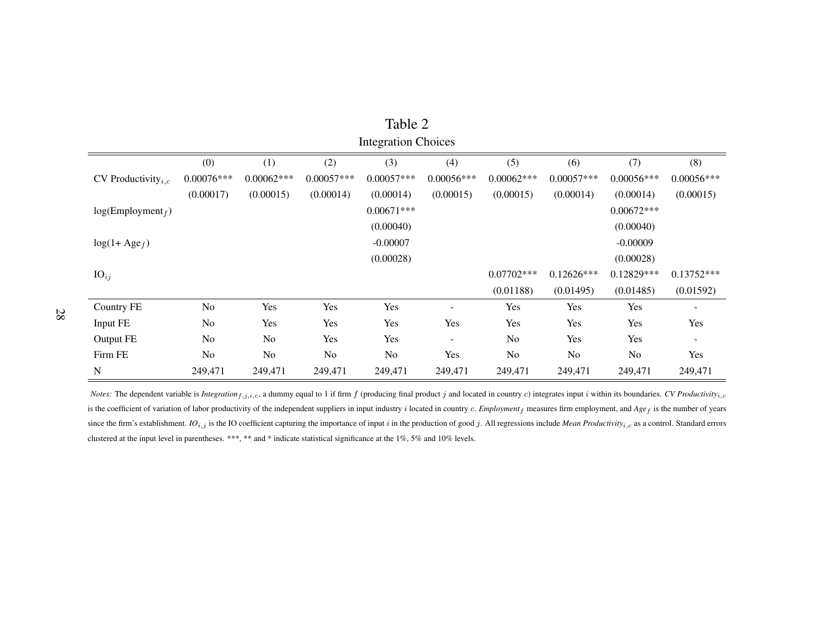| <b>Integration Choices</b>            |                        |              |              |                |              |                |                |                |              |
|---------------------------------------|------------------------|--------------|--------------|----------------|--------------|----------------|----------------|----------------|--------------|
|                                       | (0)                    | (1)          | (2)          | (3)            | (4)          | (5)            | (6)            | (7)            | (8)          |
| CV Productivity <sub><i>i.c</i></sub> | $0.00076***$           | $0.00062***$ | $0.00057***$ | $0.00057***$   | $0.00056***$ | $0.00062***$   | $0.00057***$   | $0.00056***$   | $0.00056***$ |
|                                       | (0.00017)              | (0.00015)    | (0.00014)    | (0.00014)      | (0.00015)    | (0.00015)      | (0.00014)      | (0.00014)      | (0.00015)    |
| log(Employment <sub>f</sub> )         |                        |              |              | $0.00671***$   |              |                |                | $0.00672***$   |              |
|                                       | (0.00040)<br>(0.00040) |              |              |                |              |                |                |                |              |
| $log(1 + Age_f)$                      |                        |              |              | $-0.00007$     |              |                |                | $-0.00009$     |              |
|                                       |                        |              |              | (0.00028)      |              |                |                | (0.00028)      |              |
| $\mathrm{IO}_{ij}$                    |                        |              |              |                |              | $0.07702***$   | $0.12626***$   | 0.12829***     | $0.13752***$ |
|                                       |                        |              |              |                |              | (0.01188)      | (0.01495)      | (0.01485)      | (0.01592)    |
| <b>Country FE</b>                     | No                     | Yes          | Yes          | Yes            |              | Yes            | Yes            | Yes            |              |
| Input FE                              | No                     | Yes          | Yes          | Yes            | Yes          | Yes            | Yes            | Yes            | Yes          |
| Output FE                             | No                     | No           | Yes          | Yes            |              | No             | Yes            | Yes            |              |
| Firm FE                               | N <sub>o</sub>         | No           | No.          | N <sub>o</sub> | Yes          | N <sub>o</sub> | N <sub>o</sub> | N <sub>o</sub> | Yes          |
| ${\bf N}$                             | 249,471                | 249,471      | 249,471      | 249,471        | 249,471      | 249,471        | 249,471        | 249,471        | 249,471      |

<span id="page-29-0"></span>Table 2

*Notes*: The dependent variable is *Integration*  $f_{i,j,i,c}$ , a dummy equal to 1 if firm f (producing final product j and located in country c) integrates input i within its boundaries. CV Productivity<sub>i,c</sub> is the coefficient of variation of labor productivity of the independent suppliers in input industry <sup>i</sup> located in country <sup>c</sup>. *Employment*<sup>f</sup> measures firm employment, and *Age*<sup>f</sup> is the number of years since the firm's establishment. IO<sub>i,j</sub> is the IO coefficient capturing the importance of input i in the production of good j. All regressions include Mean Productivity<sub>i,c</sub> as a control. Standard errors clustered at the input level in parentheses. \*\*\*, \*\* and \* indicate statistical significance at the 1%, 5% and 10% levels.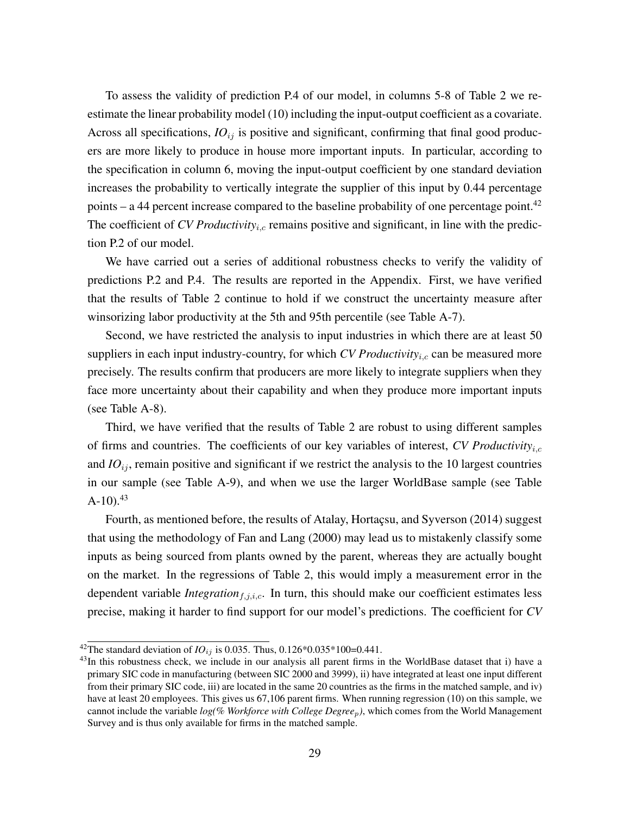To assess the validity of prediction P.4 of our model, in columns 5-8 of Table [2](#page-29-0) we reestimate the linear probability model [\(10\)](#page-27-1) including the input-output coefficient as a covariate. Across all specifications,  $IO_{ij}$  is positive and significant, confirming that final good producers are more likely to produce in house more important inputs. In particular, according to the specification in column 6, moving the input-output coefficient by one standard deviation increases the probability to vertically integrate the supplier of this input by 0.44 percentage points – a 44 percent increase compared to the baseline probability of one percentage point.<sup>[42](#page--1-0)</sup> The coefficient of *CV Productivity<sub>i,c</sub>* remains positive and significant, in line with the prediction P.2 of our model.

We have carried out a series of additional robustness checks to verify the validity of predictions P.2 and P.4. The results are reported in the Appendix. First, we have verified that the results of Table [2](#page-29-0) continue to hold if we construct the uncertainty measure after winsorizing labor productivity at the 5th and 95th percentile (see Table [A-7\)](#page-50-0).

Second, we have restricted the analysis to input industries in which there are at least 50 suppliers in each input industry-country, for which *CV Productivity<sub>i,c</sub>* can be measured more precisely. The results confirm that producers are more likely to integrate suppliers when they face more uncertainty about their capability and when they produce more important inputs (see Table [A-8\)](#page-51-0).

Third, we have verified that the results of Table [2](#page-29-0) are robust to using different samples of firms and countries. The coefficients of our key variables of interest, *CV Productivity*i,c and  $IO_{ij}$ , remain positive and significant if we restrict the analysis to the 10 largest countries in our sample (see Table [A-9\)](#page-52-0), and when we use the larger WorldBase sample (see Table  $A-10$ ).  $43$ 

Fourth, as mentioned before, the results of Atalay, Hortaçsu, and Syverson (2014) suggest that using the methodology of Fan and Lang (2000) may lead us to mistakenly classify some inputs as being sourced from plants owned by the parent, whereas they are actually bought on the market. In the regressions of Table [2,](#page-29-0) this would imply a measurement error in the dependent variable *Integration*<sub>f,j,i,c</sub>. In turn, this should make our coefficient estimates less precise, making it harder to find support for our model's predictions. The coefficient for *CV*

<sup>&</sup>lt;sup>42</sup>The standard deviation of *IO*<sub>ij</sub> is 0.035. Thus, 0.126\*0.035\*100=0.441.

<sup>&</sup>lt;sup>43</sup>In this robustness check, we include in our analysis all parent firms in the WorldBase dataset that i) have a primary SIC code in manufacturing (between SIC 2000 and 3999), ii) have integrated at least one input different from their primary SIC code, iii) are located in the same 20 countries as the firms in the matched sample, and iv) have at least 20 employees. This gives us 67,106 parent firms. When running regression [\(10\)](#page-27-1) on this sample, we cannot include the variable *log(% Workforce with College Degree*p*)*, which comes from the World Management Survey and is thus only available for firms in the matched sample.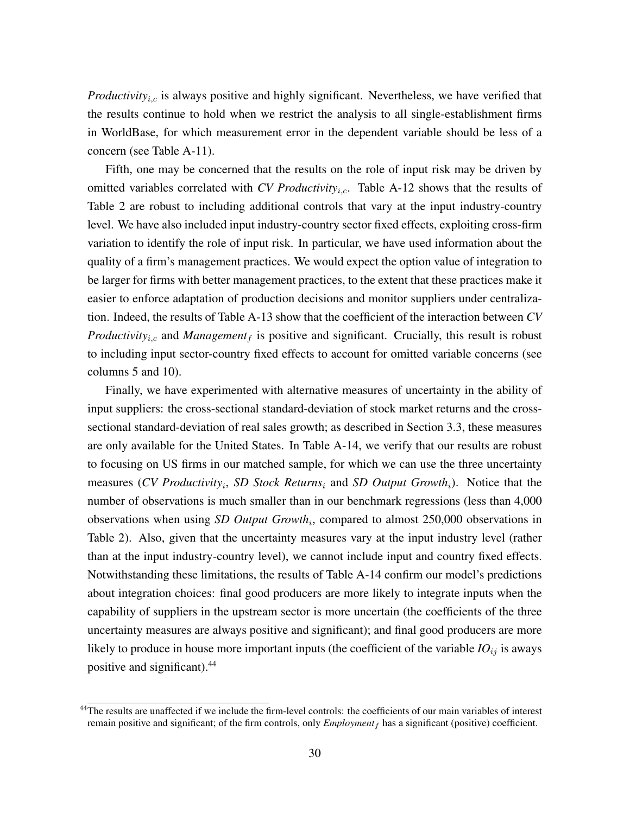*Productivity<sub>i.c</sub>* is always positive and highly significant. Nevertheless, we have verified that the results continue to hold when we restrict the analysis to all single-establishment firms in WorldBase, for which measurement error in the dependent variable should be less of a concern (see Table [A-11\)](#page-54-0).

Fifth, one may be concerned that the results on the role of input risk may be driven by omitted variables correlated with *CV Productivity<sub>i.c</sub>*. Table [A-12](#page-55-0) shows that the results of Table [2](#page-29-0) are robust to including additional controls that vary at the input industry-country level. We have also included input industry-country sector fixed effects, exploiting cross-firm variation to identify the role of input risk. In particular, we have used information about the quality of a firm's management practices. We would expect the option value of integration to be larger for firms with better management practices, to the extent that these practices make it easier to enforce adaptation of production decisions and monitor suppliers under centralization. Indeed, the results of Table [A-13](#page-56-0) show that the coefficient of the interaction between *CV Productivity<sub>i.c</sub>* and *Management<sub>f</sub>* is positive and significant. Crucially, this result is robust to including input sector-country fixed effects to account for omitted variable concerns (see columns 5 and 10).

Finally, we have experimented with alternative measures of uncertainty in the ability of input suppliers: the cross-sectional standard-deviation of stock market returns and the crosssectional standard-deviation of real sales growth; as described in Section [3.3,](#page-17-0) these measures are only available for the United States. In Table [A-14,](#page-57-0) we verify that our results are robust to focusing on US firms in our matched sample, for which we can use the three uncertainty measures (*CV Productivity*<sup>i</sup> , *SD Stock Returns*<sup>i</sup> and *SD Output Growth*i). Notice that the number of observations is much smaller than in our benchmark regressions (less than 4,000 observations when using *SD Output Growth<sub>i</sub>*, compared to almost 250,000 observations in Table [2\)](#page-29-0). Also, given that the uncertainty measures vary at the input industry level (rather than at the input industry-country level), we cannot include input and country fixed effects. Notwithstanding these limitations, the results of Table [A-14](#page-57-0) confirm our model's predictions about integration choices: final good producers are more likely to integrate inputs when the capability of suppliers in the upstream sector is more uncertain (the coefficients of the three uncertainty measures are always positive and significant); and final good producers are more likely to produce in house more important inputs (the coefficient of the variable  $IO_{ij}$  is aways positive and significant).[44](#page--1-0)

<sup>&</sup>lt;sup>44</sup>The results are unaffected if we include the firm-level controls: the coefficients of our main variables of interest remain positive and significant; of the firm controls, only *Employment<sub>f</sub>* has a significant (positive) coefficient.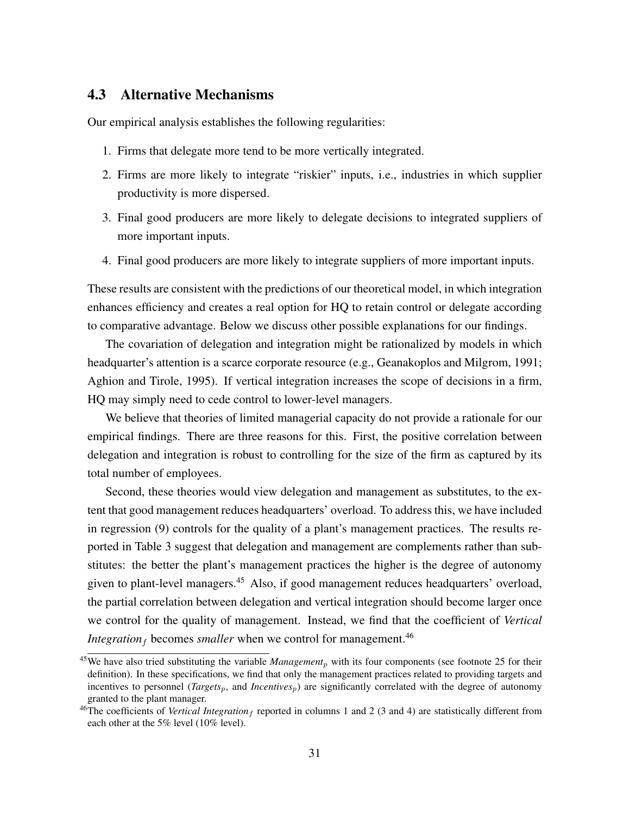## 4.3 Alternative Mechanisms

Our empirical analysis establishes the following regularities:

- 1. Firms that delegate more tend to be more vertically integrated.
- 2. Firms are more likely to integrate "riskier" inputs, i.e., industries in which supplier productivity is more dispersed.
- 3. Final good producers are more likely to delegate decisions to integrated suppliers of more important inputs.
- 4. Final good producers are more likely to integrate suppliers of more important inputs.

These results are consistent with the predictions of our theoretical model, in which integration enhances efficiency and creates a real option for HQ to retain control or delegate according to comparative advantage. Below we discuss other possible explanations for our findings.

The covariation of delegation and integration might be rationalized by models in which headquarter's attention is a scarce corporate resource (e.g., Geanakoplos and Milgrom, 1991; Aghion and Tirole, 1995). If vertical integration increases the scope of decisions in a firm, HQ may simply need to cede control to lower-level managers.

We believe that theories of limited managerial capacity do not provide a rationale for our empirical findings. There are three reasons for this. First, the positive correlation between delegation and integration is robust to controlling for the size of the firm as captured by its total number of employees.

Second, these theories would view delegation and management as substitutes, to the extent that good management reduces headquarters' overload. To address this, we have included in regression [\(9\)](#page-23-0) controls for the quality of a plant's management practices. The results reported in Table [3](#page-33-0) suggest that delegation and management are complements rather than substitutes: the better the plant's management practices the higher is the degree of autonomy given to plant-level managers.[45](#page--1-0) Also, if good management reduces headquarters' overload, the partial correlation between delegation and vertical integration should become larger once we control for the quality of management. Instead, we find that the coefficient of *Vertical Integration*<sub>f</sub> becomes *smaller* when we control for management.<sup>[46](#page--1-0)</sup>

 $45$ We have also tried substituting the variable *Management<sub>p</sub>* with its four components (see footnote [25](#page-21-0) for their definition). In these specifications, we find that only the management practices related to providing targets and incentives to personnel (*Targets<sub>p</sub>*, and *Incentives<sub>p</sub>*) are significantly correlated with the degree of autonomy granted to the plant manager.

<sup>&</sup>lt;sup>46</sup>The coefficients of *Vertical Integration*  $_f$  reported in columns 1 and 2 (3 and 4) are statistically different from each other at the 5% level (10% level).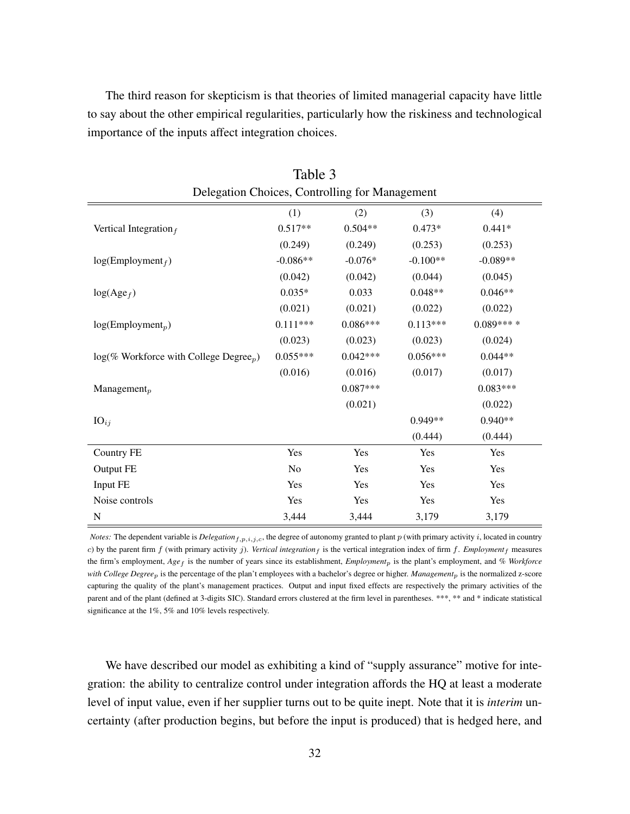The third reason for skepticism is that theories of limited managerial capacity have little to say about the other empirical regularities, particularly how the riskiness and technological importance of the inputs affect integration choices.

<span id="page-33-0"></span>

| Delegation Choices, Controlling for Management        |                |            |            |            |  |  |
|-------------------------------------------------------|----------------|------------|------------|------------|--|--|
|                                                       | (1)            | (2)        | (3)        | (4)        |  |  |
| Vertical Integration $_f$                             | $0.517**$      | $0.504**$  | $0.473*$   | $0.441*$   |  |  |
|                                                       | (0.249)        | (0.249)    | (0.253)    | (0.253)    |  |  |
| $log(Employment_f)$                                   | $-0.086**$     | $-0.076*$  | $-0.100**$ | $-0.089**$ |  |  |
|                                                       | (0.042)        | (0.042)    | (0.044)    | (0.045)    |  |  |
| $log(Age_f)$                                          | $0.035*$       | 0.033      | $0.048**$  | $0.046**$  |  |  |
|                                                       | (0.021)        | (0.021)    | (0.022)    | (0.022)    |  |  |
| $log(Employment_p)$                                   | $0.111***$     | $0.086***$ | $0.113***$ | $0.089***$ |  |  |
|                                                       | (0.023)        | (0.023)    | (0.023)    | (0.024)    |  |  |
| $log(\%$ Workforce with College Degree <sub>p</sub> ) | $0.055***$     | $0.042***$ | $0.056***$ | $0.044**$  |  |  |
|                                                       | (0.016)        | (0.016)    | (0.017)    | (0.017)    |  |  |
| Management $_p$                                       |                | $0.087***$ |            | $0.083***$ |  |  |
|                                                       |                | (0.021)    |            | (0.022)    |  |  |
| $IO_{ij}$                                             |                |            | 0.949**    | $0.940**$  |  |  |
|                                                       |                |            | (0.444)    | (0.444)    |  |  |
| Country FE                                            | Yes            | Yes        | Yes        | Yes        |  |  |
| Output FE                                             | N <sub>o</sub> | Yes        | Yes        | Yes        |  |  |
| Input FE                                              | Yes            | Yes        | Yes        | Yes        |  |  |
| Noise controls                                        | Yes            | Yes        | Yes        | Yes        |  |  |
| N                                                     | 3,444          | 3,444      | 3,179      | 3,179      |  |  |

Table 3

*Notes:* The dependent variable is *Delegation*<sub>f,p,i,j,c</sub>, the degree of autonomy granted to plant  $p$  (with primary activity i, located in country c) by the parent firm  $f$  (with primary activity  $j$ ). *Vertical integration*  $f$  is the vertical integration index of firm  $f$ . *Employment*  $f$  measures the firm's employment,  $Age_f$  is the number of years since its establishment, *Employment<sub>p</sub>* is the plant's employment, and % Workforce *with College Degree*p is the percentage of the plan't employees with a bachelor's degree or higher. *Management*p is the normalized z-score capturing the quality of the plant's management practices. Output and input fixed effects are respectively the primary activities of the parent and of the plant (defined at 3-digits SIC). Standard errors clustered at the firm level in parentheses. \*\*\*, \*\* and \* indicate statistical significance at the 1%, 5% and 10% levels respectively.

We have described our model as exhibiting a kind of "supply assurance" motive for integration: the ability to centralize control under integration affords the HQ at least a moderate level of input value, even if her supplier turns out to be quite inept. Note that it is *interim* uncertainty (after production begins, but before the input is produced) that is hedged here, and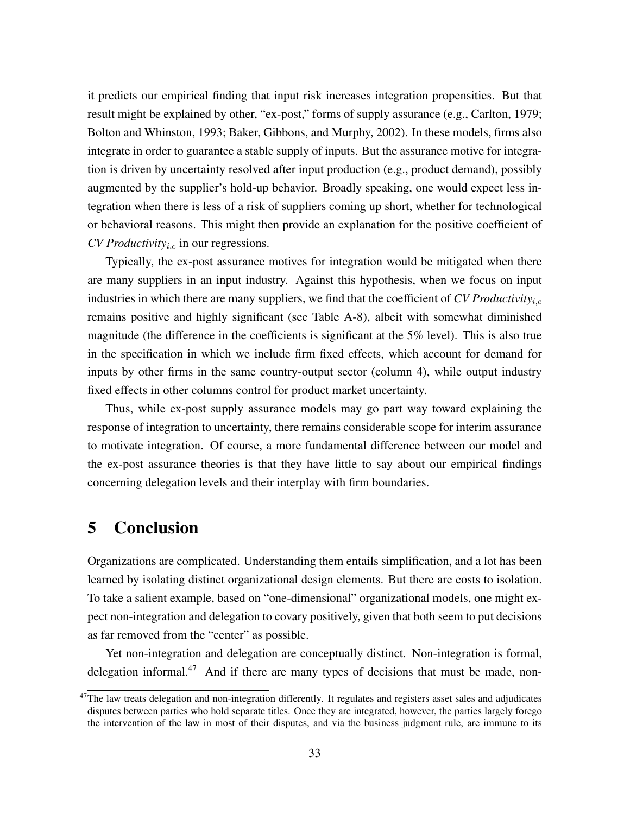it predicts our empirical finding that input risk increases integration propensities. But that result might be explained by other, "ex-post," forms of supply assurance (e.g., Carlton, 1979; Bolton and Whinston, 1993; Baker, Gibbons, and Murphy, 2002). In these models, firms also integrate in order to guarantee a stable supply of inputs. But the assurance motive for integration is driven by uncertainty resolved after input production (e.g., product demand), possibly augmented by the supplier's hold-up behavior. Broadly speaking, one would expect less integration when there is less of a risk of suppliers coming up short, whether for technological or behavioral reasons. This might then provide an explanation for the positive coefficient of  $CV$  *Productivity*<sub>i,c</sub> in our regressions.

Typically, the ex-post assurance motives for integration would be mitigated when there are many suppliers in an input industry. Against this hypothesis, when we focus on input industries in which there are many suppliers, we find that the coefficient of *CV Productivity*i,c remains positive and highly significant (see Table [A-8\)](#page-51-0), albeit with somewhat diminished magnitude (the difference in the coefficients is significant at the 5% level). This is also true in the specification in which we include firm fixed effects, which account for demand for inputs by other firms in the same country-output sector (column 4), while output industry fixed effects in other columns control for product market uncertainty.

Thus, while ex-post supply assurance models may go part way toward explaining the response of integration to uncertainty, there remains considerable scope for interim assurance to motivate integration. Of course, a more fundamental difference between our model and the ex-post assurance theories is that they have little to say about our empirical findings concerning delegation levels and their interplay with firm boundaries.

# 5 Conclusion

Organizations are complicated. Understanding them entails simplification, and a lot has been learned by isolating distinct organizational design elements. But there are costs to isolation. To take a salient example, based on "one-dimensional" organizational models, one might expect non-integration and delegation to covary positively, given that both seem to put decisions as far removed from the "center" as possible.

Yet non-integration and delegation are conceptually distinct. Non-integration is formal, delegation informal.<sup>[47](#page--1-0)</sup> And if there are many types of decisions that must be made, non-

 $47$ The law treats delegation and non-integration differently. It regulates and registers asset sales and adjudicates disputes between parties who hold separate titles. Once they are integrated, however, the parties largely forego the intervention of the law in most of their disputes, and via the business judgment rule, are immune to its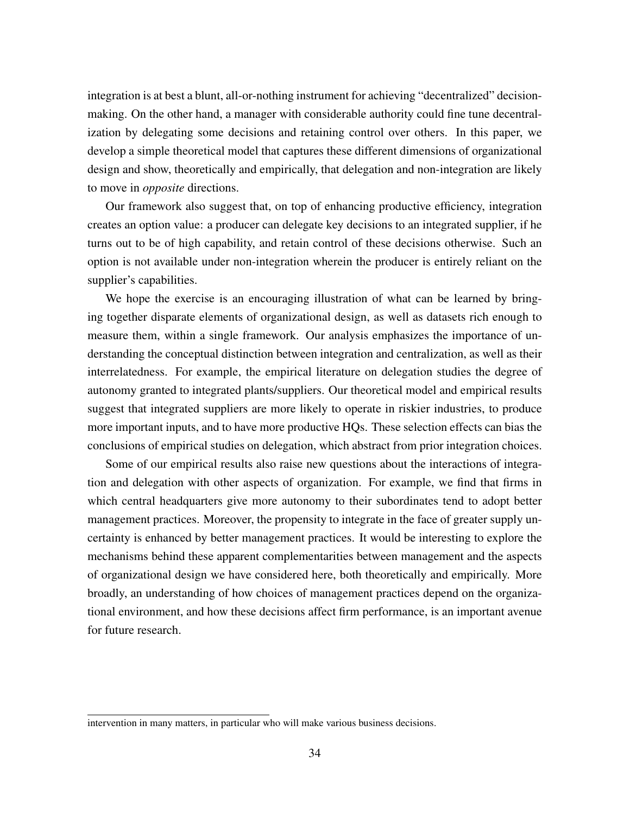integration is at best a blunt, all-or-nothing instrument for achieving "decentralized" decisionmaking. On the other hand, a manager with considerable authority could fine tune decentralization by delegating some decisions and retaining control over others. In this paper, we develop a simple theoretical model that captures these different dimensions of organizational design and show, theoretically and empirically, that delegation and non-integration are likely to move in *opposite* directions.

Our framework also suggest that, on top of enhancing productive efficiency, integration creates an option value: a producer can delegate key decisions to an integrated supplier, if he turns out to be of high capability, and retain control of these decisions otherwise. Such an option is not available under non-integration wherein the producer is entirely reliant on the supplier's capabilities.

We hope the exercise is an encouraging illustration of what can be learned by bringing together disparate elements of organizational design, as well as datasets rich enough to measure them, within a single framework. Our analysis emphasizes the importance of understanding the conceptual distinction between integration and centralization, as well as their interrelatedness. For example, the empirical literature on delegation studies the degree of autonomy granted to integrated plants/suppliers. Our theoretical model and empirical results suggest that integrated suppliers are more likely to operate in riskier industries, to produce more important inputs, and to have more productive HQs. These selection effects can bias the conclusions of empirical studies on delegation, which abstract from prior integration choices.

Some of our empirical results also raise new questions about the interactions of integration and delegation with other aspects of organization. For example, we find that firms in which central headquarters give more autonomy to their subordinates tend to adopt better management practices. Moreover, the propensity to integrate in the face of greater supply uncertainty is enhanced by better management practices. It would be interesting to explore the mechanisms behind these apparent complementarities between management and the aspects of organizational design we have considered here, both theoretically and empirically. More broadly, an understanding of how choices of management practices depend on the organizational environment, and how these decisions affect firm performance, is an important avenue for future research.

intervention in many matters, in particular who will make various business decisions.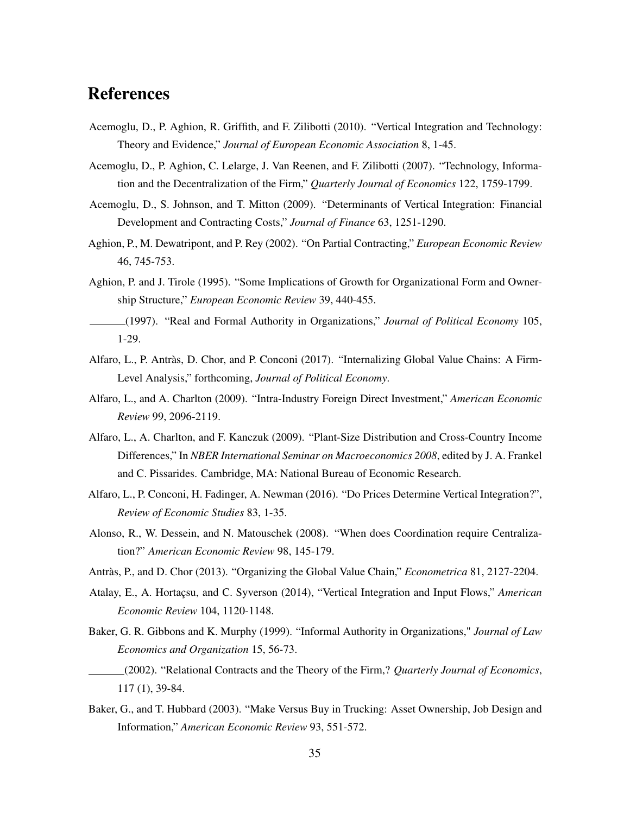# References

- Acemoglu, D., P. Aghion, R. Griffith, and F. Zilibotti (2010). "Vertical Integration and Technology: Theory and Evidence," *Journal of European Economic Association* 8, 1-45.
- Acemoglu, D., P. Aghion, C. Lelarge, J. Van Reenen, and F. Zilibotti (2007). "Technology, Information and the Decentralization of the Firm," *Quarterly Journal of Economics* 122, 1759-1799.
- Acemoglu, D., S. Johnson, and T. Mitton (2009). "Determinants of Vertical Integration: Financial Development and Contracting Costs," *Journal of Finance* 63, 1251-1290.
- Aghion, P., M. Dewatripont, and P. Rey (2002). "On Partial Contracting," *European Economic Review* 46, 745-753.
- Aghion, P. and J. Tirole (1995). "Some Implications of Growth for Organizational Form and Ownership Structure," *European Economic Review* 39, 440-455.
- (1997). "Real and Formal Authority in Organizations," *Journal of Political Economy* 105, 1-29.
- Alfaro, L., P. Antràs, D. Chor, and P. Conconi (2017). "Internalizing Global Value Chains: A Firm-Level Analysis," forthcoming, *Journal of Political Economy*.
- Alfaro, L., and A. Charlton (2009). "Intra-Industry Foreign Direct Investment," *American Economic Review* 99, 2096-2119.
- Alfaro, L., A. Charlton, and F. Kanczuk (2009). "Plant-Size Distribution and Cross-Country Income Differences," In *NBER International Seminar on Macroeconomics 2008*, edited by J. A. Frankel and C. Pissarides. Cambridge, MA: National Bureau of Economic Research.
- Alfaro, L., P. Conconi, H. Fadinger, A. Newman (2016). "Do Prices Determine Vertical Integration?", *Review of Economic Studies* 83, 1-35.
- Alonso, R., W. Dessein, and N. Matouschek (2008). "When does Coordination require Centralization?" *American Economic Review* 98, 145-179.
- Antràs, P., and D. Chor (2013). "Organizing the Global Value Chain," *Econometrica* 81, 2127-2204.
- Atalay, E., A. Hortaçsu, and C. Syverson (2014), "Vertical Integration and Input Flows," *American Economic Review* 104, 1120-1148.
- Baker, G. R. Gibbons and K. Murphy (1999). "Informal Authority in Organizations," *Journal of Law Economics and Organization* 15, 56-73.
- (2002). "Relational Contracts and the Theory of the Firm,? *Quarterly Journal of Economics*, 117 (1), 39-84.
- Baker, G., and T. Hubbard (2003). "Make Versus Buy in Trucking: Asset Ownership, Job Design and Information," *American Economic Review* 93, 551-572.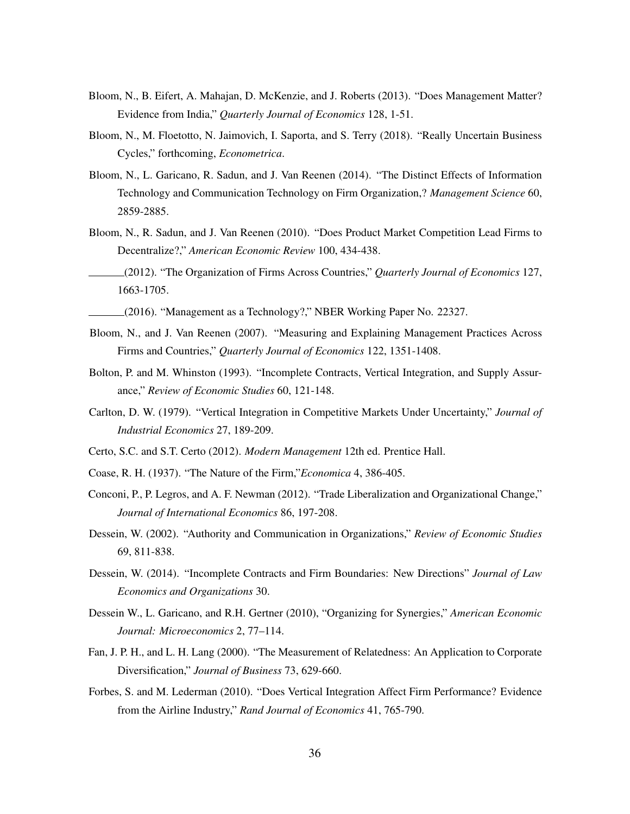- Bloom, N., B. Eifert, A. Mahajan, D. McKenzie, and J. Roberts (2013). "Does Management Matter? Evidence from India," *Quarterly Journal of Economics* 128, 1-51.
- Bloom, N., M. Floetotto, N. Jaimovich, I. Saporta, and S. Terry (2018). "Really Uncertain Business Cycles," forthcoming, *Econometrica*.
- Bloom, N., L. Garicano, R. Sadun, and J. Van Reenen (2014). "The Distinct Effects of Information Technology and Communication Technology on Firm Organization,? *Management Science* 60, 2859-2885.
- Bloom, N., R. Sadun, and J. Van Reenen (2010). "Does Product Market Competition Lead Firms to Decentralize?," *American Economic Review* 100, 434-438.
- (2012). "The Organization of Firms Across Countries," *Quarterly Journal of Economics* 127, 1663-1705.
- (2016). "Management as a Technology?," NBER Working Paper No. 22327.
- Bloom, N., and J. Van Reenen (2007). "Measuring and Explaining Management Practices Across Firms and Countries," *Quarterly Journal of Economics* 122, 1351-1408.
- Bolton, P. and M. Whinston (1993). "Incomplete Contracts, Vertical Integration, and Supply Assurance," *Review of Economic Studies* 60, 121-148.
- Carlton, D. W. (1979). "Vertical Integration in Competitive Markets Under Uncertainty," *Journal of Industrial Economics* 27, 189-209.
- Certo, S.C. and S.T. Certo (2012). *Modern Management* 12th ed. Prentice Hall.
- Coase, R. H. (1937). "The Nature of the Firm,"*Economica* 4, 386-405.
- Conconi, P., P. Legros, and A. F. Newman (2012). "Trade Liberalization and Organizational Change," *Journal of International Economics* 86, 197-208.
- Dessein, W. (2002). "Authority and Communication in Organizations," *Review of Economic Studies* 69, 811-838.
- Dessein, W. (2014). "Incomplete Contracts and Firm Boundaries: New Directions" *Journal of Law Economics and Organizations* 30.
- Dessein W., L. Garicano, and R.H. Gertner (2010), "Organizing for Synergies," *American Economic Journal: Microeconomics* 2, 77–114.
- Fan, J. P. H., and L. H. Lang (2000). "The Measurement of Relatedness: An Application to Corporate Diversification," *Journal of Business* 73, 629-660.
- Forbes, S. and M. Lederman (2010). "Does Vertical Integration Affect Firm Performance? Evidence from the Airline Industry," *Rand Journal of Economics* 41, 765-790.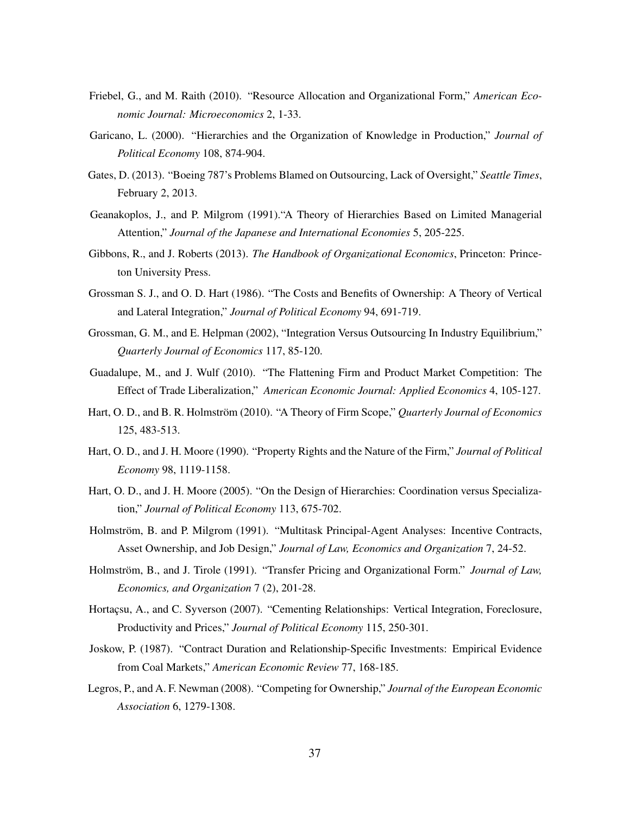- Friebel, G., and M. Raith (2010). "Resource Allocation and Organizational Form," *American Economic Journal: Microeconomics* 2, 1-33.
- Garicano, L. (2000). "Hierarchies and the Organization of Knowledge in Production," *Journal of Political Economy* 108, 874-904.
- Gates, D. (2013). "Boeing 787's Problems Blamed on Outsourcing, Lack of Oversight," *Seattle Times*, February 2, 2013.
- Geanakoplos, J., and P. Milgrom (1991)."A Theory of Hierarchies Based on Limited Managerial Attention," *Journal of the Japanese and International Economies* 5, 205-225.
- Gibbons, R., and J. Roberts (2013). *The Handbook of Organizational Economics*, Princeton: Princeton University Press.
- Grossman S. J., and O. D. Hart (1986). "The Costs and Benefits of Ownership: A Theory of Vertical and Lateral Integration," *Journal of Political Economy* 94, 691-719.
- Grossman, G. M., and E. Helpman (2002), "Integration Versus Outsourcing In Industry Equilibrium," *Quarterly Journal of Economics* 117, 85-120.
- Guadalupe, M., and J. Wulf (2010). "The Flattening Firm and Product Market Competition: The Effect of Trade Liberalization," *American Economic Journal: Applied Economics* 4, 105-127.
- Hart, O. D., and B. R. Holmström (2010). "A Theory of Firm Scope," *Quarterly Journal of Economics* 125, 483-513.
- Hart, O. D., and J. H. Moore (1990). "Property Rights and the Nature of the Firm," *Journal of Political Economy* 98, 1119-1158.
- Hart, O. D., and J. H. Moore (2005). "On the Design of Hierarchies: Coordination versus Specialization," *Journal of Political Economy* 113, 675-702.
- Holmström, B. and P. Milgrom (1991). "Multitask Principal-Agent Analyses: Incentive Contracts, Asset Ownership, and Job Design," *Journal of Law, Economics and Organization* 7, 24-52.
- Holmström, B., and J. Tirole (1991). "Transfer Pricing and Organizational Form." *Journal of Law, Economics, and Organization* 7 (2), 201-28.
- Hortaçsu, A., and C. Syverson (2007). "Cementing Relationships: Vertical Integration, Foreclosure, Productivity and Prices," *Journal of Political Economy* 115, 250-301.
- Joskow, P. (1987). "Contract Duration and Relationship-Specific Investments: Empirical Evidence from Coal Markets," *American Economic Review* 77, 168-185.
- Legros, P., and A. F. Newman (2008). "Competing for Ownership," *Journal of the European Economic Association* 6, 1279-1308.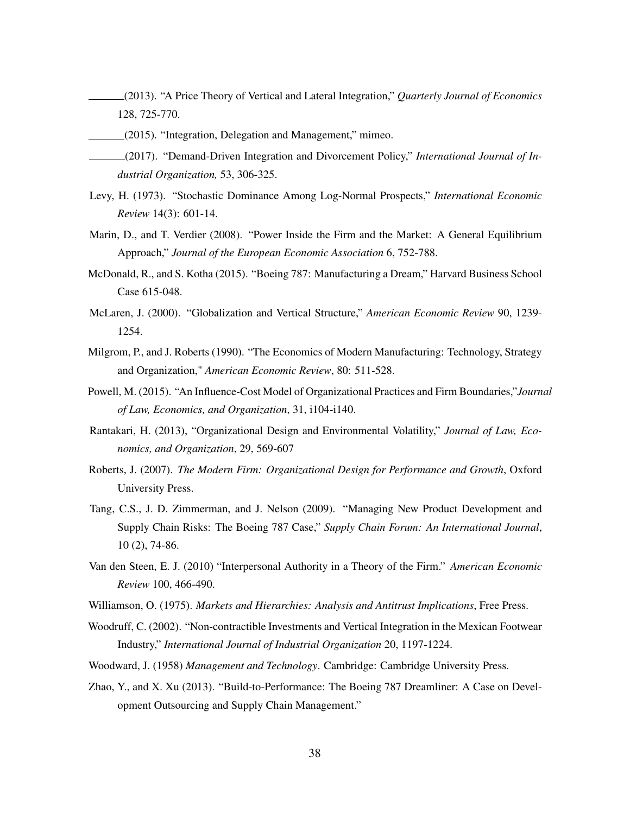- (2013). "A Price Theory of Vertical and Lateral Integration," *Quarterly Journal of Economics* 128, 725-770.
- (2015). "Integration, Delegation and Management," mimeo.
- (2017). "Demand-Driven Integration and Divorcement Policy," *International Journal of Industrial Organization,* 53, 306-325.
- Levy, H. (1973). "Stochastic Dominance Among Log-Normal Prospects," *International Economic Review* 14(3): 601-14.
- Marin, D., and T. Verdier (2008). "Power Inside the Firm and the Market: A General Equilibrium Approach," *Journal of the European Economic Association* 6, 752-788.
- McDonald, R., and S. Kotha (2015). "Boeing 787: Manufacturing a Dream," Harvard Business School Case 615-048.
- McLaren, J. (2000). "Globalization and Vertical Structure," *American Economic Review* 90, 1239- 1254.
- Milgrom, P., and J. Roberts (1990). "The Economics of Modern Manufacturing: Technology, Strategy and Organization," *American Economic Review*, 80: 511-528.
- Powell, M. (2015). "An Influence-Cost Model of Organizational Practices and Firm Boundaries,"*Journal of Law, Economics, and Organization*, 31, i104-i140.
- Rantakari, H. (2013), "Organizational Design and Environmental Volatility," *Journal of Law, Economics, and Organization*, 29, 569-607
- Roberts, J. (2007). *The Modern Firm: Organizational Design for Performance and Growth*, Oxford University Press.
- Tang, C.S., J. D. Zimmerman, and J. Nelson (2009). "Managing New Product Development and Supply Chain Risks: The Boeing 787 Case," *Supply Chain Forum: An International Journal*, 10 (2), 74-86.
- Van den Steen, E. J. (2010) "Interpersonal Authority in a Theory of the Firm." *American Economic Review* 100, 466-490.
- Williamson, O. (1975). *Markets and Hierarchies: Analysis and Antitrust Implications*, Free Press.
- Woodruff, C. (2002). "Non-contractible Investments and Vertical Integration in the Mexican Footwear Industry," *International Journal of Industrial Organization* 20, 1197-1224.
- Woodward, J. (1958) *Management and Technology*. Cambridge: Cambridge University Press.
- Zhao, Y., and X. Xu (2013). "Build-to-Performance: The Boeing 787 Dreamliner: A Case on Development Outsourcing and Supply Chain Management."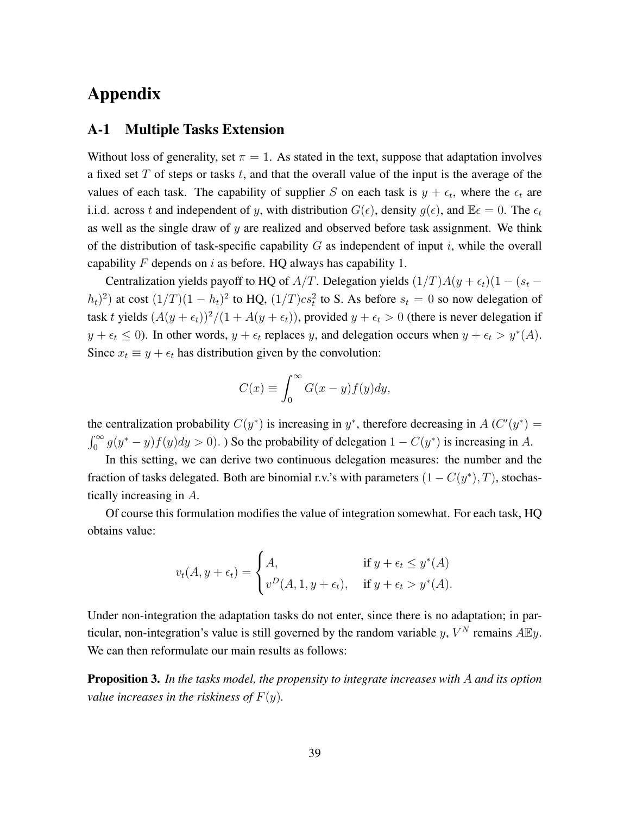# Appendix

### A-1 Multiple Tasks Extension

Without loss of generality, set  $\pi = 1$ . As stated in the text, suppose that adaptation involves a fixed set  $T$  of steps or tasks  $t$ , and that the overall value of the input is the average of the values of each task. The capability of supplier S on each task is  $y + \epsilon_t$ , where the  $\epsilon_t$  are i.i.d. across t and independent of y, with distribution  $G(\epsilon)$ , density  $g(\epsilon)$ , and  $\mathbb{E}\epsilon = 0$ . The  $\epsilon_t$ as well as the single draw of  $y$  are realized and observed before task assignment. We think of the distribution of task-specific capability  $G$  as independent of input i, while the overall capability F depends on i as before. HQ always has capability 1.

Centralization yields payoff to HQ of A/T. Delegation yields  $(1/T)A(y + \epsilon_t)(1 - (s_t (h_t)^2$ ) at cost  $(1/T)(1-h_t)^2$  to HQ,  $(1/T)cs_t^2$  to S. As before  $s_t = 0$  so now delegation of task t yields  $(A(y + \epsilon_t))^2/(1 + A(y + \epsilon_t))$ , provided  $y + \epsilon_t > 0$  (there is never delegation if  $y + \epsilon_t \leq 0$ ). In other words,  $y + \epsilon_t$  replaces y, and delegation occurs when  $y + \epsilon_t > y^*(A)$ . Since  $x_t \equiv y + \epsilon_t$  has distribution given by the convolution:

$$
C(x) \equiv \int_0^\infty G(x - y) f(y) dy,
$$

the centralization probability  $C(y^*)$  is increasing in y<sup>\*</sup>, therefore decreasing in A ( $C'(y^*)$ ) =  $\int_0^\infty g(y^* - y) f(y) dy > 0$ . So the probability of delegation  $1 - C(y^*)$  is increasing in A.

In this setting, we can derive two continuous delegation measures: the number and the fraction of tasks delegated. Both are binomial r.v.'s with parameters  $(1 - C(y^*), T)$ , stochastically increasing in A.

Of course this formulation modifies the value of integration somewhat. For each task, HQ obtains value:

$$
v_t(A, y + \epsilon_t) = \begin{cases} A, & \text{if } y + \epsilon_t \leq y^*(A) \\ v^D(A, 1, y + \epsilon_t), & \text{if } y + \epsilon_t > y^*(A). \end{cases}
$$

Under non-integration the adaptation tasks do not enter, since there is no adaptation; in particular, non-integration's value is still governed by the random variable y,  $V^N$  remains  $A\mathbb{E}y$ . We can then reformulate our main results as follows:

Proposition 3. *In the tasks model, the propensity to integrate increases with* A *and its option value increases in the riskiness of*  $F(y)$ *.*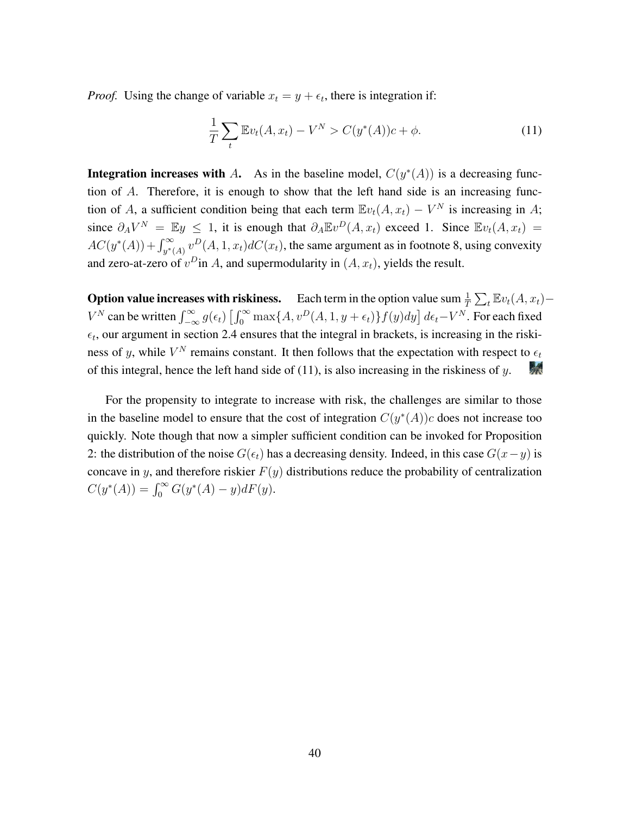*Proof.* Using the change of variable  $x_t = y + \epsilon_t$ , there is integration if:

<span id="page-41-0"></span>
$$
\frac{1}{T} \sum_{t} \mathbb{E}v_t(A, x_t) - V^N > C(y^*(A))c + \phi.
$$
 (11)

**Integration increases with** A. As in the baseline model,  $C(y^*(A))$  is a decreasing function of A. Therefore, it is enough to show that the left hand side is an increasing function of A, a sufficient condition being that each term  $\mathbb{E}v_t(A, x_t) - V^N$  is increasing in A; since  $\partial_A V^N = \mathbb{E} y \leq 1$ , it is enough that  $\partial_A \mathbb{E} v^D(A, x_t)$  exceed 1. Since  $\mathbb{E} v_t(A, x_t) =$  $AC(y^*(A)) + \int_{y^*(A)}^{\infty} v^D(A, 1, x_t) dC(x_t)$ , the same argument as in footnote [8,](#page-12-2) using convexity and zero-at-zero of  $v^D$ in A, and supermodularity in  $(A, x_t)$ , yields the result.

**Option value increases with riskiness.** Each term in the option value sum  $\frac{1}{T} \sum_t \mathbb{E} v_t(A, x_t) V^N$  can be written  $\int_{-\infty}^{\infty} g(\epsilon_t) \left[ \int_0^{\infty} \max\{A, v^D(A, 1, y + \epsilon_t)\} f(y) dy \right] d\epsilon_t - V^N$ . For each fixed  $\epsilon_t$ , our argument in section [2.4](#page-13-1) ensures that the integral in brackets, is increasing in the riskiness of y, while  $V^N$  remains constant. It then follows that the expectation with respect to  $\epsilon_t$ of this integral, hence the left hand side of  $(11)$ , is also increasing in the riskiness of y. 绿天

For the propensity to integrate to increase with risk, the challenges are similar to those in the baseline model to ensure that the cost of integration  $C(y^*(A))c$  does not increase too quickly. Note though that now a simpler sufficient condition can be invoked for Proposition [2:](#page-14-0) the distribution of the noise  $G(\epsilon_t)$  has a decreasing density. Indeed, in this case  $G(x-y)$  is concave in y, and therefore riskier  $F(y)$  distributions reduce the probability of centralization  $C(y^*(A)) = \int_0^\infty G(y^*(A) - y) dF(y).$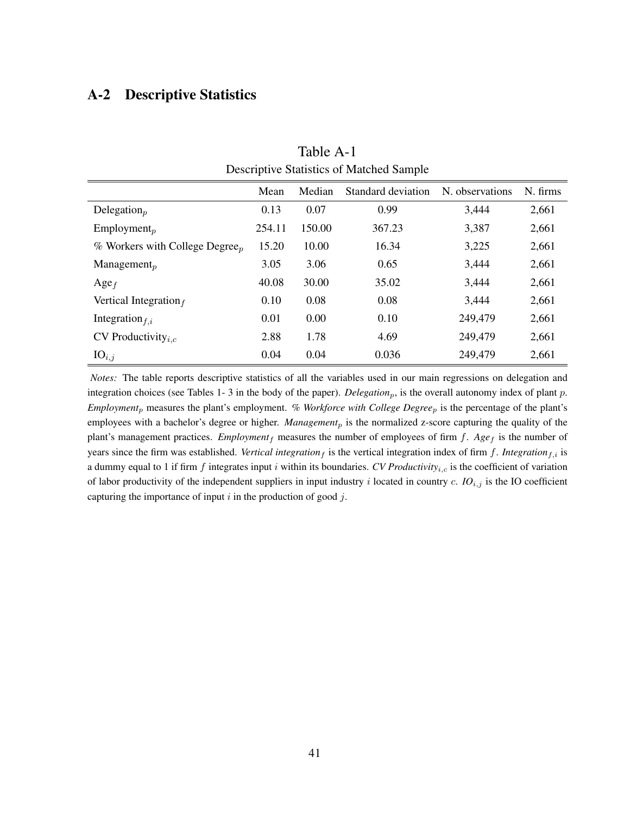## <span id="page-42-0"></span>A-2 Descriptive Statistics

| $\ldots$ , $\ldots$ , $\ldots$ , $\ldots$ , $\ldots$ , $\ldots$ , $\ldots$ , $\ldots$ |        |        |                    |                 |          |  |  |  |
|---------------------------------------------------------------------------------------|--------|--------|--------------------|-----------------|----------|--|--|--|
|                                                                                       | Mean   | Median | Standard deviation | N. observations | N. firms |  |  |  |
| Delegation $_p$                                                                       | 0.13   | 0.07   | 0.99               | 3,444           | 2,661    |  |  |  |
| $Employment_p$                                                                        | 254.11 | 150.00 | 367.23             | 3,387           | 2,661    |  |  |  |
| % Workers with College Degree <sub>n</sub>                                            | 15.20  | 10.00  | 16.34              | 3,225           | 2,661    |  |  |  |
| Management <sub>p</sub>                                                               | 3.05   | 3.06   | 0.65               | 3,444           | 2,661    |  |  |  |
| $\text{Age}_f$                                                                        | 40.08  | 30.00  | 35.02              | 3,444           | 2,661    |  |  |  |
| Vertical Integration $_f$                                                             | 0.10   | 0.08   | 0.08               | 3,444           | 2,661    |  |  |  |
| Integration $f_{i,i}$                                                                 | 0.01   | 0.00   | 0.10               | 249,479         | 2,661    |  |  |  |
| CV Productivity $_{i,c}$                                                              | 2.88   | 1.78   | 4.69               | 249,479         | 2,661    |  |  |  |
| $IO_{i,j}$                                                                            | 0.04   | 0.04   | 0.036              | 249,479         | 2,661    |  |  |  |

Table A-1 Descriptive Statistics of Matched Sample

*Notes:* The table reports descriptive statistics of all the variables used in our main regressions on delegation and integration choices (see Tables [1-](#page-24-0) [3](#page-33-0) in the body of the paper). *Delegation<sub>p</sub>*, is the overall autonomy index of plant p. *Employment*<sup>p</sup> measures the plant's employment. *% Workforce with College Degree*<sup>p</sup> is the percentage of the plant's employees with a bachelor's degree or higher. *Management<sub>p</sub>* is the normalized z-score capturing the quality of the plant's management practices. *Employment*  $_f$  measures the number of employees of firm  $f$ .  $Age_f$  is the number of years since the firm was established. *Vertical integration*  $_f$  is the vertical integration index of firm  $f$ . *Integration* $f$ , is a dummy equal to 1 if firm  $f$  integrates input  $i$  within its boundaries. *CV Productivity*<sub>i,c</sub> is the coefficient of variation of labor productivity of the independent suppliers in input industry  $i$  located in country  $c$ . *IO*<sub>i,j</sub> is the IO coefficient capturing the importance of input  $i$  in the production of good  $j$ .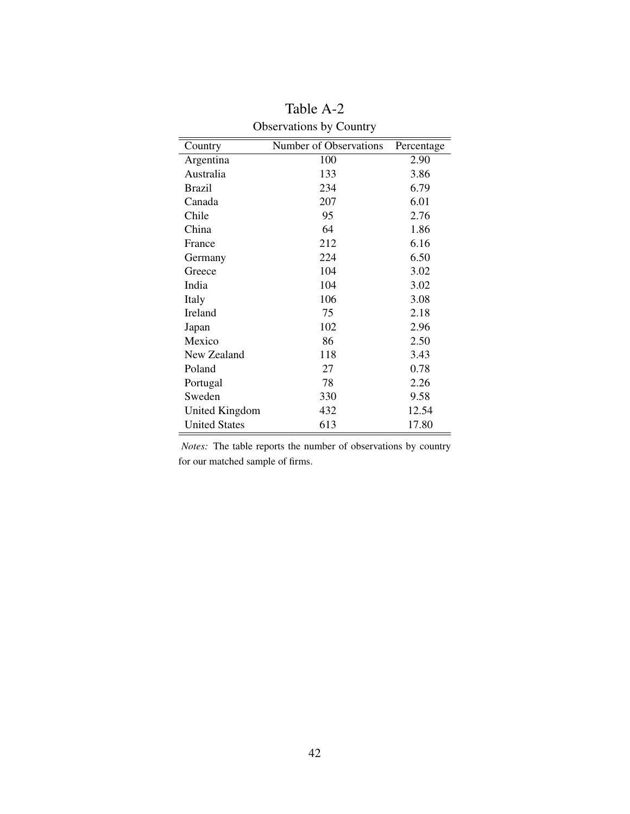<span id="page-43-0"></span>

| Country              | Number of Observations | Percentage |
|----------------------|------------------------|------------|
| Argentina            | 100                    | 2.90       |
| Australia            | 133                    | 3.86       |
| <b>Brazil</b>        | 234                    | 6.79       |
| Canada               | 207                    | 6.01       |
| Chile                | 95                     | 2.76       |
| China                | 64                     | 1.86       |
| France               | 212                    | 6.16       |
| Germany              | 224                    | 6.50       |
| Greece               | 104                    | 3.02       |
| India                | 104                    | 3.02       |
| Italy                | 106                    | 3.08       |
| <b>Ireland</b>       | 75                     | 2.18       |
| Japan                | 102                    | 2.96       |
| Mexico               | 86                     | 2.50       |
| New Zealand          | 118                    | 3.43       |
| Poland               | 27                     | 0.78       |
| Portugal             | 78                     | 2.26       |
| Sweden               | 330                    | 9.58       |
| United Kingdom       | 432                    | 12.54      |
| <b>United States</b> | 613                    | 17.80      |

Table A-2 Observations by Country

*Notes:* The table reports the number of observations by country for our matched sample of firms.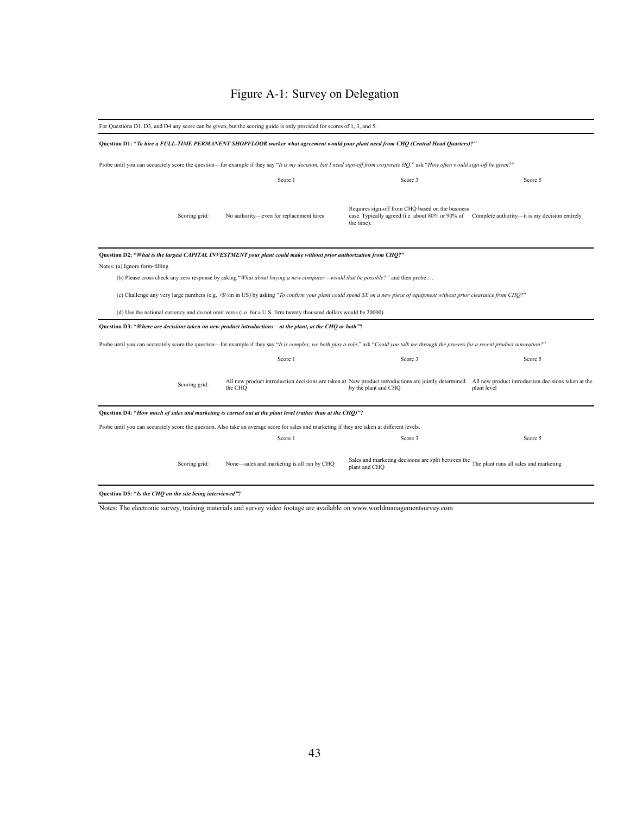# Figure A-1: Survey on Delegation

<span id="page-44-0"></span>

| For Questions D1, D3, and D4 any score can be given, but the scoring guide is only provided for scores of 1, 3, and 5. |                                                                                                                                                                                              |                                                                                                                                                                                  |             |  |  |
|------------------------------------------------------------------------------------------------------------------------|----------------------------------------------------------------------------------------------------------------------------------------------------------------------------------------------|----------------------------------------------------------------------------------------------------------------------------------------------------------------------------------|-------------|--|--|
|                                                                                                                        | Question D1: "To hire a FULL-TIME PERMANENT SHOPFLOOR worker what agreement would your plant need from CHQ (Central Head Quarters)?"                                                         |                                                                                                                                                                                  |             |  |  |
|                                                                                                                        | Probe until you can accurately score the question—for example if they say "It is my decision, but I need sign-off from corporate HQ." ask "How often would sign-off be given?"               |                                                                                                                                                                                  |             |  |  |
|                                                                                                                        | Score 1                                                                                                                                                                                      | Score 3                                                                                                                                                                          | Score 5     |  |  |
| Scoring grid:                                                                                                          | No authority-even for replacement hires                                                                                                                                                      | Requires sign-off from CHQ based on the business<br>case. Typically agreed (i.e. about 80% or 90% of Complete authority—it is my decision entirely<br>the time).                 |             |  |  |
|                                                                                                                        | Question D2: "What is the largest CAPITAL INVESTMENT your plant could make without prior authorization from CHQ?"                                                                            |                                                                                                                                                                                  |             |  |  |
| Notes: (a) Ignore form-filling                                                                                         |                                                                                                                                                                                              |                                                                                                                                                                                  |             |  |  |
|                                                                                                                        | (b) Please cross check any zero response by asking "What about buying a new computer—would that be possible?" and then probe                                                                 |                                                                                                                                                                                  |             |  |  |
|                                                                                                                        | (c) Challenge any very large numbers (e.g. >\$1/4m in US) by asking "To confirm your plant could spend \$X on a new piece of equipment without prior clearance from CHQ?"                    |                                                                                                                                                                                  |             |  |  |
|                                                                                                                        | (d) Use the national currency and do not omit zeros (i.e. for a U.S. firm twenty thousand dollars would be 20000).                                                                           |                                                                                                                                                                                  |             |  |  |
|                                                                                                                        | Question D3: "Where are decisions taken on new product introductions—at the plant, at the CHQ or both"?                                                                                      |                                                                                                                                                                                  |             |  |  |
|                                                                                                                        | Probe until you can accurately score the question—for example if they say "It is complex, we both play a role," ask "Could you talk me through the process for a recent product innovation?" |                                                                                                                                                                                  |             |  |  |
|                                                                                                                        | Score 1                                                                                                                                                                                      | Score 3                                                                                                                                                                          | Score 5     |  |  |
| Scoring grid:                                                                                                          | the CHO                                                                                                                                                                                      | All new product introduction decisions are taken at New product introductions are jointly determined All new product introduction decisions taken at the<br>by the plant and CHQ | plant level |  |  |
|                                                                                                                        | Question D4: "How much of sales and marketing is carried out at the plant level (rather than at the CHQ)"?                                                                                   |                                                                                                                                                                                  |             |  |  |
|                                                                                                                        | Probe until you can accurately score the question. Also take an average score for sales and marketing if they are taken at different levels.                                                 |                                                                                                                                                                                  |             |  |  |
|                                                                                                                        | Score 1                                                                                                                                                                                      | Score 3                                                                                                                                                                          | Score 5     |  |  |
| Scoring grid:                                                                                                          | None-sales and marketing is all run by CHQ                                                                                                                                                   | Sales and marketing decisions are split between the The plant runs all sales and marketing<br>plant and CHQ                                                                      |             |  |  |
| Question D5: "Is the CHQ on the site being interviewed"?                                                               |                                                                                                                                                                                              |                                                                                                                                                                                  |             |  |  |

Notes: The electronic survey, training materials and survey video footage are available on www.worldmanagementsurvey.com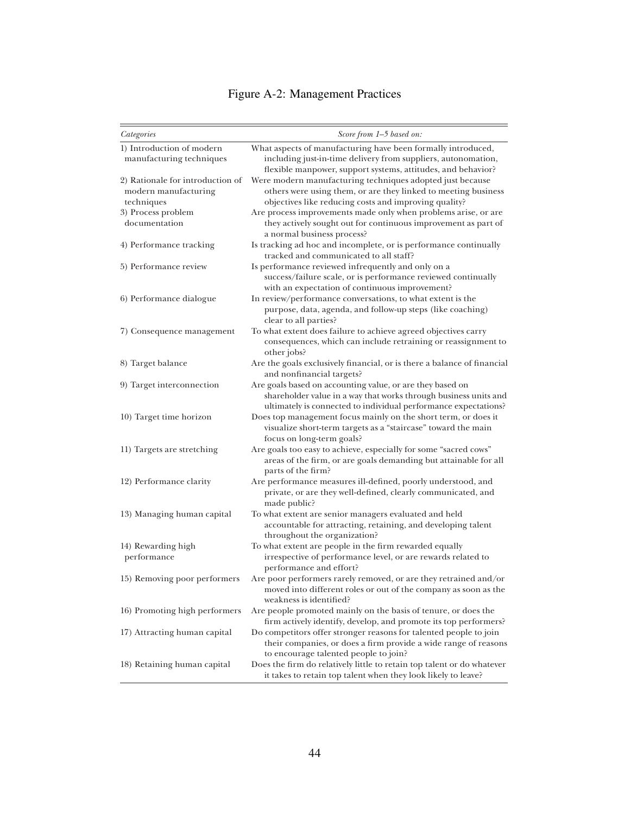# Figure A-2: Management Practices

<span id="page-45-0"></span>

| Categories                       | Score from 1-5 based on:                                                                                                      |
|----------------------------------|-------------------------------------------------------------------------------------------------------------------------------|
| 1) Introduction of modern        | What aspects of manufacturing have been formally introduced,                                                                  |
| manufacturing techniques         | including just-in-time delivery from suppliers, autonomation,                                                                 |
|                                  | flexible manpower, support systems, attitudes, and behavior?                                                                  |
| 2) Rationale for introduction of | Were modern manufacturing techniques adopted just because                                                                     |
| modern manufacturing             | others were using them, or are they linked to meeting business                                                                |
| techniques                       | objectives like reducing costs and improving quality?                                                                         |
| 3) Process problem               | Are process improvements made only when problems arise, or are                                                                |
| documentation                    | they actively sought out for continuous improvement as part of<br>a normal business process?                                  |
| 4) Performance tracking          | Is tracking ad hoc and incomplete, or is performance continually<br>tracked and communicated to all staff?                    |
| 5) Performance review            | Is performance reviewed infrequently and only on a                                                                            |
|                                  | success/failure scale, or is performance reviewed continually                                                                 |
|                                  | with an expectation of continuous improvement?                                                                                |
| 6) Performance dialogue          | In review/performance conversations, to what extent is the                                                                    |
|                                  | purpose, data, agenda, and follow-up steps (like coaching)<br>clear to all parties?                                           |
| 7) Consequence management        | To what extent does failure to achieve agreed objectives carry                                                                |
|                                  | consequences, which can include retraining or reassignment to<br>other jobs?                                                  |
| 8) Target balance                | Are the goals exclusively financial, or is there a balance of financial<br>and nonfinancial targets?                          |
| 9) Target interconnection        | Are goals based on accounting value, or are they based on<br>shareholder value in a way that works through business units and |
|                                  | ultimately is connected to individual performance expectations?                                                               |
| 10) Target time horizon          | Does top management focus mainly on the short term, or does it                                                                |
|                                  | visualize short-term targets as a "staircase" toward the main                                                                 |
|                                  | focus on long-term goals?                                                                                                     |
| 11) Targets are stretching       | Are goals too easy to achieve, especially for some "sacred cows"                                                              |
|                                  | areas of the firm, or are goals demanding but attainable for all<br>parts of the firm?                                        |
| 12) Performance clarity          | Are performance measures ill-defined, poorly understood, and                                                                  |
|                                  | private, or are they well-defined, clearly communicated, and<br>made public?                                                  |
| 13) Managing human capital       | To what extent are senior managers evaluated and held                                                                         |
|                                  | accountable for attracting, retaining, and developing talent<br>throughout the organization?                                  |
| 14) Rewarding high               | To what extent are people in the firm rewarded equally                                                                        |
| performance                      | irrespective of performance level, or are rewards related to                                                                  |
|                                  | performance and effort?                                                                                                       |
| 15) Removing poor performers     | Are poor performers rarely removed, or are they retrained and/or                                                              |
|                                  | moved into different roles or out of the company as soon as the<br>weakness is identified?                                    |
| 16) Promoting high performers    | Are people promoted mainly on the basis of tenure, or does the                                                                |
|                                  | firm actively identify, develop, and promote its top performers?                                                              |
| 17) Attracting human capital     | Do competitors offer stronger reasons for talented people to join                                                             |
|                                  | their companies, or does a firm provide a wide range of reasons                                                               |
|                                  | to encourage talented people to join?                                                                                         |
| 18) Retaining human capital      | Does the firm do relatively little to retain top talent or do whatever                                                        |
|                                  | it takes to retain top talent when they look likely to leave?                                                                 |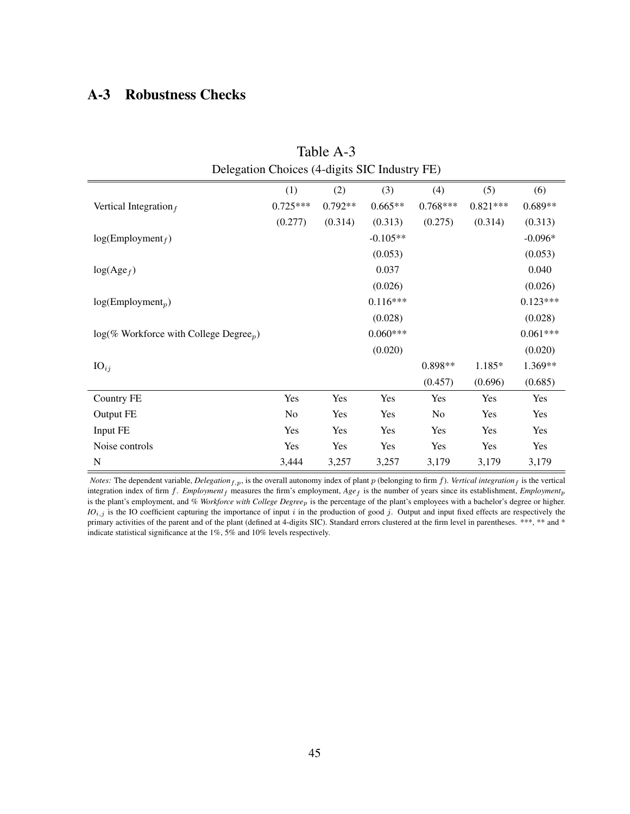# <span id="page-46-0"></span>A-3 Robustness Checks

| Table A-3                                             |            |           |            |                |            |            |  |  |
|-------------------------------------------------------|------------|-----------|------------|----------------|------------|------------|--|--|
| Delegation Choices (4-digits SIC Industry FE)         |            |           |            |                |            |            |  |  |
|                                                       | (1)        | (2)       | (3)        | (4)            | (5)        | (6)        |  |  |
| Vertical Integration $_f$                             | $0.725***$ | $0.792**$ | $0.665**$  | $0.768***$     | $0.821***$ | $0.689**$  |  |  |
|                                                       | (0.277)    | (0.314)   | (0.313)    | (0.275)        | (0.314)    | (0.313)    |  |  |
| $log(Employment_f)$                                   |            |           | $-0.105**$ |                |            | $-0.096*$  |  |  |
|                                                       |            |           | (0.053)    |                |            | (0.053)    |  |  |
| $log(Age_f)$                                          |            |           | 0.037      |                |            | 0.040      |  |  |
|                                                       |            |           | (0.026)    |                |            | (0.026)    |  |  |
| $log(Employment_p)$                                   |            |           | $0.116***$ |                |            | $0.123***$ |  |  |
|                                                       |            |           | (0.028)    |                |            | (0.028)    |  |  |
| $log(\%$ Workforce with College Degree <sub>p</sub> ) |            |           | $0.060***$ |                |            | $0.061***$ |  |  |
|                                                       |            |           | (0.020)    |                |            | (0.020)    |  |  |
| $IO_{ij}$                                             |            |           |            | 0.898**        | 1.185*     | 1.369**    |  |  |
|                                                       |            |           |            | (0.457)        | (0.696)    | (0.685)    |  |  |
| Country FE                                            | Yes        | Yes       | Yes        | Yes            | Yes        | Yes        |  |  |
| Output FE                                             | No         | Yes       | Yes        | N <sub>0</sub> | Yes        | Yes        |  |  |
| Input FE                                              | Yes        | Yes       | Yes        | Yes            | Yes        | Yes        |  |  |
| Noise controls                                        | Yes        | Yes       | Yes        | Yes            | Yes        | Yes        |  |  |
| N                                                     | 3,444      | 3,257     | 3,257      | 3,179          | 3,179      | 3,179      |  |  |

*Notes:* The dependent variable, *Delegation*<sub>f,p</sub>, is the overall autonomy index of plant p (belonging to firm f). *Vertical integration*<sub>f</sub> is the vertical integration index of firm  $f$ . *Employment*  $_f$  measures the firm's employment,  $Age$  is the number of years since its establishment, *Employment*<sub>p</sub> is the plant's employment, and *% Workforce with College Degree*p is the percentage of the plant's employees with a bachelor's degree or higher. *IO*<sub>i,j</sub> is the IO coefficient capturing the importance of input i in the production of good j. Output and input fixed effects are respectively the primary activities of the parent and of the plant (defined at 4-digits SIC). Standard errors clustered at the firm level in parentheses. \*\*\*, \*\* and \* indicate statistical significance at the 1%, 5% and 10% levels respectively.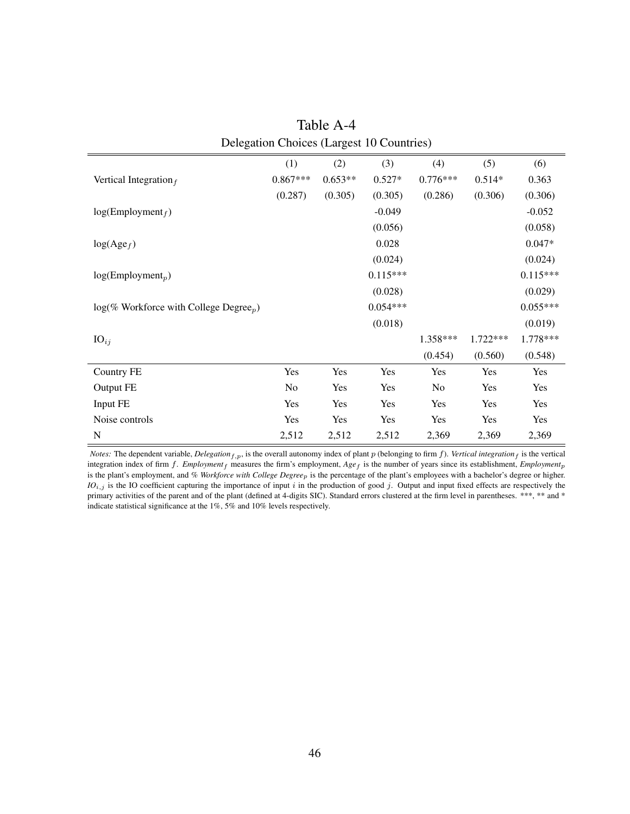<span id="page-47-0"></span>

| (1)        | (2)       | (3)        | (4)            | (5)      | (6)        |
|------------|-----------|------------|----------------|----------|------------|
| $0.867***$ | $0.653**$ | $0.527*$   | $0.776***$     | $0.514*$ | 0.363      |
| (0.287)    | (0.305)   | (0.305)    | (0.286)        | (0.306)  | (0.306)    |
|            |           | $-0.049$   |                |          | $-0.052$   |
|            |           | (0.056)    |                |          | (0.058)    |
|            |           | 0.028      |                |          | $0.047*$   |
|            |           | (0.024)    |                |          | (0.024)    |
|            |           | $0.115***$ |                |          | $0.115***$ |
|            |           | (0.028)    |                |          | (0.029)    |
|            |           | $0.054***$ |                |          | $0.055***$ |
|            |           | (0.018)    |                |          | (0.019)    |
|            |           |            | 1.358***       | 1.722*** | 1.778***   |
|            |           |            | (0.454)        | (0.560)  | (0.548)    |
| Yes        | Yes       | Yes        | Yes            | Yes      | Yes        |
| No         | Yes       | Yes        | N <sub>o</sub> | Yes      | Yes        |
| Yes        | Yes       | Yes        | Yes            | Yes      | Yes        |
| Yes        | Yes       | Yes        | Yes            | Yes      | Yes        |
| 2,512      | 2,512     | 2,512      | 2,369          | 2,369    | 2,369      |
|            |           |            |                |          |            |

Table A-4 Delegation Choices (Largest 10 Countries)

*Notes:* The dependent variable, *Delegation*<sub>f,p</sub>, is the overall autonomy index of plant p (belonging to firm f). *Vertical integration*<sub>f</sub> is the vertical integration index of firm f. *Employment*<sub>f</sub> measures the firm's employment,  $Age_f$  is the number of years since its establishment,  $Employment_p$ is the plant's employment, and *% Workforce with College Degree*p is the percentage of the plant's employees with a bachelor's degree or higher.  $IO_{i,j}$  is the IO coefficient capturing the importance of input i in the production of good j. Output and input fixed effects are respectively the primary activities of the parent and of the plant (defined at 4-digits SIC). Standard errors clustered at the firm level in parentheses. \*\*\*, \*\* and \* indicate statistical significance at the 1%, 5% and 10% levels respectively.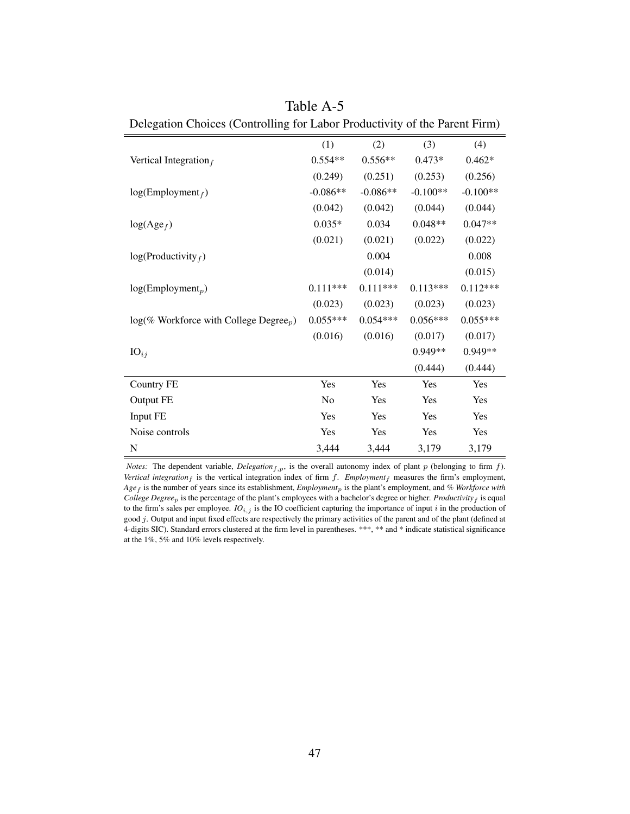<span id="page-48-0"></span>

| Delegation Choices (Controlling for Labor Productivity of the Parent Firm) |                |            |            |            |  |
|----------------------------------------------------------------------------|----------------|------------|------------|------------|--|
|                                                                            | (1)            | (2)        | (3)        | (4)        |  |
| Vertical Integration $_f$                                                  | $0.554**$      | $0.556**$  | $0.473*$   | $0.462*$   |  |
|                                                                            | (0.249)        | (0.251)    | (0.253)    | (0.256)    |  |
| $log(Employment_f)$                                                        | $-0.086**$     | $-0.086**$ | $-0.100**$ | $-0.100**$ |  |
|                                                                            | (0.042)        | (0.042)    | (0.044)    | (0.044)    |  |
| $log(Age_f)$                                                               | $0.035*$       | 0.034      | $0.048**$  | $0.047**$  |  |
|                                                                            | (0.021)        | (0.021)    | (0.022)    | (0.022)    |  |
| $log(Productivity_f)$                                                      |                | 0.004      |            | 0.008      |  |
|                                                                            |                | (0.014)    |            | (0.015)    |  |
| $log(Employment_p)$                                                        | $0.111***$     | $0.111***$ | $0.113***$ | $0.112***$ |  |
|                                                                            | (0.023)        | (0.023)    | (0.023)    | (0.023)    |  |
| $log(\%$ Workforce with College Degree <sub>p</sub> )                      | $0.055***$     | $0.054***$ | $0.056***$ | $0.055***$ |  |
|                                                                            | (0.016)        | (0.016)    | (0.017)    | (0.017)    |  |
| $IO_{ij}$                                                                  |                |            | 0.949**    | $0.949**$  |  |
|                                                                            |                |            | (0.444)    | (0.444)    |  |
| <b>Country FE</b>                                                          | Yes            | Yes        | Yes        | Yes        |  |
| Output FE                                                                  | N <sub>o</sub> | Yes        | Yes        | Yes        |  |
| Input FE                                                                   | Yes            | Yes        | Yes        | Yes        |  |
| Noise controls                                                             | Yes            | Yes        | Yes        | Yes        |  |
| N                                                                          | 3,444          | 3,444      | 3,179      | 3,179      |  |

Table A-5

*Notes:* The dependent variable, *Delegation*<sub>f,p</sub>, is the overall autonomy index of plant p (belonging to firm f). *Vertical integration*  $_f$  is the vertical integration index of firm  $f$ . *Employment*  $_f$  measures the firm's employment, *Age*<sup>f</sup> is the number of years since its establishment, *Employment*<sup>p</sup> is the plant's employment, and *% Workforce with College Degree*<sub>p</sub> is the percentage of the plant's employees with a bachelor's degree or higher. *Productivity*  $_f$  is equal to the firm's sales per employee.  $IO_{i,j}$  is the IO coefficient capturing the importance of input  $i$  in the production of good j. Output and input fixed effects are respectively the primary activities of the parent and of the plant (defined at 4-digits SIC). Standard errors clustered at the firm level in parentheses. \*\*\*, \*\* and \* indicate statistical significance at the 1%, 5% and 10% levels respectively.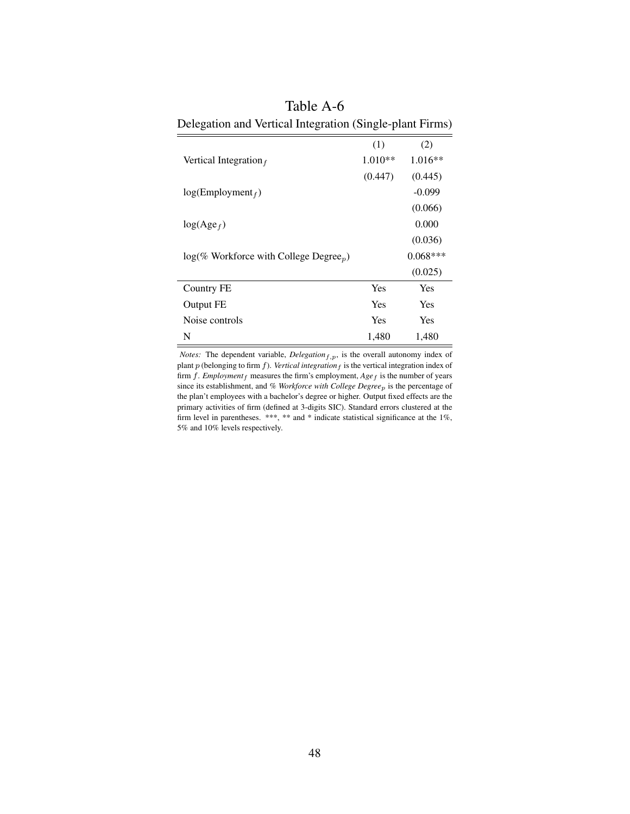| Delegation and vertical integration (Single-plant I films)   |           |            |  |  |  |  |
|--------------------------------------------------------------|-----------|------------|--|--|--|--|
|                                                              | (1)       | (2)        |  |  |  |  |
| Vertical Integration $_f$                                    | $1.010**$ | $1.016**$  |  |  |  |  |
|                                                              | (0.447)   | (0.445)    |  |  |  |  |
| log(Employment <sub>f</sub> )                                |           | $-0.099$   |  |  |  |  |
|                                                              |           | (0.066)    |  |  |  |  |
| $log(Age_f)$                                                 |           | 0.000      |  |  |  |  |
|                                                              |           | (0.036)    |  |  |  |  |
| $log(\%$ Workforce with College Degree <sub><i>p</i></sub> ) |           | $0.068***$ |  |  |  |  |
|                                                              |           | (0.025)    |  |  |  |  |
| Country FE                                                   | Yes       | Yes        |  |  |  |  |
| Output FE                                                    | Yes       | Yes        |  |  |  |  |
| Noise controls                                               | Yes       | Yes        |  |  |  |  |
| N                                                            | 1,480     | 1,480      |  |  |  |  |

<span id="page-49-0"></span>Table A-6 Delegation and Vertical Integration (Single-plant Firms)

*Notes:* The dependent variable,  $Delegation_{f,p}$ , is the overall autonomy index of plant  $p$  (belonging to firm  $f$ ). *Vertical integration* $f$  is the vertical integration index of firm  $f$ . *Employment* $_f$  measures the firm's employment,  $Age_f$  is the number of years since its establishment, and *% Workforce with College Degree*p is the percentage of the plan't employees with a bachelor's degree or higher. Output fixed effects are the primary activities of firm (defined at 3-digits SIC). Standard errors clustered at the firm level in parentheses. \*\*\*, \*\* and \* indicate statistical significance at the 1%, 5% and 10% levels respectively.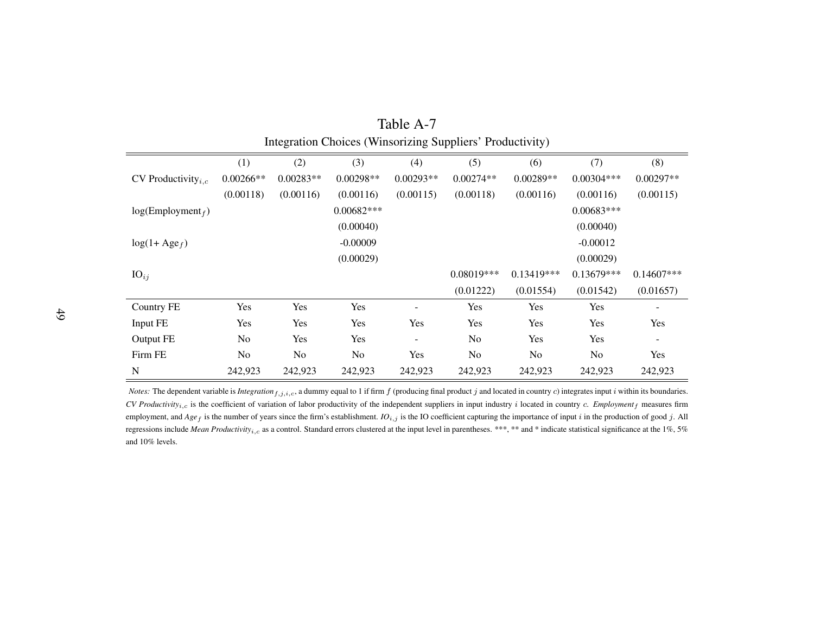| Integration Choices (Winsorizing Suppliers' Productivity) |             |             |              |             |                |              |                |               |  |
|-----------------------------------------------------------|-------------|-------------|--------------|-------------|----------------|--------------|----------------|---------------|--|
|                                                           | (1)         | (2)         | (3)          | (4)         | (5)            | (6)          | (7)            | (8)           |  |
| CV Productivity <sub>i.c</sub>                            | $0.00266**$ | $0.00283**$ | $0.00298**$  | $0.00293**$ | $0.00274**$    | $0.00289**$  | $0.00304***$   | $0.00297**$   |  |
|                                                           | (0.00118)   | (0.00116)   | (0.00116)    | (0.00115)   | (0.00118)      | (0.00116)    | (0.00116)      | (0.00115)     |  |
| log(Employment <sub>f</sub> )                             |             |             | $0.00682***$ |             |                |              | $0.00683***$   |               |  |
|                                                           |             |             | (0.00040)    |             |                |              | (0.00040)      |               |  |
| $log(1 + Age_f)$                                          |             |             | $-0.00009$   |             |                |              | $-0.00012$     |               |  |
|                                                           |             |             | (0.00029)    |             |                |              | (0.00029)      |               |  |
| $IO_{ij}$                                                 |             |             |              |             | $0.08019***$   | $0.13419***$ | $0.13679***$   | $0.14607$ *** |  |
|                                                           |             |             |              |             | (0.01222)      | (0.01554)    | (0.01542)      | (0.01657)     |  |
| Country FE                                                | Yes         | Yes         | Yes          |             | Yes            | Yes          | Yes            |               |  |
| Input FE                                                  | Yes         | Yes         | Yes          | Yes         | Yes            | Yes          | Yes            | Yes           |  |
| Output FE                                                 | No          | Yes         | Yes          |             | No             | Yes          | Yes            |               |  |
| Firm FE                                                   | No          | No          | No           | Yes         | N <sub>o</sub> | No           | N <sub>o</sub> | Yes           |  |
| ${\bf N}$                                                 | 242,923     | 242,923     | 242,923      | 242,923     | 242,923        | 242,923      | 242,923        | 242,923       |  |

Table A-7

<span id="page-50-0"></span>*Notes:* The dependent variable is *Integration*  $_{f,j,i,c}$ , a dummy equal to 1 if firm  $f$  (producing final product  $j$  and located in country  $c$ ) integrates input  $i$  within its boundaries. *CV Productivity*i,c is the coefficient of variation of labor productivity of the independent suppliers in input industry <sup>i</sup> located in country <sup>c</sup>. *Employment*<sup>f</sup> measures firmemployment, and  $Age_f$  is the number of years since the firm's establishment.  $Io_{i,j}$  is the IO coefficient capturing the importance of input i in the production of good j. All regressions include *Mean Productivity<sub>i,c</sub>* as a control. Standard errors clustered at the input level in parentheses. \*\*\*, \*\* and \* indicate statistical significance at the 1%, 5% and 10% levels.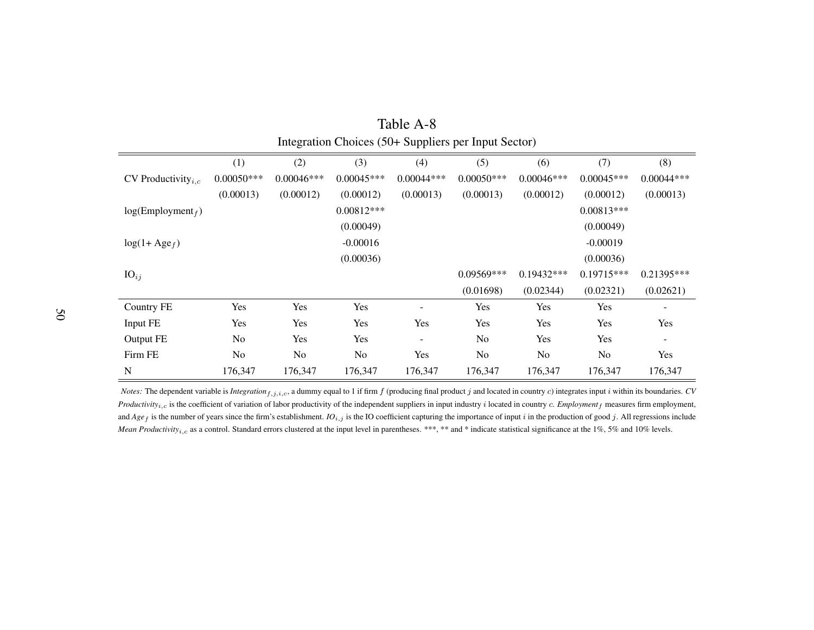| micgration Chorces (50+ Suppliers per input Sector) |                |              |                |              |                |              |              |              |  |
|-----------------------------------------------------|----------------|--------------|----------------|--------------|----------------|--------------|--------------|--------------|--|
|                                                     | (1)            | (2)          | (3)            | (4)          | (5)            | (6)          | (7)          | (8)          |  |
| CV Productivity <sub><i>i.c</i></sub>               | $0.00050***$   | $0.00046***$ | $0.00045***$   | $0.00044***$ | $0.00050***$   | $0.00046***$ | $0.00045***$ | $0.00044***$ |  |
|                                                     | (0.00013)      | (0.00012)    | (0.00012)      | (0.00013)    | (0.00013)      | (0.00012)    | (0.00012)    | (0.00013)    |  |
| log(Employment <sub>f</sub> )                       |                |              | $0.00812***$   |              |                |              | $0.00813***$ |              |  |
|                                                     |                |              | (0.00049)      |              |                |              | (0.00049)    |              |  |
| $log(1 + Age_f)$                                    |                |              | $-0.00016$     |              |                |              | $-0.00019$   |              |  |
|                                                     |                |              | (0.00036)      |              |                |              | (0.00036)    |              |  |
| $IO_{ij}$                                           |                |              |                |              | 0.09569***     | $0.19432***$ | $0.19715***$ | $0.21395***$ |  |
|                                                     |                |              |                |              | (0.01698)      | (0.02344)    | (0.02321)    | (0.02621)    |  |
| Country FE                                          | Yes            | Yes          | Yes            |              | Yes            | Yes          | Yes          |              |  |
| Input FE                                            | Yes            | Yes          | Yes            | Yes          | Yes            | Yes          | Yes          | Yes          |  |
| Output FE                                           | N <sub>o</sub> | Yes          | Yes            |              | N <sub>o</sub> | Yes          | Yes          |              |  |
| Firm FE                                             | No             | No           | N <sub>o</sub> | Yes          | N <sub>o</sub> | No           | No           | Yes          |  |
| N                                                   | 176,347        | 176,347      | 176,347        | 176,347      | 176,347        | 176,347      | 176,347      | 176,347      |  |

| Table A-8                                            |
|------------------------------------------------------|
| Integration Choices (50+ Suppliers per Input Sector) |

<span id="page-51-0"></span>*Notes:* The dependent variable is *Integration*  $f_{i,j,i,c}$ , a dummy equal to 1 if firm  $f$  (producing final product  $j$  and located in country  $c$ ) integrates input  $i$  within its boundaries. *CV Productivity<sub>i,c</sub>* is the coefficient of variation of labor productivity of the independent suppliers in input industry i located in country c. *Employment<sub>f</sub>* measures firm employment, and  $Age_f$  is the number of years since the firm's establishment.  $IO_{i,j}$  is the IO coefficient capturing the importance of input i in the production of good j. All regressions include *Mean Productivity<sub>i,c</sub>* as a control. Standard errors clustered at the input level in parentheses. \*\*\*, \*\* and \* indicate statistical significance at the 1%, 5% and 10% levels.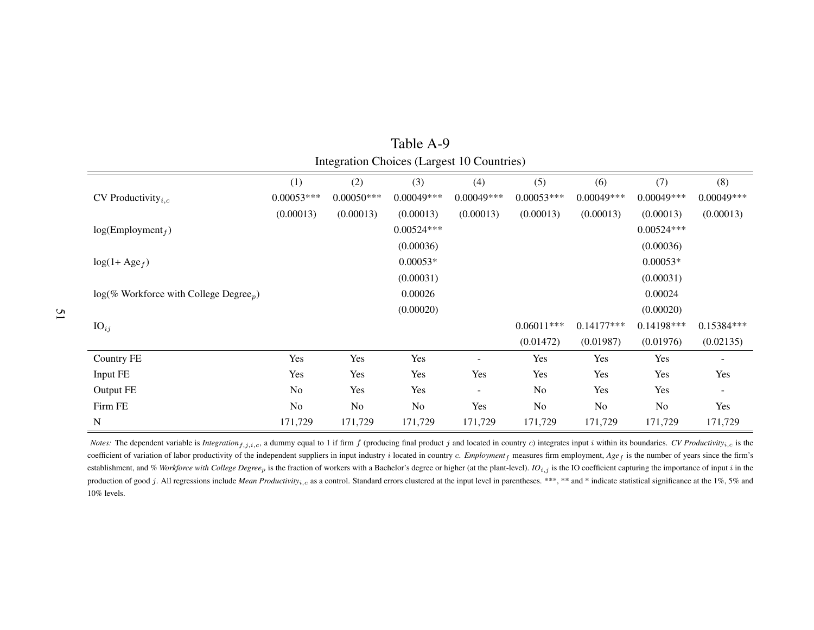|                                                       | (1)            | (2)          | (3)          | (4)          | (5)          | (6)          | (7)           | (8)          |
|-------------------------------------------------------|----------------|--------------|--------------|--------------|--------------|--------------|---------------|--------------|
| CV Productivity <sub>i.c</sub>                        | $0.00053***$   | $0.00050***$ | $0.00049***$ | $0.00049***$ | $0.00053***$ | $0.00049***$ | $0.00049***$  | $0.00049***$ |
|                                                       | (0.00013)      | (0.00013)    | (0.00013)    | (0.00013)    | (0.00013)    | (0.00013)    | (0.00013)     | (0.00013)    |
| log(Employment <sub>f</sub> )                         |                |              | $0.00524***$ |              |              |              | $0.00524***$  |              |
|                                                       |                |              | (0.00036)    |              |              |              | (0.00036)     |              |
| $log(1 + Age_f)$                                      |                |              | $0.00053*$   |              |              |              | $0.00053*$    |              |
|                                                       |                |              | (0.00031)    |              |              |              | (0.00031)     |              |
| $log(\%$ Workforce with College Degree <sub>p</sub> ) |                |              | 0.00026      |              |              |              | 0.00024       |              |
|                                                       |                |              | (0.00020)    |              |              |              | (0.00020)     |              |
| $IO_{ij}$                                             |                |              |              |              | $0.06011***$ | $0.14177***$ | $0.14198$ *** | $0.15384***$ |
|                                                       |                |              |              |              | (0.01472)    | (0.01987)    | (0.01976)     | (0.02135)    |
| Country FE                                            | Yes            | Yes          | Yes          |              | Yes          | Yes          | Yes           | $\sim$       |
| Input FE                                              | Yes            | Yes          | Yes          | Yes          | Yes          | Yes          | Yes           | Yes          |
| Output FE                                             | N <sub>o</sub> | Yes          | Yes          | -            | No           | Yes          | Yes           | ٠            |
| Firm FE                                               | No             | No           | No           | Yes          | No           | No           | No            | Yes          |
| N                                                     | 171,729        | 171,729      | 171,729      | 171,729      | 171,729      | 171,729      | 171,729       | 171,729      |

Table A-9Integration Choices (Largest 10 Countries)

<span id="page-52-0"></span>*Notes*: The dependent variable is *Integration*  $f_{i,j,i,c}$ , a dummy equal to 1 if firm f (producing final product j and located in country c) integrates input i within its boundaries. CV Productivity<sub>i,c</sub> is the coefficient of variation of labor productivity of the independent suppliers in input industry <sup>i</sup> located in country <sup>c</sup>. *Employment*<sup>f</sup> measures firm employment, *Age*<sup>f</sup> is the number of years since the firm's establishment, and % Workforce with College Degree<sub>p</sub> is the fraction of workers with a Bachelor's degree or higher (at the plant-level). IO<sub>i,j</sub> is the IO coefficient capturing the importance of input i in the production of good j. All regressions include Mean Productivity<sub>i,c</sub> as a control. Standard errors clustered at the input level in parentheses. \*\*\*, \*\* and \* indicate statistical significance at the 1%, 5% and 10% levels.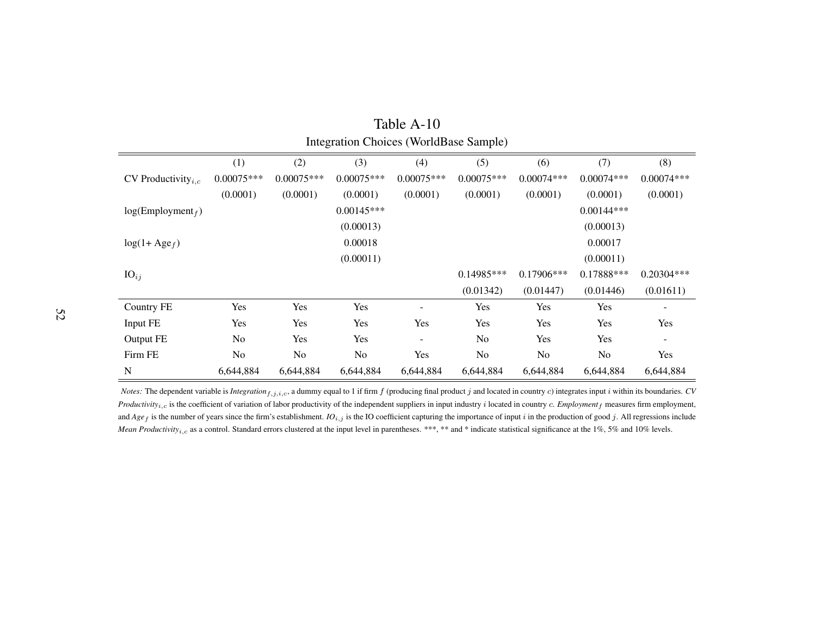|                               | Integration Choices (Worldbase Sample) |                |                |                   |                |                |                |                          |  |  |
|-------------------------------|----------------------------------------|----------------|----------------|-------------------|----------------|----------------|----------------|--------------------------|--|--|
|                               | (1)                                    | (2)            | (3)            | (4)               | (5)            | (6)            | (7)            | (8)                      |  |  |
| CV Productivity $_{i,c}$      | $0.00075***$                           | $0.00075***$   | $0.00075***$   | $0.00075***$      | $0.00075***$   | $0.00074***$   | $0.00074***$   | $0.00074***$             |  |  |
|                               | (0.0001)                               | (0.0001)       | (0.0001)       | (0.0001)          | (0.0001)       | (0.0001)       | (0.0001)       | (0.0001)                 |  |  |
| log(Employment <sub>f</sub> ) |                                        |                | $0.00145***$   |                   |                |                | $0.00144***$   |                          |  |  |
|                               |                                        |                | (0.00013)      |                   |                |                | (0.00013)      |                          |  |  |
| $log(1 + Age_f)$              |                                        |                | 0.00018        |                   |                |                | 0.00017        |                          |  |  |
|                               |                                        |                | (0.00011)      |                   |                |                | (0.00011)      |                          |  |  |
| $IO_{ij}$                     |                                        |                |                |                   | $0.14985***$   | $0.17906***$   | $0.17888***$   | 0.20304***               |  |  |
|                               |                                        |                |                |                   | (0.01342)      | (0.01447)      | (0.01446)      | (0.01611)                |  |  |
| <b>Country FE</b>             | Yes                                    | Yes            | Yes            |                   | Yes            | Yes            | Yes            |                          |  |  |
| Input FE                      | Yes                                    | Yes            | Yes            | Yes               | Yes            | Yes            | Yes            | Yes                      |  |  |
| Output FE                     | N <sub>o</sub>                         | Yes            | Yes            | $\qquad \qquad -$ | No             | Yes            | Yes            | $\overline{\phantom{a}}$ |  |  |
| Firm FE                       | N <sub>o</sub>                         | N <sub>o</sub> | N <sub>o</sub> | Yes               | N <sub>o</sub> | N <sub>o</sub> | N <sub>o</sub> | Yes                      |  |  |
| N                             | 6,644,884                              | 6,644,884      | 6,644,884      | 6,644,884         | 6,644,884      | 6,644,884      | 6,644,884      | 6,644,884                |  |  |

| Table A-10                                    |
|-----------------------------------------------|
| <b>Integration Choices (WorldBase Sample)</b> |

<span id="page-53-0"></span>*Notes:* The dependent variable is *Integration*  $f_{i,j,i,c}$ , a dummy equal to 1 if firm  $f$  (producing final product  $j$  and located in country  $c$ ) integrates input  $i$  within its boundaries. *CV Productivity<sub>i,c</sub>* is the coefficient of variation of labor productivity of the independent suppliers in input industry i located in country c. *Employment<sub>f</sub>* measures firm employment, and  $Age_f$  is the number of years since the firm's establishment.  $IO_{i,j}$  is the IO coefficient capturing the importance of input i in the production of good j. All regressions include *Mean Productivity<sub>i,c</sub>* as a control. Standard errors clustered at the input level in parentheses. \*\*\*, \*\* and \* indicate statistical significance at the 1%, 5% and 10% levels.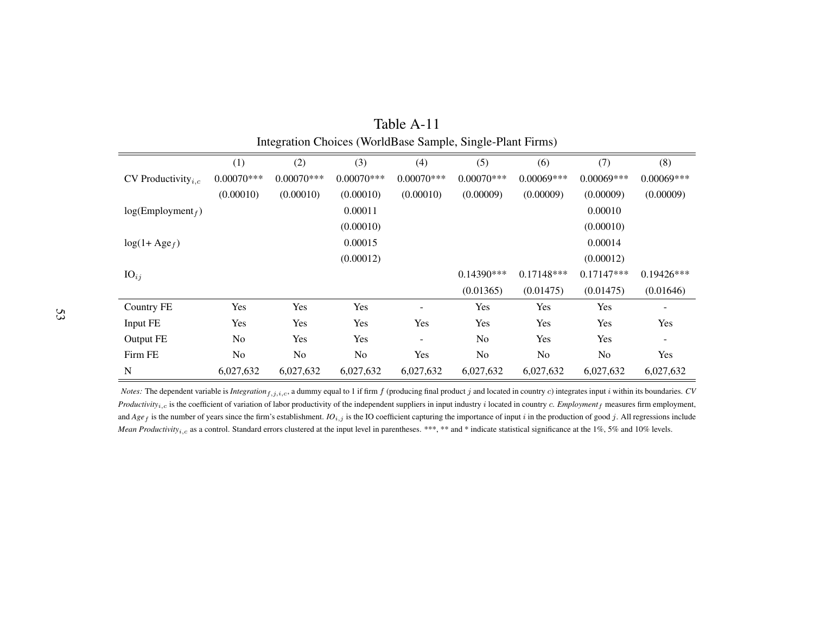| $\cdots$ = = = = $\cdots$ = $\cdots$ = $\cdots$ = $\cdots$ = $\cdots$ = $\cdots$ = $\cdots$ = $\cdots$ = $\cdots$ = $\cdots$ = $\cdots$ = $\cdots$ = $\cdots$ = $\cdots$ = $\cdots$ = $\cdots$ = $\cdots$ = $\cdots$ = $\cdots$ = $\cdots$ = $\cdots$ = $\cdots$ = $\cdots$ = $\cdots$ = $\cdots$ = $\cdots$ = |               |                |                |              |                |                |              |              |  |
|----------------------------------------------------------------------------------------------------------------------------------------------------------------------------------------------------------------------------------------------------------------------------------------------------------------|---------------|----------------|----------------|--------------|----------------|----------------|--------------|--------------|--|
|                                                                                                                                                                                                                                                                                                                | (1)           | (2)            | (3)            | (4)          | (5)            | (6)            | (7)          | (8)          |  |
| CV Productivity <sub><i>i.c</i></sub>                                                                                                                                                                                                                                                                          | $0.00070$ *** | $0.00070$ ***  | $0.00070***$   | $0.00070***$ | $0.00070$ ***  | $0.00069***$   | $0.00069***$ | $0.00069***$ |  |
|                                                                                                                                                                                                                                                                                                                | (0.00010)     | (0.00010)      | (0.00010)      | (0.00010)    | (0.00009)      | (0.00009)      | (0.00009)    | (0.00009)    |  |
| log(Employment <sub>f</sub> )                                                                                                                                                                                                                                                                                  |               |                | 0.00011        |              |                |                | 0.00010      |              |  |
|                                                                                                                                                                                                                                                                                                                |               |                | (0.00010)      |              |                |                | (0.00010)    |              |  |
| $log(1 + Age_f)$                                                                                                                                                                                                                                                                                               |               |                | 0.00015        |              |                |                | 0.00014      |              |  |
|                                                                                                                                                                                                                                                                                                                |               |                | (0.00012)      |              |                |                | (0.00012)    |              |  |
| $\mathrm{IO}_{ij}$                                                                                                                                                                                                                                                                                             |               |                |                |              | $0.14390***$   | $0.17148***$   | $0.17147***$ | $0.19426***$ |  |
|                                                                                                                                                                                                                                                                                                                |               |                |                |              | (0.01365)      | (0.01475)      | (0.01475)    | (0.01646)    |  |
| <b>Country FE</b>                                                                                                                                                                                                                                                                                              | Yes           | Yes            | Yes            |              | Yes            | Yes            | Yes          |              |  |
| Input FE                                                                                                                                                                                                                                                                                                       | Yes           | Yes            | Yes            | Yes          | Yes            | Yes            | Yes          | Yes          |  |
| Output FE                                                                                                                                                                                                                                                                                                      | No            | Yes            | Yes            |              | N <sub>o</sub> | Yes            | Yes          |              |  |
| Firm FE                                                                                                                                                                                                                                                                                                        | No            | N <sub>o</sub> | N <sub>o</sub> | Yes          | N <sub>o</sub> | N <sub>o</sub> | No           | Yes          |  |
| N                                                                                                                                                                                                                                                                                                              | 6,027,632     | 6,027,632      | 6,027,632      | 6,027,632    | 6,027,632      | 6,027,632      | 6,027,632    | 6,027,632    |  |

| Table A-11                                                 |  |
|------------------------------------------------------------|--|
| Integration Choices (WorldBase Sample, Single-Plant Firms) |  |

<span id="page-54-0"></span>*Notes:* The dependent variable is *Integration*  $f_{i,j,i,c}$ , a dummy equal to 1 if firm  $f$  (producing final product  $j$  and located in country  $c$ ) integrates input  $i$  within its boundaries. *CV Productivity<sub>i,c</sub>* is the coefficient of variation of labor productivity of the independent suppliers in input industry i located in country c. *Employment<sub>f</sub>* measures firm employment, and  $Age_f$  is the number of years since the firm's establishment.  $IO_{i,j}$  is the IO coefficient capturing the importance of input i in the production of good j. All regressions include *Mean Productivity<sub>i,c</sub>* as a control. Standard errors clustered at the input level in parentheses. \*\*\*, \*\* and \* indicate statistical significance at the 1%, 5% and 10% levels.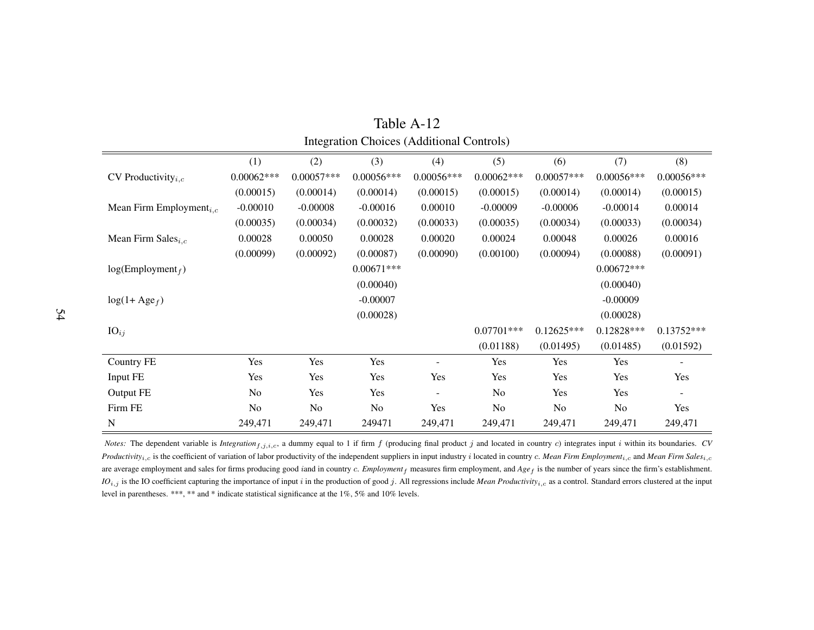|                                       |                |              |                | michanon Cholcos (Themismum Commons) |                |              |                |              |
|---------------------------------------|----------------|--------------|----------------|--------------------------------------|----------------|--------------|----------------|--------------|
|                                       | (1)            | (2)          | (3)            | (4)                                  | (5)            | (6)          | (7)            | (8)          |
| CV Productivity <sub><i>i.c</i></sub> | $0.00062***$   | $0.00057***$ | $0.00056***$   | $0.00056***$                         | $0.00062***$   | $0.00057***$ | $0.00056***$   | $0.00056***$ |
|                                       | (0.00015)      | (0.00014)    | (0.00014)      | (0.00015)                            | (0.00015)      | (0.00014)    | (0.00014)      | (0.00015)    |
| Mean Firm Employment <sub>i.c</sub>   | $-0.00010$     | $-0.00008$   | $-0.00016$     | 0.00010                              | $-0.00009$     | $-0.00006$   | $-0.00014$     | 0.00014      |
|                                       | (0.00035)      | (0.00034)    | (0.00032)      | (0.00033)                            | (0.00035)      | (0.00034)    | (0.00033)      | (0.00034)    |
| Mean Firm Sales $_{i,c}$              | 0.00028        | 0.00050      | 0.00028        | 0.00020                              | 0.00024        | 0.00048      | 0.00026        | 0.00016      |
|                                       | (0.00099)      | (0.00092)    | (0.00087)      | (0.00090)                            | (0.00100)      | (0.00094)    | (0.00088)      | (0.00091)    |
| log(Employment <sub>f</sub> )         |                |              | $0.00671***$   |                                      |                |              | $0.00672***$   |              |
|                                       |                |              | (0.00040)      |                                      |                |              | (0.00040)      |              |
| $log(1 + Age_f)$                      |                |              | $-0.00007$     |                                      |                |              | $-0.00009$     |              |
|                                       |                |              | (0.00028)      |                                      |                |              | (0.00028)      |              |
| $\mathrm{IO}_{ij}$                    |                |              |                |                                      | $0.07701***$   | $0.12625***$ | $0.12828***$   | $0.13752***$ |
|                                       |                |              |                |                                      | (0.01188)      | (0.01495)    | (0.01485)      | (0.01592)    |
| <b>Country FE</b>                     | Yes            | Yes          | Yes            |                                      | Yes            | Yes          | Yes            |              |
| Input FE                              | Yes            | Yes          | Yes            | Yes                                  | Yes            | Yes          | Yes            | Yes          |
| Output FE                             | N <sub>o</sub> | Yes          | Yes            | $\overline{\phantom{a}}$             | N <sub>o</sub> | Yes          | Yes            |              |
| Firm FE                               | N <sub>o</sub> | No           | N <sub>o</sub> | Yes                                  | N <sub>o</sub> | No           | N <sub>o</sub> | Yes          |
| N                                     | 249,471        | 249,471      | 249471         | 249,471                              | 249,471        | 249,471      | 249,471        | 249,471      |

<span id="page-55-0"></span>Table A-12Integration Choices (Additional Controls)

*Notes*: The dependent variable is *Integration*<sub>f,j,i,c</sub>, a dummy equal to 1 if firm f (producing final product j and located in country c) integrates input i within its boundaries. *CV Productivity<sub>i,c</sub>* is the coefficient of variation of labor productivity of the independent suppliers in input industry i located in country c. Mean Firm Employment<sub>i,c</sub> and Mean Firm Sales<sub>i,c</sub> are average employment and sales for firms producing good *i*and in country *c. Employment<sub>f</sub>* measures firm employment, and Age<sub>f</sub> is the number of years since the firm's establishment. *IO*i,j is the IO coefficient capturing the importance of input <sup>i</sup> in the production of goo<sup>d</sup> j. All regressions include *Mean Productivity*i,c as <sup>a</sup> control. Standard errors clustered at the input level in parentheses. \*\*\*, \*\* and \* indicate statistical significance at the 1%, 5% and 10% levels.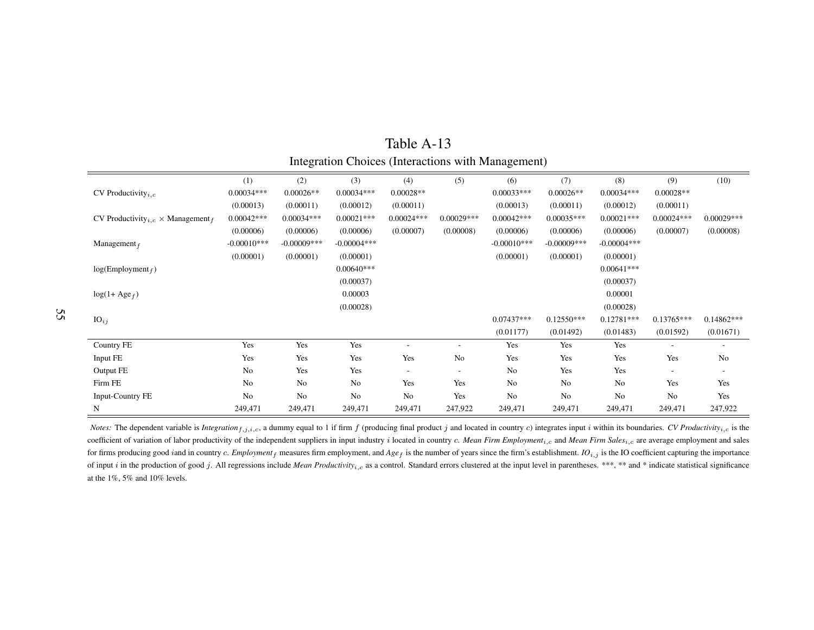|                                                         | (1)           | (2)           | (3)           | (4)          | (5)          | (6)           | (7)            | (8)           | (9)                      | (10)         |
|---------------------------------------------------------|---------------|---------------|---------------|--------------|--------------|---------------|----------------|---------------|--------------------------|--------------|
| CV Productivity <sub>i.c</sub>                          | $0.00034***$  | $0.00026**$   | $0.00034***$  | $0.00028**$  |              | $0.00033***$  | $0.00026**$    | $0.00034***$  | $0.00028**$              |              |
|                                                         | (0.00013)     | (0.00011)     | (0.00012)     | (0.00011)    |              | (0.00013)     | (0.00011)      | (0.00012)     | (0.00011)                |              |
| CV Productivity <sub>i.c</sub> $\times$ Management $_f$ | $0.00042***$  | $0.00034***$  | $0.00021***$  | $0.00024***$ | $0.00029***$ | $0.00042***$  | $0.00035***$   | $0.00021***$  | $0.00024***$             | $0.00029***$ |
|                                                         | (0.00006)     | (0.00006)     | (0.00006)     | (0.00007)    | (0.00008)    | (0.00006)     | (0.00006)      | (0.00006)     | (0.00007)                | (0.00008)    |
| Management $_f$                                         | $-0.00010***$ | $-0.00009***$ | $-0.00004***$ |              |              | $-0.00010***$ | $-0.00009$ *** | $-0.00004***$ |                          |              |
|                                                         | (0.00001)     | (0.00001)     | (0.00001)     |              |              | (0.00001)     | (0.00001)      | (0.00001)     |                          |              |
| log(Employment <sub>f</sub> )                           |               |               | $0.00640***$  |              |              |               |                | $0.00641***$  |                          |              |
|                                                         |               |               | (0.00037)     |              |              |               |                | (0.00037)     |                          |              |
| $log(1 + Age_f)$                                        |               |               | 0.00003       |              |              |               |                | 0.00001       |                          |              |
|                                                         |               |               | (0.00028)     |              |              |               |                | (0.00028)     |                          |              |
| $IO_{ij}$                                               |               |               |               |              |              | 0.07437***    | $0.12550***$   | $0.12781***$  | $0.13765***$             | $0.14862***$ |
|                                                         |               |               |               |              |              | (0.01177)     | (0.01492)      | (0.01483)     | (0.01592)                | (0.01671)    |
| Country FE                                              | Yes           | Yes           | Yes           |              | $\sim$       | Yes           | Yes            | Yes           |                          | ٠            |
| Input FE                                                | Yes           | Yes           | Yes           | Yes          | No           | Yes           | Yes            | Yes           | Yes                      | No           |
| Output FE                                               | No            | Yes           | Yes           | $\sim$       | $\sim$       | No            | Yes            | Yes           | $\overline{\phantom{a}}$ | ٠            |
| Firm FE                                                 | No            | No            | No            | Yes          | Yes          | No            | No             | No            | Yes                      | Yes          |
| <b>Input-Country FE</b>                                 | No            | No            | No            | No           | Yes          | No            | No             | No            | No                       | Yes          |
| N                                                       | 249,471       | 249,471       | 249,471       | 249,471      | 247,922      | 249,471       | 249,471        | 249,471       | 249,471                  | 247,922      |

<span id="page-56-0"></span>Table A-13Integration Choices (Interactions with Management)

*Notes*: The dependent variable is *Integration*  $f_{i,j,i,c}$ , a dummy equal to 1 if firm f (producing final product j and located in country c) integrates input i within its boundaries. CV Productivity<sub>i,c</sub> is the coefficient of variation of labor productivity of the independent suppliers in input industry i located in country  $c$ . Mean Firm Employment<sub>i,c</sub> and Mean Firm Sales<sub>i,c</sub> are average employment and sales for firms producing good *iand in country c. Employment<sub>f</sub>* measures firm employment, and  $Agef$  is the number of years since the firm's establishment. *IO*<sub>i,j</sub> is the IO coefficient capturing the importance of input i in the production of good j. All regressions include Mean Productivity<sub>i,c</sub> as a control. Standard errors clustered at the input level in parentheses. \*\*\*, \*\* and \* indicate statistical significance at the 1%, 5% and 10% levels.